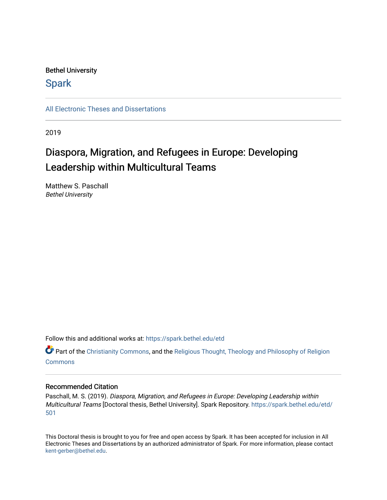#### Bethel University

## **Spark**

[All Electronic Theses and Dissertations](https://spark.bethel.edu/etd) 

2019

# Diaspora, Migration, and Refugees in Europe: Developing Leadership within Multicultural Teams

Matthew S. Paschall Bethel University

Follow this and additional works at: [https://spark.bethel.edu/etd](https://spark.bethel.edu/etd?utm_source=spark.bethel.edu%2Fetd%2F501&utm_medium=PDF&utm_campaign=PDFCoverPages)

**C** Part of the [Christianity Commons,](http://network.bepress.com/hgg/discipline/1181?utm_source=spark.bethel.edu%2Fetd%2F501&utm_medium=PDF&utm_campaign=PDFCoverPages) and the Religious Thought, Theology and Philosophy of Religion **[Commons](http://network.bepress.com/hgg/discipline/544?utm_source=spark.bethel.edu%2Fetd%2F501&utm_medium=PDF&utm_campaign=PDFCoverPages)** 

#### Recommended Citation

Paschall, M. S. (2019). Diaspora, Migration, and Refugees in Europe: Developing Leadership within Multicultural Teams [Doctoral thesis, Bethel University]. Spark Repository. [https://spark.bethel.edu/etd/](https://spark.bethel.edu/etd/501?utm_source=spark.bethel.edu%2Fetd%2F501&utm_medium=PDF&utm_campaign=PDFCoverPages) [501](https://spark.bethel.edu/etd/501?utm_source=spark.bethel.edu%2Fetd%2F501&utm_medium=PDF&utm_campaign=PDFCoverPages) 

This Doctoral thesis is brought to you for free and open access by Spark. It has been accepted for inclusion in All Electronic Theses and Dissertations by an authorized administrator of Spark. For more information, please contact [kent-gerber@bethel.edu](mailto:kent-gerber@bethel.edu).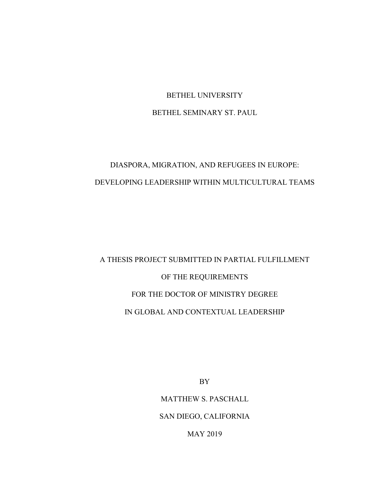## BETHEL UNIVERSITY BETHEL SEMINARY ST. PAUL

# DIASPORA, MIGRATION, AND REFUGEES IN EUROPE: DEVELOPING LEADERSHIP WITHIN MULTICULTURAL TEAMS

# A THESIS PROJECT SUBMITTED IN PARTIAL FULFILLMENT OF THE REQUIREMENTS FOR THE DOCTOR OF MINISTRY DEGREE IN GLOBAL AND CONTEXTUAL LEADERSHIP

BY

MATTHEW S. PASCHALL

SAN DIEGO, CALIFORNIA

MAY 2019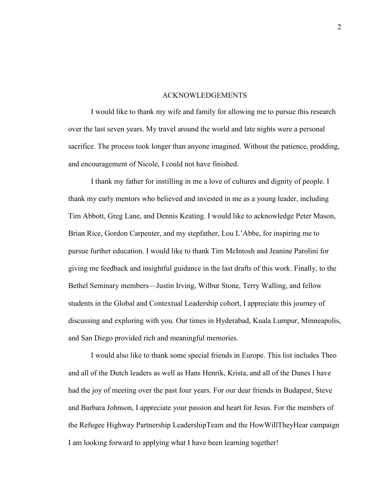#### ACKNOWLEDGEMENTS

I would like to thank my wife and family for allowing me to pursue this research over the last seven years. My travel around the world and late nights were a personal sacrifice. The process took longer than anyone imagined. Without the patience, prodding, and encouragement of Nicole, I could not have finished.

I thank my father for instilling in me a love of cultures and dignity of people. I thank my early mentors who believed and invested in me as a young leader, including Tim Abbott, Greg Lane, and Dennis Keating. I would like to acknowledge Peter Mason, Brian Rice, Gordon Carpenter, and my stepfather, Lou L'Abbe, for inspiring me to pursue further education. I would like to thank Tim McIntosh and Jeanine Parolini for giving me feedback and insightful guidance in the last drafts of this work. Finally, to the Bethel Seminary members—Justin Irving, Wilbur Stone, Terry Walling, and fellow students in the Global and Contextual Leadership cohort, I appreciate this journey of discussing and exploring with you. Our times in Hyderabad, Kuala Lumpur, Minneapolis, and San Diego provided rich and meaningful memories.

I would also like to thank some special friends in Europe. This list includes Theo and all of the Dutch leaders as well as Hans Henrik, Krista, and all of the Danes I have had the joy of meeting over the past four years. For our dear friends in Budapest, Steve and Barbara Johnson, I appreciate your passion and heart for Jesus. For the members of the Refugee Highway Partnership LeadershipTeam and the HowWillTheyHear campaign I am looking forward to applying what I have been learning together!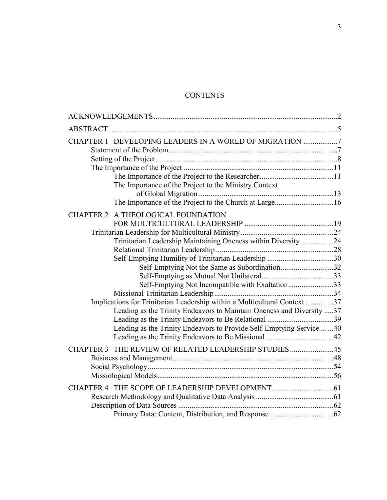### **CONTENTS**

| CHAPTER 1 DEVELOPING LEADERS IN A WORLD OF MIGRATION 7                    |  |
|---------------------------------------------------------------------------|--|
|                                                                           |  |
|                                                                           |  |
| The Importance of the Project to the Ministry Context                     |  |
|                                                                           |  |
| The Importance of the Project to the Church at Large16                    |  |
| CHAPTER 2 A THEOLOGICAL FOUNDATION                                        |  |
|                                                                           |  |
|                                                                           |  |
| Trinitarian Leadership Maintaining Oneness within Diversity 24            |  |
|                                                                           |  |
| Self-Emptying Humility of Trinitarian Leadership 30                       |  |
| Self-Emptying Not the Same as Subordination32                             |  |
|                                                                           |  |
| Self-Emptying Not Incompatible with Exaltation33                          |  |
|                                                                           |  |
| Implications for Trinitarian Leadership within a Multicultural Context 37 |  |
| Leading as the Trinity Endeavors to Maintain Oneness and Diversity 37     |  |
|                                                                           |  |
| Leading as the Trinity Endeavors to Provide Self-Emptying Service 40      |  |
|                                                                           |  |
| CHAPTER 3 THE REVIEW OF RELATED LEADERSHIP STUDIES45                      |  |
|                                                                           |  |
|                                                                           |  |
|                                                                           |  |
|                                                                           |  |
|                                                                           |  |
|                                                                           |  |
|                                                                           |  |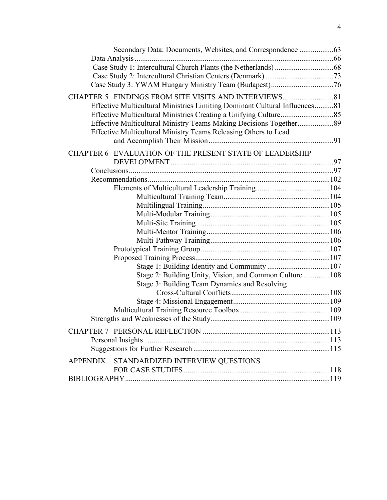| Effective Multicultural Ministries Limiting Dominant Cultural Influences81 |  |
|----------------------------------------------------------------------------|--|
|                                                                            |  |
| Effective Multicultural Ministry Teams Making Decisions Together89         |  |
| Effective Multicultural Ministry Teams Releasing Others to Lead            |  |
|                                                                            |  |
| CHAPTER 6 EVALUATION OF THE PRESENT STATE OF LEADERSHIP                    |  |
|                                                                            |  |
|                                                                            |  |
|                                                                            |  |
|                                                                            |  |
|                                                                            |  |
|                                                                            |  |
|                                                                            |  |
|                                                                            |  |
|                                                                            |  |
|                                                                            |  |
|                                                                            |  |
|                                                                            |  |
|                                                                            |  |
| Stage 2: Building Unity, Vision, and Common Culture108                     |  |
| Stage 3: Building Team Dynamics and Resolving                              |  |
|                                                                            |  |
|                                                                            |  |
|                                                                            |  |
|                                                                            |  |
|                                                                            |  |
|                                                                            |  |
|                                                                            |  |
| APPENDIX STANDARDIZED INTERVIEW QUESTIONS                                  |  |
|                                                                            |  |
|                                                                            |  |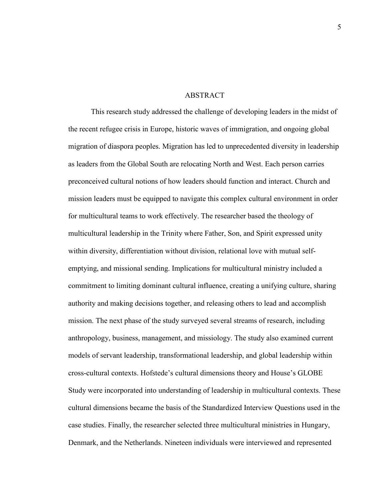#### ABSTRACT

This research study addressed the challenge of developing leaders in the midst of the recent refugee crisis in Europe, historic waves of immigration, and ongoing global migration of diaspora peoples. Migration has led to unprecedented diversity in leadership as leaders from the Global South are relocating North and West. Each person carries preconceived cultural notions of how leaders should function and interact. Church and mission leaders must be equipped to navigate this complex cultural environment in order for multicultural teams to work effectively. The researcher based the theology of multicultural leadership in the Trinity where Father, Son, and Spirit expressed unity within diversity, differentiation without division, relational love with mutual selfemptying, and missional sending. Implications for multicultural ministry included a commitment to limiting dominant cultural influence, creating a unifying culture, sharing authority and making decisions together, and releasing others to lead and accomplish mission. The next phase of the study surveyed several streams of research, including anthropology, business, management, and missiology. The study also examined current models of servant leadership, transformational leadership, and global leadership within cross-cultural contexts. Hofstede's cultural dimensions theory and House's GLOBE Study were incorporated into understanding of leadership in multicultural contexts. These cultural dimensions became the basis of the Standardized Interview Questions used in the case studies. Finally, the researcher selected three multicultural ministries in Hungary, Denmark, and the Netherlands. Nineteen individuals were interviewed and represented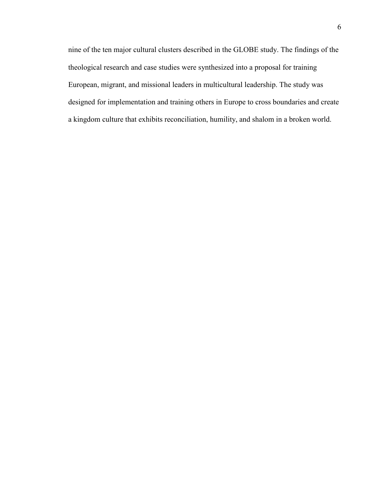nine of the ten major cultural clusters described in the GLOBE study. The findings of the theological research and case studies were synthesized into a proposal for training European, migrant, and missional leaders in multicultural leadership. The study was designed for implementation and training others in Europe to cross boundaries and create a kingdom culture that exhibits reconciliation, humility, and shalom in a broken world.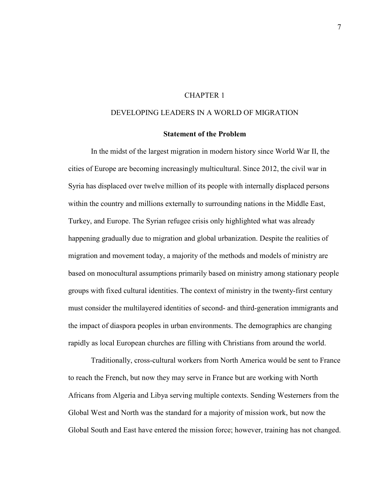#### CHAPTER 1

#### DEVELOPING LEADERS IN A WORLD OF MIGRATION

#### **Statement of the Problem**

In the midst of the largest migration in modern history since World War II, the cities of Europe are becoming increasingly multicultural. Since 2012, the civil war in Syria has displaced over twelve million of its people with internally displaced persons within the country and millions externally to surrounding nations in the Middle East, Turkey, and Europe. The Syrian refugee crisis only highlighted what was already happening gradually due to migration and global urbanization. Despite the realities of migration and movement today, a majority of the methods and models of ministry are based on monocultural assumptions primarily based on ministry among stationary people groups with fixed cultural identities. The context of ministry in the twenty-first century must consider the multilayered identities of second- and third-generation immigrants and the impact of diaspora peoples in urban environments. The demographics are changing rapidly as local European churches are filling with Christians from around the world.

Traditionally, cross-cultural workers from North America would be sent to France to reach the French, but now they may serve in France but are working with North Africans from Algeria and Libya serving multiple contexts. Sending Westerners from the Global West and North was the standard for a majority of mission work, but now the Global South and East have entered the mission force; however, training has not changed.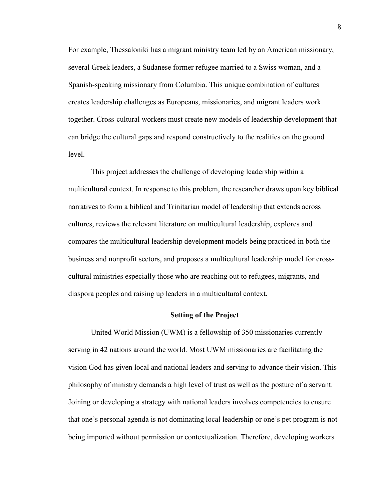For example, Thessaloniki has a migrant ministry team led by an American missionary, several Greek leaders, a Sudanese former refugee married to a Swiss woman, and a Spanish-speaking missionary from Columbia. This unique combination of cultures creates leadership challenges as Europeans, missionaries, and migrant leaders work together. Cross-cultural workers must create new models of leadership development that can bridge the cultural gaps and respond constructively to the realities on the ground level.

This project addresses the challenge of developing leadership within a multicultural context. In response to this problem, the researcher draws upon key biblical narratives to form a biblical and Trinitarian model of leadership that extends across cultures, reviews the relevant literature on multicultural leadership, explores and compares the multicultural leadership development models being practiced in both the business and nonprofit sectors, and proposes a multicultural leadership model for crosscultural ministries especially those who are reaching out to refugees, migrants, and diaspora peoples and raising up leaders in a multicultural context.

#### **Setting of the Project**

United World Mission (UWM) is a fellowship of 350 missionaries currently serving in 42 nations around the world. Most UWM missionaries are facilitating the vision God has given local and national leaders and serving to advance their vision. This philosophy of ministry demands a high level of trust as well as the posture of a servant. Joining or developing a strategy with national leaders involves competencies to ensure that one's personal agenda is not dominating local leadership or one's pet program is not being imported without permission or contextualization. Therefore, developing workers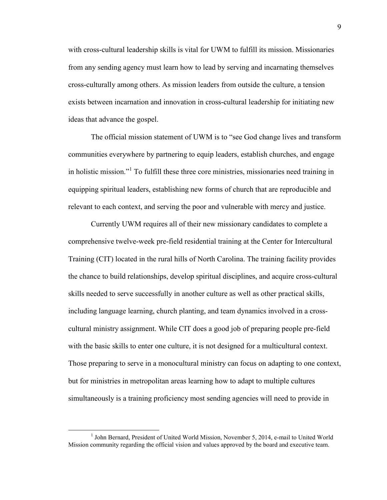with cross-cultural leadership skills is vital for UWM to fulfill its mission. Missionaries from any sending agency must learn how to lead by serving and incarnating themselves cross-culturally among others. As mission leaders from outside the culture, a tension exists between incarnation and innovation in cross-cultural leadership for initiating new ideas that advance the gospel.

The official mission statement of UWM is to "see God change lives and transform communities everywhere by partnering to equip leaders, establish churches, and engage in holistic mission."[1](#page-10-0) To fulfill these three core ministries, missionaries need training in equipping spiritual leaders, establishing new forms of church that are reproducible and relevant to each context, and serving the poor and vulnerable with mercy and justice.

Currently UWM requires all of their new missionary candidates to complete a comprehensive twelve-week pre-field residential training at the Center for Intercultural Training (CIT) located in the rural hills of North Carolina. The training facility provides the chance to build relationships, develop spiritual disciplines, and acquire cross-cultural skills needed to serve successfully in another culture as well as other practical skills, including language learning, church planting, and team dynamics involved in a crosscultural ministry assignment. While CIT does a good job of preparing people pre-field with the basic skills to enter one culture, it is not designed for a multicultural context. Those preparing to serve in a monocultural ministry can focus on adapting to one context, but for ministries in metropolitan areas learning how to adapt to multiple cultures simultaneously is a training proficiency most sending agencies will need to provide in

<span id="page-10-0"></span><sup>&</sup>lt;sup>1</sup> John Bernard, President of United World Mission, November 5, 2014, e-mail to United World Mission community regarding the official vision and values approved by the board and executive team.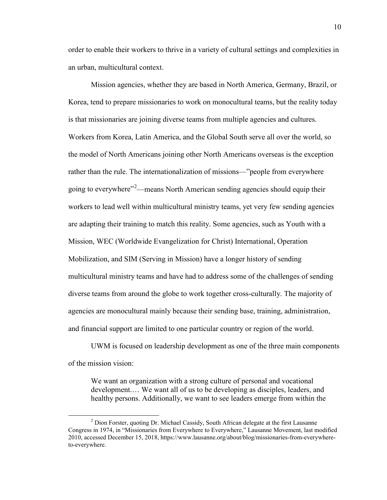order to enable their workers to thrive in a variety of cultural settings and complexities in an urban, multicultural context.

Mission agencies, whether they are based in North America, Germany, Brazil, or Korea, tend to prepare missionaries to work on monocultural teams, but the reality today is that missionaries are joining diverse teams from multiple agencies and cultures. Workers from Korea, Latin America, and the Global South serve all over the world, so the model of North Americans joining other North Americans overseas is the exception rather than the rule. The internationalization of missions—"people from everywhere going to everywhere"<sup>[2](#page-11-0)</sup>—means North American sending agencies should equip their workers to lead well within multicultural ministry teams, yet very few sending agencies are adapting their training to match this reality. Some agencies, such as Youth with a Mission, WEC (Worldwide Evangelization for Christ) International, Operation Mobilization, and SIM (Serving in Mission) have a longer history of sending multicultural ministry teams and have had to address some of the challenges of sending diverse teams from around the globe to work together cross-culturally. The majority of agencies are monocultural mainly because their sending base, training, administration, and financial support are limited to one particular country or region of the world.

UWM is focused on leadership development as one of the three main components of the mission vision:

We want an organization with a strong culture of personal and vocational development.… We want all of us to be developing as disciples, leaders, and healthy persons. Additionally, we want to see leaders emerge from within the 10

<span id="page-11-0"></span><sup>&</sup>lt;sup>2</sup> Dion Forster, quoting Dr. Michael Cassidy, South African delegate at the first Lausanne Congress in 1974, in "Missionaries from Everywhere to Everywhere," Lausanne Movement, last modified 2010, accessed December 15, 2018, https://www.lausanne.org/about/blog/missionaries-from-everywhereto-everywhere.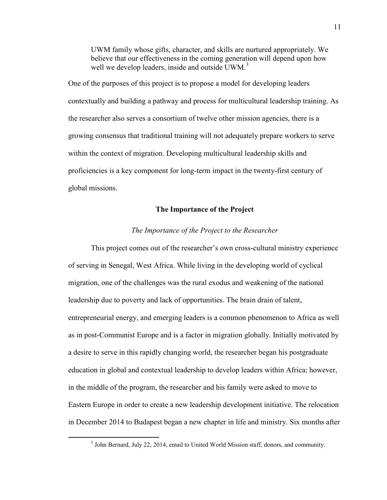UWM family whose gifts, character, and skills are nurtured appropriately. We believe that our effectiveness in the coming generation will depend upon how well we develop leaders, inside and outside UWM.<sup>[3](#page-12-0)</sup>

One of the purposes of this project is to propose a model for developing leaders contextually and building a pathway and process for multicultural leadership training. As the researcher also serves a consortium of twelve other mission agencies, there is a growing consensus that traditional training will not adequately prepare workers to serve within the context of migration. Developing multicultural leadership skills and proficiencies is a key component for long-term impact in the twenty-first century of global missions.

#### **The Importance of the Project**

#### *The Importance of the Project to the Researcher*

This project comes out of the researcher's own cross-cultural ministry experience of serving in Senegal, West Africa. While living in the developing world of cyclical migration, one of the challenges was the rural exodus and weakening of the national leadership due to poverty and lack of opportunities. The brain drain of talent, entrepreneurial energy, and emerging leaders is a common phenomenon to Africa as well as in post-Communist Europe and is a factor in migration globally. Initially motivated by a desire to serve in this rapidly changing world, the researcher began his postgraduate education in global and contextual leadership to develop leaders within Africa; however, in the middle of the program, the researcher and his family were asked to move to Eastern Europe in order to create a new leadership development initiative. The relocation in December 2014 to Budapest began a new chapter in life and ministry. Six months after

<span id="page-12-0"></span> <sup>3</sup> John Bernard, July 22, 2014, email to United World Mission staff, donors, and community.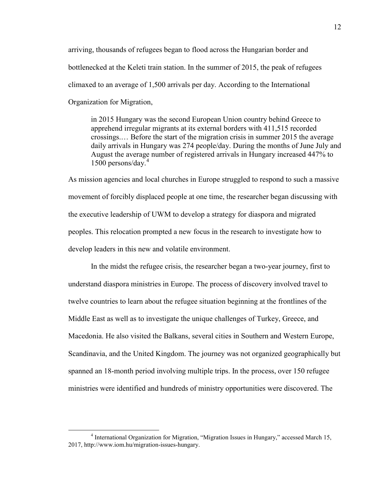arriving, thousands of refugees began to flood across the Hungarian border and bottlenecked at the Keleti train station. In the summer of 2015, the peak of refugees climaxed to an average of 1,500 arrivals per day. According to the International Organization for Migration,

in 2015 Hungary was the second European Union country behind Greece to apprehend irregular migrants at its external borders with 411,515 recorded crossings.… Before the start of the migration crisis in summer 2015 the average daily arrivals in Hungary was 274 people/day. During the months of June July and August the average number of registered arrivals in Hungary increased 447% to 1500 persons/day. $4\degree$  $4\degree$ 

As mission agencies and local churches in Europe struggled to respond to such a massive movement of forcibly displaced people at one time, the researcher began discussing with the executive leadership of UWM to develop a strategy for diaspora and migrated peoples. This relocation prompted a new focus in the research to investigate how to develop leaders in this new and volatile environment.

In the midst the refugee crisis, the researcher began a two-year journey, first to understand diaspora ministries in Europe. The process of discovery involved travel to twelve countries to learn about the refugee situation beginning at the frontlines of the Middle East as well as to investigate the unique challenges of Turkey, Greece, and Macedonia. He also visited the Balkans, several cities in Southern and Western Europe, Scandinavia, and the United Kingdom. The journey was not organized geographically but spanned an 18-month period involving multiple trips. In the process, over 150 refugee ministries were identified and hundreds of ministry opportunities were discovered. The

<span id="page-13-0"></span> $\frac{1}{4}$ <sup>4</sup> International Organization for Migration, "Migration Issues in Hungary," accessed March 15, 2017, http://www.iom.hu/migration-issues-hungary.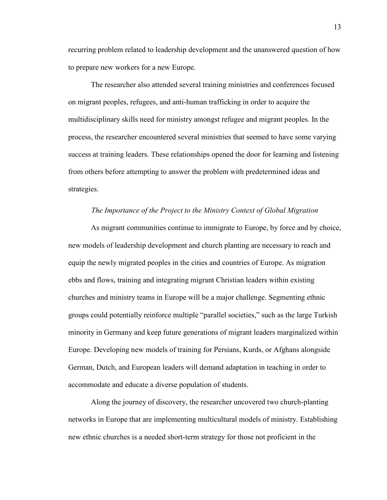recurring problem related to leadership development and the unanswered question of how to prepare new workers for a new Europe.

The researcher also attended several training ministries and conferences focused on migrant peoples, refugees, and anti-human trafficking in order to acquire the multidisciplinary skills need for ministry amongst refugee and migrant peoples. In the process, the researcher encountered several ministries that seemed to have some varying success at training leaders. These relationships opened the door for learning and listening from others before attempting to answer the problem with predetermined ideas and strategies.

#### *The Importance of the Project to the Ministry Context of Global Migration*

As migrant communities continue to immigrate to Europe, by force and by choice, new models of leadership development and church planting are necessary to reach and equip the newly migrated peoples in the cities and countries of Europe. As migration ebbs and flows, training and integrating migrant Christian leaders within existing churches and ministry teams in Europe will be a major challenge. Segmenting ethnic groups could potentially reinforce multiple "parallel societies," such as the large Turkish minority in Germany and keep future generations of migrant leaders marginalized within Europe. Developing new models of training for Persians, Kurds, or Afghans alongside German, Dutch, and European leaders will demand adaptation in teaching in order to accommodate and educate a diverse population of students.

Along the journey of discovery, the researcher uncovered two church-planting networks in Europe that are implementing multicultural models of ministry. Establishing new ethnic churches is a needed short-term strategy for those not proficient in the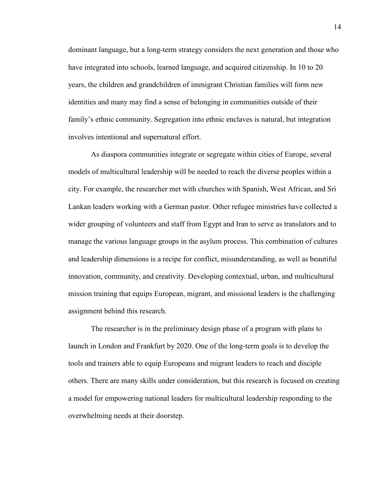dominant language, but a long-term strategy considers the next generation and those who have integrated into schools, learned language, and acquired citizenship. In 10 to 20 years, the children and grandchildren of immigrant Christian families will form new identities and many may find a sense of belonging in communities outside of their family's ethnic community. Segregation into ethnic enclaves is natural, but integration involves intentional and supernatural effort.

As diaspora communities integrate or segregate within cities of Europe, several models of multicultural leadership will be needed to reach the diverse peoples within a city. For example, the researcher met with churches with Spanish, West African, and Sri Lankan leaders working with a German pastor. Other refugee ministries have collected a wider grouping of volunteers and staff from Egypt and Iran to serve as translators and to manage the various language groups in the asylum process. This combination of cultures and leadership dimensions is a recipe for conflict, misunderstanding, as well as beautiful innovation, community, and creativity. Developing contextual, urban, and multicultural mission training that equips European, migrant, and missional leaders is the challenging assignment behind this research.

The researcher is in the preliminary design phase of a program with plans to launch in London and Frankfurt by 2020. One of the long-term goals is to develop the tools and trainers able to equip Europeans and migrant leaders to reach and disciple others. There are many skills under consideration, but this research is focused on creating a model for empowering national leaders for multicultural leadership responding to the overwhelming needs at their doorstep.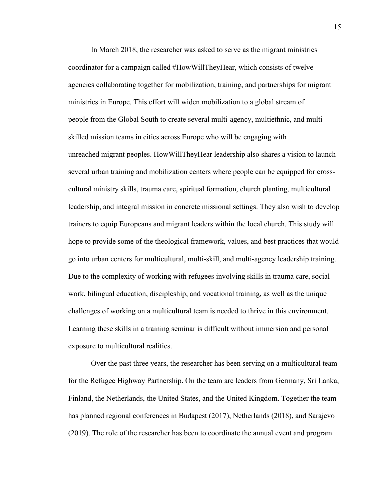In March 2018, the researcher was asked to serve as the migrant ministries coordinator for a campaign called #HowWillTheyHear, which consists of twelve agencies collaborating together for mobilization, training, and partnerships for migrant ministries in Europe. This effort will widen mobilization to a global stream of people from the Global South to create several multi-agency, multiethnic, and multiskilled mission teams in cities across Europe who will be engaging with unreached migrant peoples. HowWillTheyHear leadership also shares a vision to launch several urban training and mobilization centers where people can be equipped for crosscultural ministry skills, trauma care, spiritual formation, church planting, multicultural leadership, and integral mission in concrete missional settings. They also wish to develop trainers to equip Europeans and migrant leaders within the local church. This study will hope to provide some of the theological framework, values, and best practices that would go into urban centers for multicultural, multi-skill, and multi-agency leadership training. Due to the complexity of working with refugees involving skills in trauma care, social work, bilingual education, discipleship, and vocational training, as well as the unique challenges of working on a multicultural team is needed to thrive in this environment. Learning these skills in a training seminar is difficult without immersion and personal exposure to multicultural realities.

Over the past three years, the researcher has been serving on a multicultural team for the Refugee Highway Partnership. On the team are leaders from Germany, Sri Lanka, Finland, the Netherlands, the United States, and the United Kingdom. Together the team has planned regional conferences in Budapest (2017), Netherlands (2018), and Sarajevo (2019). The role of the researcher has been to coordinate the annual event and program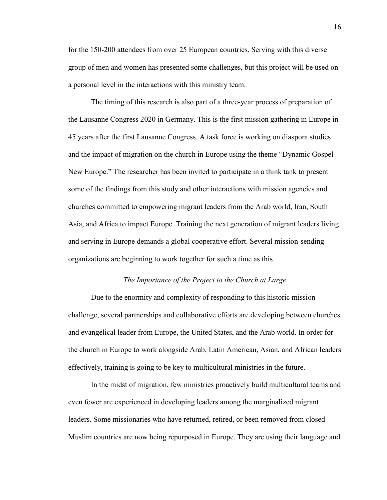for the 150-200 attendees from over 25 European countries. Serving with this diverse group of men and women has presented some challenges, but this project will be used on a personal level in the interactions with this ministry team.

The timing of this research is also part of a three-year process of preparation of the Lausanne Congress 2020 in Germany. This is the first mission gathering in Europe in 45 years after the first Lausanne Congress. A task force is working on diaspora studies and the impact of migration on the church in Europe using the theme "Dynamic Gospel— New Europe." The researcher has been invited to participate in a think tank to present some of the findings from this study and other interactions with mission agencies and churches committed to empowering migrant leaders from the Arab world, Iran, South Asia, and Africa to impact Europe. Training the next generation of migrant leaders living and serving in Europe demands a global cooperative effort. Several mission-sending organizations are beginning to work together for such a time as this.

#### *The Importance of the Project to the Church at Large*

Due to the enormity and complexity of responding to this historic mission challenge, several partnerships and collaborative efforts are developing between churches and evangelical leader from Europe, the United States, and the Arab world. In order for the church in Europe to work alongside Arab, Latin American, Asian, and African leaders effectively, training is going to be key to multicultural ministries in the future.

In the midst of migration, few ministries proactively build multicultural teams and even fewer are experienced in developing leaders among the marginalized migrant leaders. Some missionaries who have returned, retired, or been removed from closed Muslim countries are now being repurposed in Europe. They are using their language and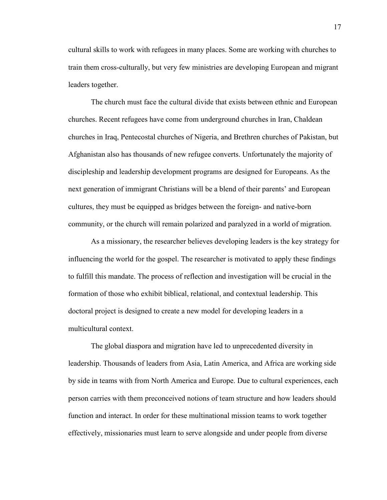cultural skills to work with refugees in many places. Some are working with churches to train them cross-culturally, but very few ministries are developing European and migrant leaders together.

The church must face the cultural divide that exists between ethnic and European churches. Recent refugees have come from underground churches in Iran, Chaldean churches in Iraq, Pentecostal churches of Nigeria, and Brethren churches of Pakistan, but Afghanistan also has thousands of new refugee converts. Unfortunately the majority of discipleship and leadership development programs are designed for Europeans. As the next generation of immigrant Christians will be a blend of their parents' and European cultures, they must be equipped as bridges between the foreign- and native-born community, or the church will remain polarized and paralyzed in a world of migration.

As a missionary, the researcher believes developing leaders is the key strategy for influencing the world for the gospel. The researcher is motivated to apply these findings to fulfill this mandate. The process of reflection and investigation will be crucial in the formation of those who exhibit biblical, relational, and contextual leadership. This doctoral project is designed to create a new model for developing leaders in a multicultural context.

The global diaspora and migration have led to unprecedented diversity in leadership. Thousands of leaders from Asia, Latin America, and Africa are working side by side in teams with from North America and Europe. Due to cultural experiences, each person carries with them preconceived notions of team structure and how leaders should function and interact. In order for these multinational mission teams to work together effectively, missionaries must learn to serve alongside and under people from diverse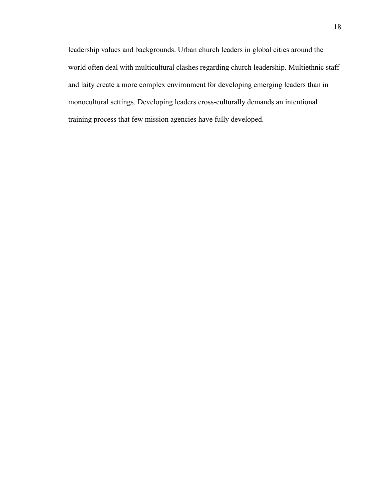leadership values and backgrounds. Urban church leaders in global cities around the world often deal with multicultural clashes regarding church leadership. Multiethnic staff and laity create a more complex environment for developing emerging leaders than in monocultural settings. Developing leaders cross-culturally demands an intentional training process that few mission agencies have fully developed.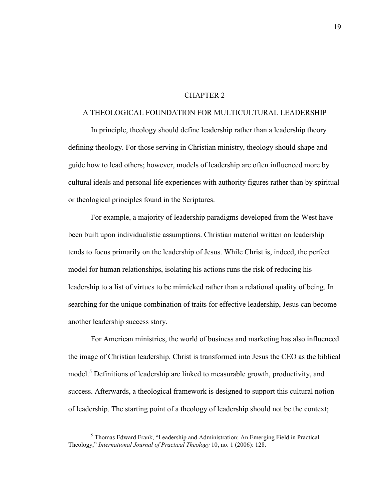#### CHAPTER 2

#### A THEOLOGICAL FOUNDATION FOR MULTICULTURAL LEADERSHIP

In principle, theology should define leadership rather than a leadership theory defining theology. For those serving in Christian ministry, theology should shape and guide how to lead others; however, models of leadership are often influenced more by cultural ideals and personal life experiences with authority figures rather than by spiritual or theological principles found in the Scriptures.

For example, a majority of leadership paradigms developed from the West have been built upon individualistic assumptions. Christian material written on leadership tends to focus primarily on the leadership of Jesus. While Christ is, indeed, the perfect model for human relationships, isolating his actions runs the risk of reducing his leadership to a list of virtues to be mimicked rather than a relational quality of being. In searching for the unique combination of traits for effective leadership, Jesus can become another leadership success story.

For American ministries, the world of business and marketing has also influenced the image of Christian leadership. Christ is transformed into Jesus the CEO as the biblical model.<sup>[5](#page-20-0)</sup> Definitions of leadership are linked to measurable growth, productivity, and success. Afterwards, a theological framework is designed to support this cultural notion of leadership. The starting point of a theology of leadership should not be the context;

<span id="page-20-0"></span> <sup>5</sup> Thomas Edward Frank, "Leadership and Administration: An Emerging Field in Practical Theology," *International Journal of Practical Theology* 10, no. 1 (2006): 128.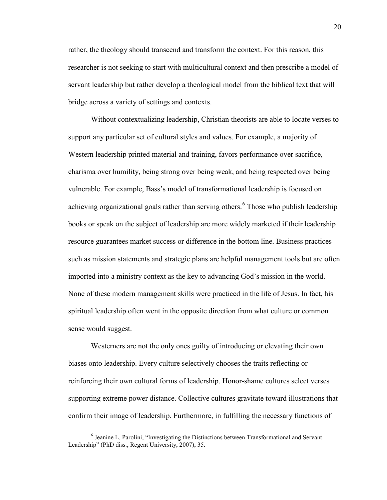rather, the theology should transcend and transform the context. For this reason, this researcher is not seeking to start with multicultural context and then prescribe a model of servant leadership but rather develop a theological model from the biblical text that will bridge across a variety of settings and contexts.

Without contextualizing leadership, Christian theorists are able to locate verses to support any particular set of cultural styles and values. For example, a majority of Western leadership printed material and training, favors performance over sacrifice, charisma over humility, being strong over being weak, and being respected over being vulnerable. For example, Bass's model of transformational leadership is focused on achieving organizational goals rather than serving others.<sup>[6](#page-21-0)</sup> Those who publish leadership books or speak on the subject of leadership are more widely marketed if their leadership resource guarantees market success or difference in the bottom line. Business practices such as mission statements and strategic plans are helpful management tools but are often imported into a ministry context as the key to advancing God's mission in the world. None of these modern management skills were practiced in the life of Jesus. In fact, his spiritual leadership often went in the opposite direction from what culture or common sense would suggest.

Westerners are not the only ones guilty of introducing or elevating their own biases onto leadership. Every culture selectively chooses the traits reflecting or reinforcing their own cultural forms of leadership. Honor-shame cultures select verses supporting extreme power distance. Collective cultures gravitate toward illustrations that confirm their image of leadership. Furthermore, in fulfilling the necessary functions of

<span id="page-21-0"></span> <sup>6</sup> Jeanine L. Parolini, "Investigating the Distinctions between Transformational and Servant Leadership" (PhD diss., Regent University, 2007), 35.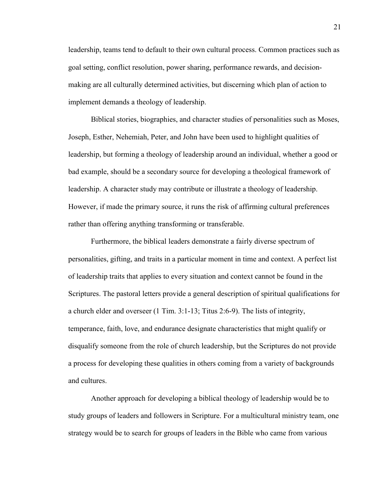leadership, teams tend to default to their own cultural process. Common practices such as goal setting, conflict resolution, power sharing, performance rewards, and decisionmaking are all culturally determined activities, but discerning which plan of action to implement demands a theology of leadership.

Biblical stories, biographies, and character studies of personalities such as Moses, Joseph, Esther, Nehemiah, Peter, and John have been used to highlight qualities of leadership, but forming a theology of leadership around an individual, whether a good or bad example, should be a secondary source for developing a theological framework of leadership. A character study may contribute or illustrate a theology of leadership. However, if made the primary source, it runs the risk of affirming cultural preferences rather than offering anything transforming or transferable.

Furthermore, the biblical leaders demonstrate a fairly diverse spectrum of personalities, gifting, and traits in a particular moment in time and context. A perfect list of leadership traits that applies to every situation and context cannot be found in the Scriptures. The pastoral letters provide a general description of spiritual qualifications for a church elder and overseer (1 Tim. 3:1-13; Titus 2:6-9). The lists of integrity, temperance, faith, love, and endurance designate characteristics that might qualify or disqualify someone from the role of church leadership, but the Scriptures do not provide a process for developing these qualities in others coming from a variety of backgrounds and cultures.

Another approach for developing a biblical theology of leadership would be to study groups of leaders and followers in Scripture. For a multicultural ministry team, one strategy would be to search for groups of leaders in the Bible who came from various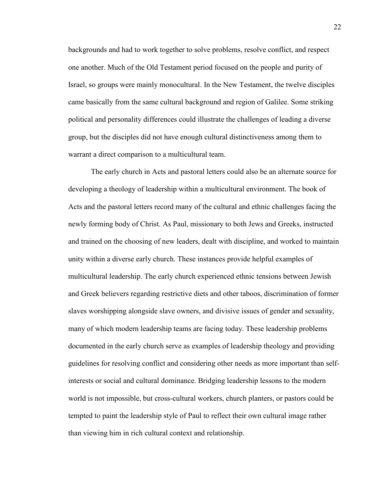backgrounds and had to work together to solve problems, resolve conflict, and respect one another. Much of the Old Testament period focused on the people and purity of Israel, so groups were mainly monocultural. In the New Testament, the twelve disciples came basically from the same cultural background and region of Galilee. Some striking political and personality differences could illustrate the challenges of leading a diverse group, but the disciples did not have enough cultural distinctiveness among them to warrant a direct comparison to a multicultural team.

The early church in Acts and pastoral letters could also be an alternate source for developing a theology of leadership within a multicultural environment. The book of Acts and the pastoral letters record many of the cultural and ethnic challenges facing the newly forming body of Christ. As Paul, missionary to both Jews and Greeks, instructed and trained on the choosing of new leaders, dealt with discipline, and worked to maintain unity within a diverse early church. These instances provide helpful examples of multicultural leadership. The early church experienced ethnic tensions between Jewish and Greek believers regarding restrictive diets and other taboos, discrimination of former slaves worshipping alongside slave owners, and divisive issues of gender and sexuality, many of which modern leadership teams are facing today. These leadership problems documented in the early church serve as examples of leadership theology and providing guidelines for resolving conflict and considering other needs as more important than selfinterests or social and cultural dominance. Bridging leadership lessons to the modern world is not impossible, but cross-cultural workers, church planters, or pastors could be tempted to paint the leadership style of Paul to reflect their own cultural image rather than viewing him in rich cultural context and relationship.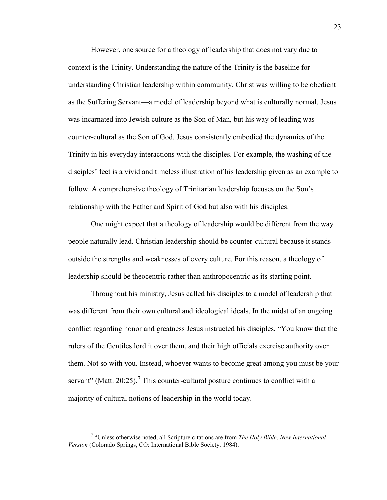However, one source for a theology of leadership that does not vary due to context is the Trinity. Understanding the nature of the Trinity is the baseline for understanding Christian leadership within community. Christ was willing to be obedient as the Suffering Servant—a model of leadership beyond what is culturally normal. Jesus was incarnated into Jewish culture as the Son of Man, but his way of leading was counter-cultural as the Son of God. Jesus consistently embodied the dynamics of the Trinity in his everyday interactions with the disciples. For example, the washing of the disciples' feet is a vivid and timeless illustration of his leadership given as an example to follow. A comprehensive theology of Trinitarian leadership focuses on the Son's relationship with the Father and Spirit of God but also with his disciples.

One might expect that a theology of leadership would be different from the way people naturally lead. Christian leadership should be counter-cultural because it stands outside the strengths and weaknesses of every culture. For this reason, a theology of leadership should be theocentric rather than anthropocentric as its starting point.

Throughout his ministry, Jesus called his disciples to a model of leadership that was different from their own cultural and ideological ideals. In the midst of an ongoing conflict regarding honor and greatness Jesus instructed his disciples, "You know that the rulers of the Gentiles lord it over them, and their high officials exercise authority over them. Not so with you. Instead, whoever wants to become great among you must be your servant" (Matt. 20:25).<sup>[7](#page-24-0)</sup> This counter-cultural posture continues to conflict with a majority of cultural notions of leadership in the world today.

<span id="page-24-0"></span> <sup>7</sup> "Unless otherwise noted, all Scripture citations are from *The Holy Bible, New International Version* (Colorado Springs, CO: International Bible Society, 1984).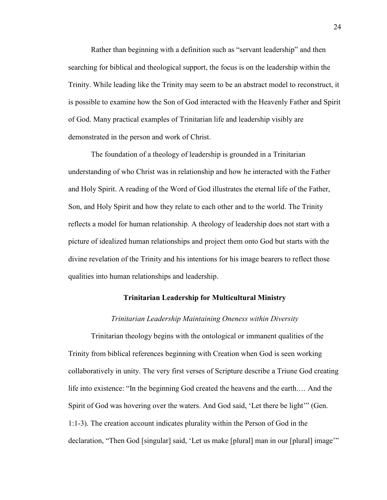Rather than beginning with a definition such as "servant leadership" and then searching for biblical and theological support, the focus is on the leadership within the Trinity. While leading like the Trinity may seem to be an abstract model to reconstruct, it is possible to examine how the Son of God interacted with the Heavenly Father and Spirit of God. Many practical examples of Trinitarian life and leadership visibly are demonstrated in the person and work of Christ.

The foundation of a theology of leadership is grounded in a Trinitarian understanding of who Christ was in relationship and how he interacted with the Father and Holy Spirit. A reading of the Word of God illustrates the eternal life of the Father, Son, and Holy Spirit and how they relate to each other and to the world. The Trinity reflects a model for human relationship. A theology of leadership does not start with a picture of idealized human relationships and project them onto God but starts with the divine revelation of the Trinity and his intentions for his image bearers to reflect those qualities into human relationships and leadership.

#### **Trinitarian Leadership for Multicultural Ministry**

#### *Trinitarian Leadership Maintaining Oneness within Diversity*

Trinitarian theology begins with the ontological or immanent qualities of the Trinity from biblical references beginning with Creation when God is seen working collaboratively in unity. The very first verses of Scripture describe a Triune God creating life into existence: "In the beginning God created the heavens and the earth.… And the Spirit of God was hovering over the waters. And God said, 'Let there be light'" (Gen. 1:1-3). The creation account indicates plurality within the Person of God in the declaration, "Then God [singular] said, 'Let us make [plural] man in our [plural] image'"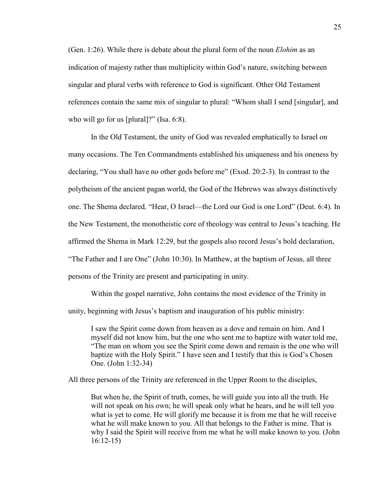(Gen. 1:26). While there is debate about the plural form of the noun *Elohim* as an indication of majesty rather than multiplicity within God's nature, switching between singular and plural verbs with reference to God is significant. Other Old Testament references contain the same mix of singular to plural: "Whom shall I send [singular], and who will go for us [plural]?" (Isa. 6:8).

In the Old Testament, the unity of God was revealed emphatically to Israel on many occasions. The Ten Commandments established his uniqueness and his oneness by declaring, "You shall have no other gods before me" (Exod. 20:2-3). In contrast to the polytheism of the ancient pagan world, the God of the Hebrews was always distinctively one. The Shema declared*,* "Hear, O Israel—the Lord our God is one Lord" (Deut. 6:4). In the New Testament, the monotheistic core of theology was central to Jesus's teaching. He affirmed the Shema in Mark 12:29, but the gospels also record Jesus's bold declaration, "The Father and I are One" (John 10:30). In Matthew, at the baptism of Jesus, all three persons of the Trinity are present and participating in unity.

Within the gospel narrative, John contains the most evidence of the Trinity in unity, beginning with Jesus's baptism and inauguration of his public ministry:

I saw the Spirit come down from heaven as a dove and remain on him. And I myself did not know him, but the one who sent me to baptize with water told me, "The man on whom you see the Spirit come down and remain is the one who will baptize with the Holy Spirit." I have seen and I testify that this is God's Chosen One. (John 1:32-34)

All three persons of the Trinity are referenced in the Upper Room to the disciples,

But when he, the Spirit of truth, comes, he will guide you into all the truth. He will not speak on his own; he will speak only what he hears, and he will tell you what is yet to come. He will glorify me because it is from me that he will receive what he will make known to you. All that belongs to the Father is mine. That is why I said the Spirit will receive from me what he will make known to you. (John 16:12-15)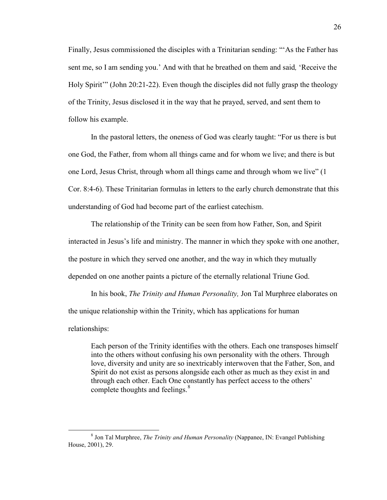Finally, Jesus commissioned the disciples with a Trinitarian sending: "'As the Father has sent me, so I am sending you.' And with that he breathed on them and said*,* 'Receive the Holy Spirit'" (John 20:21-22). Even though the disciples did not fully grasp the theology of the Trinity, Jesus disclosed it in the way that he prayed, served, and sent them to follow his example.

In the pastoral letters, the oneness of God was clearly taught: "For us there is but one God, the Father, from whom all things came and for whom we live; and there is but one Lord, Jesus Christ, through whom all things came and through whom we live" (1 Cor. 8:4-6). These Trinitarian formulas in letters to the early church demonstrate that this understanding of God had become part of the earliest catechism.

The relationship of the Trinity can be seen from how Father, Son, and Spirit interacted in Jesus's life and ministry. The manner in which they spoke with one another, the posture in which they served one another, and the way in which they mutually depended on one another paints a picture of the eternally relational Triune God.

In his book, *The Trinity and Human Personality,* Jon Tal Murphree elaborates on the unique relationship within the Trinity, which has applications for human relationships:

Each person of the Trinity identifies with the others. Each one transposes himself into the others without confusing his own personality with the others. Through love, diversity and unity are so inextricably interwoven that the Father, Son, and Spirit do not exist as persons alongside each other as much as they exist in and through each other. Each One constantly has perfect access to the others' complete thoughts and feelings.<sup>[8](#page-27-0)</sup>

<span id="page-27-0"></span> <sup>8</sup> Jon Tal Murphree, *The Trinity and Human Personality* (Nappanee, IN: Evangel Publishing House, 2001), 29.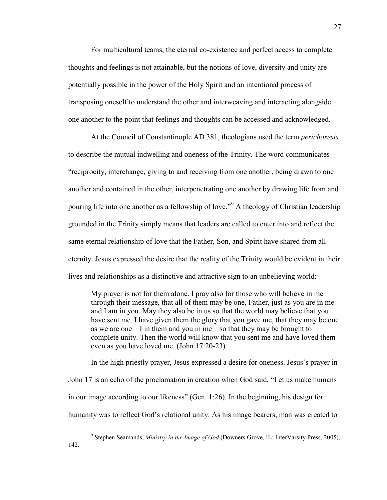For multicultural teams, the eternal co-existence and perfect access to complete thoughts and feelings is not attainable, but the notions of love, diversity and unity are potentially possible in the power of the Holy Spirit and an intentional process of transposing oneself to understand the other and interweaving and interacting alongside one another to the point that feelings and thoughts can be accessed and acknowledged.

At the Council of Constantinople AD 381, theologians used the term *perichoresis*  to describe the mutual indwelling and oneness of the Trinity. The word communicates "reciprocity, interchange, giving to and receiving from one another, being drawn to one another and contained in the other, interpenetrating one another by drawing life from and pouring life into one another as a fellowship of love."<sup>[9](#page-28-0)</sup> A theology of Christian leadership grounded in the Trinity simply means that leaders are called to enter into and reflect the same eternal relationship of love that the Father, Son, and Spirit have shared from all eternity. Jesus expressed the desire that the reality of the Trinity would be evident in their lives and relationships as a distinctive and attractive sign to an unbelieving world:

My prayer is not for them alone. I pray also for those who will believe in me through their message, that all of them may be one, Father, just as you are in me and I am in you. May they also be in us so that the world may believe that you have sent me. I have given them the glory that you gave me, that they may be one as we are one—I in them and you in me—so that they may be brought to complete unity. Then the world will know that you sent me and have loved them even as you have loved me. (John 17:20-23)

In the high priestly prayer, Jesus expressed a desire for oneness. Jesus's prayer in John 17 is an echo of the proclamation in creation when God said, "Let us make humans in our image according to our likeness" (Gen. 1:26). In the beginning, his design for humanity was to reflect God's relational unity. As his image bearers, man was created to

<span id="page-28-0"></span> <sup>9</sup> Stephen Seamands, *Ministry in the Image of God* (Downers Grove, IL: InterVarsity Press, 2005), 142.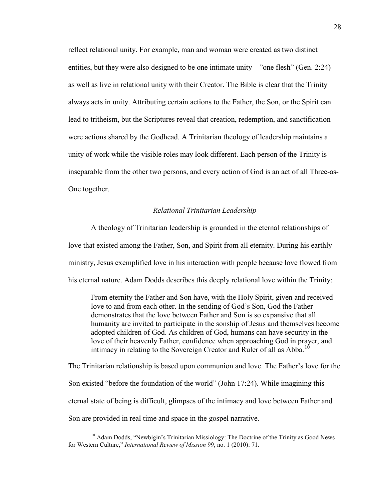reflect relational unity. For example, man and woman were created as two distinct entities, but they were also designed to be one intimate unity—"one flesh" (Gen. 2:24) as well as live in relational unity with their Creator. The Bible is clear that the Trinity always acts in unity. Attributing certain actions to the Father, the Son, or the Spirit can lead to tritheism, but the Scriptures reveal that creation, redemption, and sanctification were actions shared by the Godhead. A Trinitarian theology of leadership maintains a unity of work while the visible roles may look different. Each person of the Trinity is inseparable from the other two persons, and every action of God is an act of all Three-as-One together.

#### *Relational Trinitarian Leadership*

A theology of Trinitarian leadership is grounded in the eternal relationships of love that existed among the Father, Son, and Spirit from all eternity. During his earthly ministry, Jesus exemplified love in his interaction with people because love flowed from his eternal nature. Adam Dodds describes this deeply relational love within the Trinity:

From eternity the Father and Son have, with the Holy Spirit, given and received love to and from each other. In the sending of God's Son, God the Father demonstrates that the love between Father and Son is so expansive that all humanity are invited to participate in the sonship of Jesus and themselves become adopted children of God. As children of God, humans can have security in the love of their heavenly Father, confidence when approaching God in prayer, and intimacy in relating to the Sovereign Creator and Ruler of all as Abba.<sup>[10](#page-29-0)</sup>

The Trinitarian relationship is based upon communion and love. The Father's love for the Son existed "before the foundation of the world" (John 17:24). While imagining this eternal state of being is difficult, glimpses of the intimacy and love between Father and Son are provided in real time and space in the gospel narrative.

<span id="page-29-0"></span><sup>&</sup>lt;sup>10</sup> Adam Dodds, "Newbigin's Trinitarian Missiology: The Doctrine of the Trinity as Good News for Western Culture," *International Review of Mission* 99, no. 1 (2010): 71.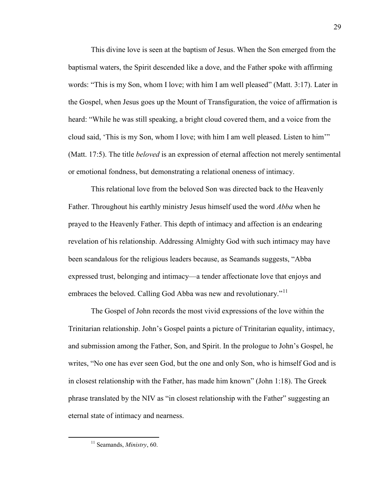This divine love is seen at the baptism of Jesus. When the Son emerged from the baptismal waters, the Spirit descended like a dove, and the Father spoke with affirming words: "This is my Son, whom I love; with him I am well pleased" (Matt. 3:17). Later in the Gospel, when Jesus goes up the Mount of Transfiguration, the voice of affirmation is heard: "While he was still speaking, a bright cloud covered them, and a voice from the cloud said, 'This is my Son, whom I love; with him I am well pleased. Listen to him'" (Matt. 17:5). The title *beloved* is an expression of eternal affection not merely sentimental or emotional fondness, but demonstrating a relational oneness of intimacy.

This relational love from the beloved Son was directed back to the Heavenly Father. Throughout his earthly ministry Jesus himself used the word *Abba* when he prayed to the Heavenly Father. This depth of intimacy and affection is an endearing revelation of his relationship. Addressing Almighty God with such intimacy may have been scandalous for the religious leaders because, as Seamands suggests, "Abba expressed trust, belonging and intimacy—a tender affectionate love that enjoys and embraces the beloved. Calling God Abba was new and revolutionary."<sup>[11](#page-30-0)</sup>

The Gospel of John records the most vivid expressions of the love within the Trinitarian relationship. John's Gospel paints a picture of Trinitarian equality, intimacy, and submission among the Father, Son, and Spirit. In the prologue to John's Gospel, he writes, "No one has ever seen God, but the one and only Son, who is himself God and is in closest relationship with the Father, has made him known" (John 1:18). The Greek phrase translated by the NIV as "in closest relationship with the Father" suggesting an eternal state of intimacy and nearness.

<span id="page-30-0"></span> <sup>11</sup> Seamands, *Ministry*, 60.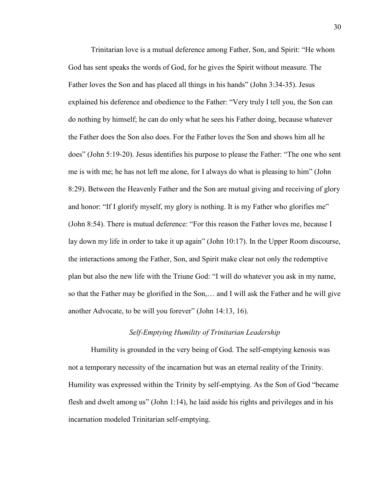Trinitarian love is a mutual deference among Father, Son, and Spirit: "He whom God has sent speaks the words of God, for he gives the Spirit without measure. The Father loves the Son and has placed all things in his hands" (John 3:34-35). Jesus explained his deference and obedience to the Father: "Very truly I tell you, the Son can do nothing by himself; he can do only what he sees his Father doing, because whatever the Father does the Son also does. For the Father loves the Son and shows him all he does" (John 5:19-20). Jesus identifies his purpose to please the Father: "The one who sent me is with me; he has not left me alone, for I always do what is pleasing to him" (John 8:29). Between the Heavenly Father and the Son are mutual giving and receiving of glory and honor: "If I glorify myself, my glory is nothing. It is my Father who glorifies me" (John 8:54). There is mutual deference: "For this reason the Father loves me, because I lay down my life in order to take it up again" (John 10:17). In the Upper Room discourse, the interactions among the Father, Son, and Spirit make clear not only the redemptive plan but also the new life with the Triune God: "I will do whatever you ask in my name, so that the Father may be glorified in the Son,… and I will ask the Father and he will give another Advocate, to be will you forever" (John 14:13, 16).

#### *Self-Emptying Humility of Trinitarian Leadership*

Humility is grounded in the very being of God. The self-emptying kenosis was not a temporary necessity of the incarnation but was an eternal reality of the Trinity. Humility was expressed within the Trinity by self-emptying. As the Son of God "became flesh and dwelt among us" (John 1:14), he laid aside his rights and privileges and in his incarnation modeled Trinitarian self-emptying.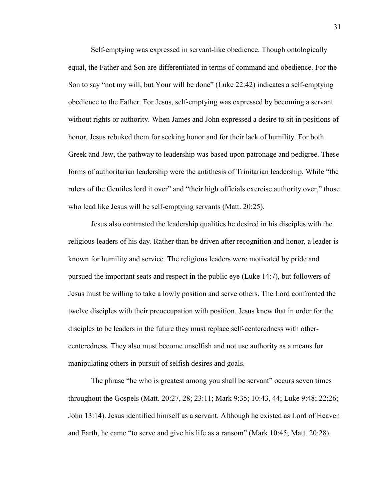Self-emptying was expressed in servant-like obedience. Though ontologically equal, the Father and Son are differentiated in terms of command and obedience. For the Son to say "not my will, but Your will be done" (Luke 22:42) indicates a self-emptying obedience to the Father. For Jesus, self-emptying was expressed by becoming a servant without rights or authority. When James and John expressed a desire to sit in positions of honor, Jesus rebuked them for seeking honor and for their lack of humility. For both Greek and Jew, the pathway to leadership was based upon patronage and pedigree. These forms of authoritarian leadership were the antithesis of Trinitarian leadership. While "the rulers of the Gentiles lord it over" and "their high officials exercise authority over," those who lead like Jesus will be self-emptying servants (Matt. 20:25).

Jesus also contrasted the leadership qualities he desired in his disciples with the religious leaders of his day. Rather than be driven after recognition and honor, a leader is known for humility and service. The religious leaders were motivated by pride and pursued the important seats and respect in the public eye (Luke 14:7), but followers of Jesus must be willing to take a lowly position and serve others. The Lord confronted the twelve disciples with their preoccupation with position. Jesus knew that in order for the disciples to be leaders in the future they must replace self-centeredness with othercenteredness. They also must become unselfish and not use authority as a means for manipulating others in pursuit of selfish desires and goals.

The phrase "he who is greatest among you shall be servant" occurs seven times throughout the Gospels (Matt. 20:27, 28; 23:11; Mark 9:35; 10:43, 44; Luke 9:48; 22:26; John 13:14). Jesus identified himself as a servant. Although he existed as Lord of Heaven and Earth, he came "to serve and give his life as a ransom" (Mark 10:45; Matt. 20:28).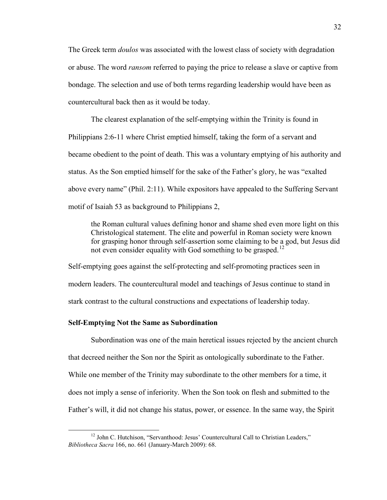The Greek term *doulos* was associated with the lowest class of society with degradation or abuse. The word *ransom* referred to paying the price to release a slave or captive from bondage. The selection and use of both terms regarding leadership would have been as countercultural back then as it would be today.

The clearest explanation of the self-emptying within the Trinity is found in Philippians 2:6-11 where Christ emptied himself, taking the form of a servant and became obedient to the point of death. This was a voluntary emptying of his authority and status. As the Son emptied himself for the sake of the Father's glory, he was "exalted above every name" (Phil. 2:11). While expositors have appealed to the Suffering Servant motif of Isaiah 53 as background to Philippians 2,

the Roman cultural values defining honor and shame shed even more light on this Christological statement. The elite and powerful in Roman society were known for grasping honor through self-assertion some claiming to be a god, but Jesus did not even consider equality with God something to be grasped.<sup>[12](#page-33-0)</sup>

Self-emptying goes against the self-protecting and self-promoting practices seen in modern leaders. The countercultural model and teachings of Jesus continue to stand in stark contrast to the cultural constructions and expectations of leadership today.

#### **Self-Emptying Not the Same as Subordination**

Subordination was one of the main heretical issues rejected by the ancient church that decreed neither the Son nor the Spirit as ontologically subordinate to the Father. While one member of the Trinity may subordinate to the other members for a time, it does not imply a sense of inferiority. When the Son took on flesh and submitted to the Father's will, it did not change his status, power, or essence. In the same way, the Spirit

<span id="page-33-0"></span><sup>&</sup>lt;sup>12</sup> John C. Hutchison, "Servanthood: Jesus' Countercultural Call to Christian Leaders," *Bibliotheca Sacra* 166, no. 661 (January-March 2009): 68.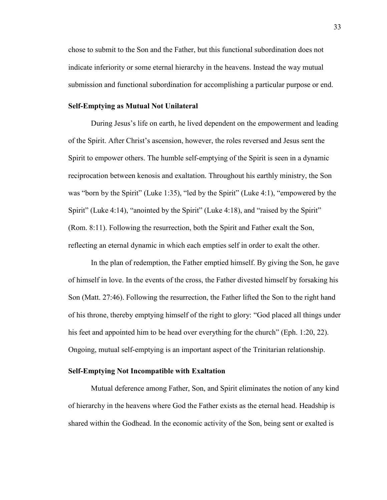chose to submit to the Son and the Father, but this functional subordination does not indicate inferiority or some eternal hierarchy in the heavens. Instead the way mutual submission and functional subordination for accomplishing a particular purpose or end.

#### **Self-Emptying as Mutual Not Unilateral**

During Jesus's life on earth, he lived dependent on the empowerment and leading of the Spirit. After Christ's ascension, however, the roles reversed and Jesus sent the Spirit to empower others. The humble self-emptying of the Spirit is seen in a dynamic reciprocation between kenosis and exaltation. Throughout his earthly ministry, the Son was "born by the Spirit" (Luke 1:35), "led by the Spirit" (Luke 4:1), "empowered by the Spirit" (Luke 4:14), "anointed by the Spirit" (Luke 4:18), and "raised by the Spirit" (Rom. 8:11). Following the resurrection, both the Spirit and Father exalt the Son, reflecting an eternal dynamic in which each empties self in order to exalt the other.

In the plan of redemption, the Father emptied himself. By giving the Son, he gave of himself in love. In the events of the cross, the Father divested himself by forsaking his Son (Matt. 27:46). Following the resurrection, the Father lifted the Son to the right hand of his throne, thereby emptying himself of the right to glory: "God placed all things under his feet and appointed him to be head over everything for the church" (Eph. 1:20, 22). Ongoing, mutual self-emptying is an important aspect of the Trinitarian relationship.

#### **Self-Emptying Not Incompatible with Exaltation**

Mutual deference among Father, Son, and Spirit eliminates the notion of any kind of hierarchy in the heavens where God the Father exists as the eternal head. Headship is shared within the Godhead. In the economic activity of the Son, being sent or exalted is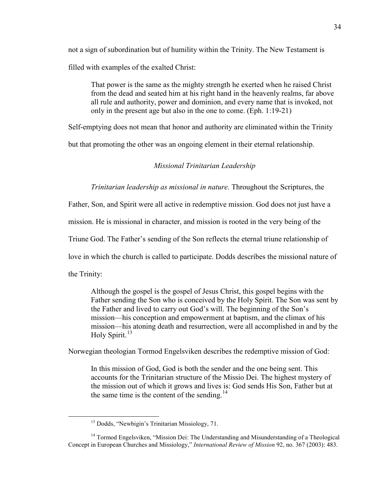not a sign of subordination but of humility within the Trinity. The New Testament is filled with examples of the exalted Christ:

That power is the same as the mighty strength he exerted when he raised Christ from the dead and seated him at his right hand in the heavenly realms, far above all rule and authority, power and dominion, and every name that is invoked, not only in the present age but also in the one to come. (Eph. 1:19-21)

Self-emptying does not mean that honor and authority are eliminated within the Trinity

but that promoting the other was an ongoing element in their eternal relationship.

#### *Missional Trinitarian Leadership*

*Trinitarian leadership as missional in nature.* Throughout the Scriptures, the

Father, Son, and Spirit were all active in redemptive mission. God does not just have a

mission. He is missional in character, and mission is rooted in the very being of the

Triune God. The Father's sending of the Son reflects the eternal triune relationship of

love in which the church is called to participate. Dodds describes the missional nature of

the Trinity:

Although the gospel is the gospel of Jesus Christ, this gospel begins with the Father sending the Son who is conceived by the Holy Spirit. The Son was sent by the Father and lived to carry out God's will. The beginning of the Son's mission—his conception and empowerment at baptism, and the climax of his mission—his atoning death and resurrection, were all accomplished in and by the Holy Spirit.<sup>[13](#page-35-0)</sup>

Norwegian theologian Tormod Engelsviken describes the redemptive mission of God:

In this mission of God, God is both the sender and the one being sent. This accounts for the Trinitarian structure of the Missio Dei. The highest mystery of the mission out of which it grows and lives is: God sends His Son, Father but at the same time is the content of the sending.<sup>[14](#page-35-1)</sup>

<sup>&</sup>lt;sup>13</sup> Dodds, "Newbigin's Trinitarian Missiology, 71.

<span id="page-35-1"></span><span id="page-35-0"></span><sup>&</sup>lt;sup>14</sup> Tormod Engelsviken, "Mission Dei: The Understanding and Misunderstanding of a Theological Concept in European Churches and Missiology," *International Review of Mission* 92, no. 367 (2003): 483.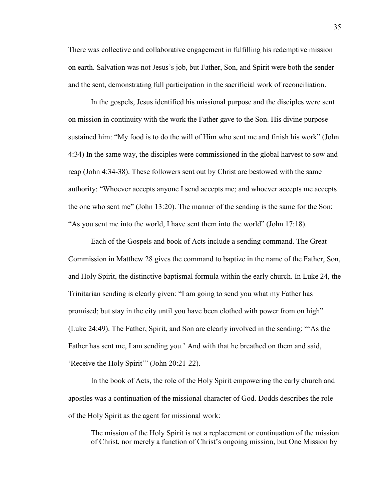There was collective and collaborative engagement in fulfilling his redemptive mission on earth. Salvation was not Jesus's job, but Father, Son, and Spirit were both the sender and the sent, demonstrating full participation in the sacrificial work of reconciliation.

In the gospels, Jesus identified his missional purpose and the disciples were sent on mission in continuity with the work the Father gave to the Son. His divine purpose sustained him: "My food is to do the will of Him who sent me and finish his work" (John 4:34) In the same way, the disciples were commissioned in the global harvest to sow and reap (John 4:34-38). These followers sent out by Christ are bestowed with the same authority: "Whoever accepts anyone I send accepts me; and whoever accepts me accepts the one who sent me" (John 13:20). The manner of the sending is the same for the Son: "As you sent me into the world, I have sent them into the world" (John 17:18).

Each of the Gospels and book of Acts include a sending command. The Great Commission in Matthew 28 gives the command to baptize in the name of the Father, Son, and Holy Spirit, the distinctive baptismal formula within the early church. In Luke 24, the Trinitarian sending is clearly given: "I am going to send you what my Father has promised; but stay in the city until you have been clothed with power from on high" (Luke 24:49). The Father, Spirit, and Son are clearly involved in the sending: "'As the Father has sent me, I am sending you.' And with that he breathed on them and said, 'Receive the Holy Spirit'" (John 20:21-22).

In the book of Acts, the role of the Holy Spirit empowering the early church and apostles was a continuation of the missional character of God. Dodds describes the role of the Holy Spirit as the agent for missional work:

The mission of the Holy Spirit is not a replacement or continuation of the mission of Christ, nor merely a function of Christ's ongoing mission, but One Mission by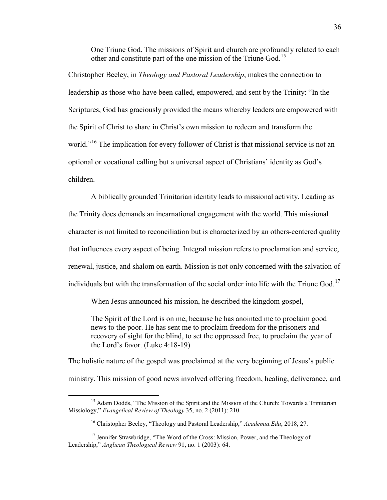One Triune God. The missions of Spirit and church are profoundly related to each other and constitute part of the one mission of the Triune God.<sup>[15](#page-37-0)</sup>

Christopher Beeley, in *Theology and Pastoral Leadership*, makes the connection to leadership as those who have been called, empowered, and sent by the Trinity: "In the Scriptures, God has graciously provided the means whereby leaders are empowered with the Spirit of Christ to share in Christ's own mission to redeem and transform the world."<sup>[16](#page-37-1)</sup> The implication for every follower of Christ is that missional service is not an optional or vocational calling but a universal aspect of Christians' identity as God's children.

A biblically grounded Trinitarian identity leads to missional activity. Leading as the Trinity does demands an incarnational engagement with the world. This missional character is not limited to reconciliation but is characterized by an others-centered quality that influences every aspect of being. Integral mission refers to proclamation and service, renewal, justice, and shalom on earth. Mission is not only concerned with the salvation of individuals but with the transformation of the social order into life with the Triune God.<sup>[17](#page-37-2)</sup>

When Jesus announced his mission, he described the kingdom gospel,

The Spirit of the Lord is on me, because he has anointed me to proclaim good news to the poor. He has sent me to proclaim freedom for the prisoners and recovery of sight for the blind, to set the oppressed free, to proclaim the year of the Lord's favor. (Luke 4:18-19)

The holistic nature of the gospel was proclaimed at the very beginning of Jesus's public ministry. This mission of good news involved offering freedom, healing, deliverance, and

<span id="page-37-0"></span><sup>&</sup>lt;sup>15</sup> Adam Dodds, "The Mission of the Spirit and the Mission of the Church: Towards a Trinitarian Missiology," *Evangelical Review of Theology* 35, no. 2 (2011): 210.

<sup>16</sup> Christopher Beeley, "Theology and Pastoral Leadership," *Academia.Edu*, 2018, 27.

<span id="page-37-2"></span><span id="page-37-1"></span><sup>&</sup>lt;sup>17</sup> Jennifer Strawbridge, "The Word of the Cross: Mission, Power, and the Theology of Leadership," *Anglican Theological Review* 91, no. 1 (2003): 64.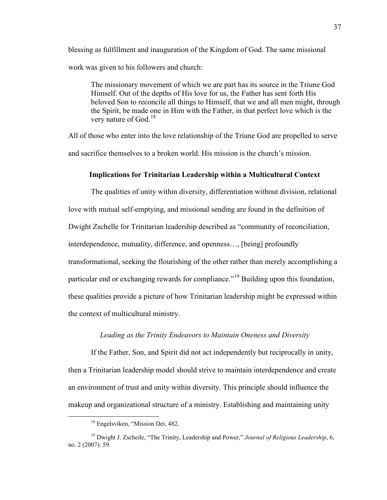blessing as fulfillment and inauguration of the Kingdom of God. The same missional work was given to his followers and church:

The missionary movement of which we are part has its source in the Triune God Himself. Out of the depths of His love for us, the Father has sent forth His beloved Son to reconcile all things to Himself, that we and all men might, through the Spirit, be made one in Him with the Father, in that perfect love which is the very nature of God.<sup>[18](#page-38-0)</sup>

All of those who enter into the love relationship of the Triune God are propelled to serve and sacrifice themselves to a broken world. His mission is the church's mission.

# **Implications for Trinitarian Leadership within a Multicultural Context**

The qualities of unity within diversity, differentiation without division, relational love with mutual self-emptying, and missional sending are found in the definition of Dwight Zschelle for Trinitarian leadership described as "community of reconciliation, interdependence, mutuality, difference, and openness…, [being] profoundly transformational, seeking the flourishing of the other rather than merely accomplishing a particular end or exchanging rewards for compliance."<sup>19</sup> Building upon this foundation, these qualities provide a picture of how Trinitarian leadership might be expressed within the context of multicultural ministry.

## *Leading as the Trinity Endeavors to Maintain Oneness and Diversity*

If the Father, Son, and Spirit did not act independently but reciprocally in unity, then a Trinitarian leadership model should strive to maintain interdependence and create an environment of trust and unity within diversity. This principle should influence the makeup and organizational structure of a ministry. Establishing and maintaining unity

<sup>&</sup>lt;sup>18</sup> Engelsviken, "Mission Dei, 482.

<span id="page-38-1"></span><span id="page-38-0"></span><sup>&</sup>lt;sup>19</sup> Dwight J. Zscheile, "The Trinity, Leadership and Power," Journal of Religious Leadership, 6, no. 2 (2007): 59.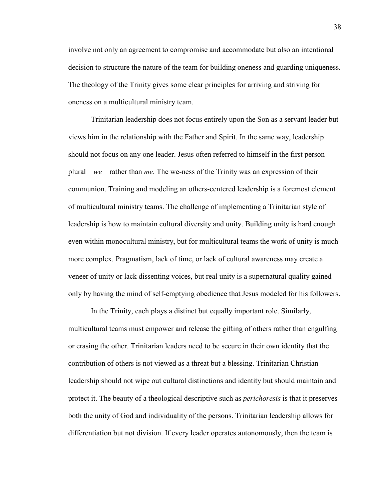involve not only an agreement to compromise and accommodate but also an intentional decision to structure the nature of the team for building oneness and guarding uniqueness. The theology of the Trinity gives some clear principles for arriving and striving for oneness on a multicultural ministry team.

Trinitarian leadership does not focus entirely upon the Son as a servant leader but views him in the relationship with the Father and Spirit. In the same way, leadership should not focus on any one leader. Jesus often referred to himself in the first person plural—*we*—rather than *me*. The we-ness of the Trinity was an expression of their communion. Training and modeling an others-centered leadership is a foremost element of multicultural ministry teams. The challenge of implementing a Trinitarian style of leadership is how to maintain cultural diversity and unity. Building unity is hard enough even within monocultural ministry, but for multicultural teams the work of unity is much more complex. Pragmatism, lack of time, or lack of cultural awareness may create a veneer of unity or lack dissenting voices, but real unity is a supernatural quality gained only by having the mind of self-emptying obedience that Jesus modeled for his followers.

In the Trinity, each plays a distinct but equally important role. Similarly, multicultural teams must empower and release the gifting of others rather than engulfing or erasing the other. Trinitarian leaders need to be secure in their own identity that the contribution of others is not viewed as a threat but a blessing. Trinitarian Christian leadership should not wipe out cultural distinctions and identity but should maintain and protect it. The beauty of a theological descriptive such as *perichoresis* is that it preserves both the unity of God and individuality of the persons. Trinitarian leadership allows for differentiation but not division. If every leader operates autonomously, then the team is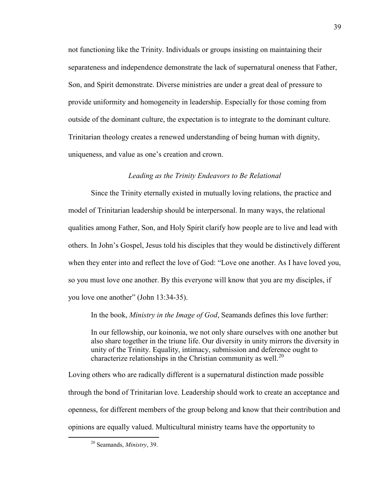not functioning like the Trinity. Individuals or groups insisting on maintaining their separateness and independence demonstrate the lack of supernatural oneness that Father, Son, and Spirit demonstrate. Diverse ministries are under a great deal of pressure to provide uniformity and homogeneity in leadership. Especially for those coming from outside of the dominant culture, the expectation is to integrate to the dominant culture. Trinitarian theology creates a renewed understanding of being human with dignity, uniqueness, and value as one's creation and crown.

## *Leading as the Trinity Endeavors to Be Relational*

Since the Trinity eternally existed in mutually loving relations, the practice and model of Trinitarian leadership should be interpersonal. In many ways, the relational qualities among Father, Son, and Holy Spirit clarify how people are to live and lead with others. In John's Gospel, Jesus told his disciples that they would be distinctively different when they enter into and reflect the love of God: "Love one another. As I have loved you, so you must love one another. By this everyone will know that you are my disciples, if you love one another" (John 13:34-35).

In the book, *Ministry in the Image of God*, Seamands defines this love further:

In our fellowship, our koinonia, we not only share ourselves with one another but also share together in the triune life. Our diversity in unity mirrors the diversity in unity of the Trinity. Equality, intimacy, submission and deference ought to characterize relationships in the Christian community as well.<sup>[20](#page-40-0)</sup>

Loving others who are radically different is a supernatural distinction made possible through the bond of Trinitarian love. Leadership should work to create an acceptance and openness, for different members of the group belong and know that their contribution and opinions are equally valued. Multicultural ministry teams have the opportunity to

<span id="page-40-0"></span> <sup>20</sup> Seamands, *Ministry*, 39.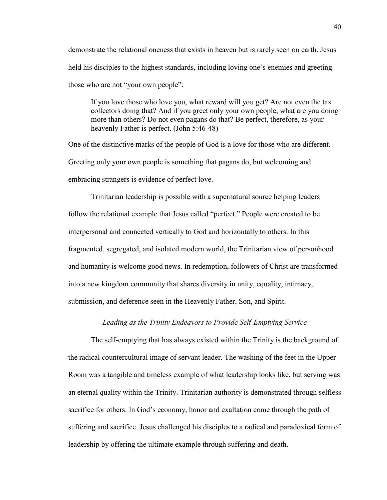demonstrate the relational oneness that exists in heaven but is rarely seen on earth. Jesus held his disciples to the highest standards, including loving one's enemies and greeting those who are not "your own people":

If you love those who love you, what reward will you get? Are not even the tax collectors doing that? And if you greet only your own people, what are you doing more than others? Do not even pagans do that? Be perfect, therefore, as your heavenly Father is perfect. (John 5:46-48)

One of the distinctive marks of the people of God is a love for those who are different. Greeting only your own people is something that pagans do, but welcoming and embracing strangers is evidence of perfect love.

Trinitarian leadership is possible with a supernatural source helping leaders follow the relational example that Jesus called "perfect." People were created to be interpersonal and connected vertically to God and horizontally to others. In this fragmented, segregated, and isolated modern world, the Trinitarian view of personhood and humanity is welcome good news. In redemption, followers of Christ are transformed into a new kingdom community that shares diversity in unity, equality, intimacy, submission, and deference seen in the Heavenly Father, Son, and Spirit.

## *Leading as the Trinity Endeavors to Provide Self-Emptying Service*

The self-emptying that has always existed within the Trinity is the background of the radical countercultural image of servant leader. The washing of the feet in the Upper Room was a tangible and timeless example of what leadership looks like, but serving was an eternal quality within the Trinity. Trinitarian authority is demonstrated through selfless sacrifice for others. In God's economy, honor and exaltation come through the path of suffering and sacrifice. Jesus challenged his disciples to a radical and paradoxical form of leadership by offering the ultimate example through suffering and death.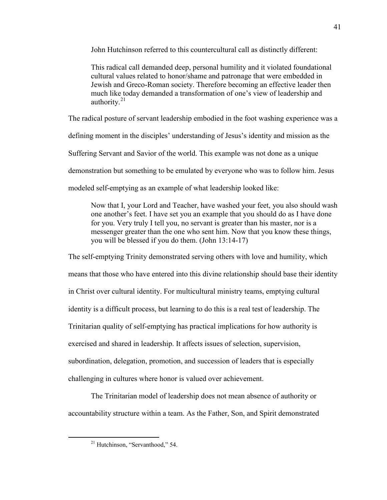John Hutchinson referred to this countercultural call as distinctly different:

This radical call demanded deep, personal humility and it violated foundational cultural values related to honor/shame and patronage that were embedded in Jewish and Greco-Roman society. Therefore becoming an effective leader then much like today demanded a transformation of one's view of leadership and authority.[21](#page-42-0)

The radical posture of servant leadership embodied in the foot washing experience was a

defining moment in the disciples' understanding of Jesus's identity and mission as the

Suffering Servant and Savior of the world. This example was not done as a unique

demonstration but something to be emulated by everyone who was to follow him. Jesus

modeled self-emptying as an example of what leadership looked like:

Now that I, your Lord and Teacher, have washed your feet, you also should wash one another's feet. I have set you an example that you should do as I have done for you. Very truly I tell you, no servant is greater than his master, nor is a messenger greater than the one who sent him. Now that you know these things, you will be blessed if you do them. (John 13:14-17)

The self-emptying Trinity demonstrated serving others with love and humility, which means that those who have entered into this divine relationship should base their identity in Christ over cultural identity. For multicultural ministry teams, emptying cultural identity is a difficult process, but learning to do this is a real test of leadership. The Trinitarian quality of self-emptying has practical implications for how authority is exercised and shared in leadership. It affects issues of selection, supervision, subordination, delegation, promotion, and succession of leaders that is especially challenging in cultures where honor is valued over achievement.

<span id="page-42-0"></span>The Trinitarian model of leadership does not mean absence of authority or accountability structure within a team. As the Father, Son, and Spirit demonstrated

<sup>&</sup>lt;sup>21</sup> Hutchinson, "Servanthood," 54.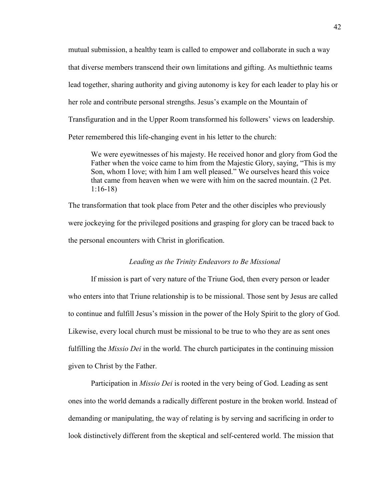mutual submission, a healthy team is called to empower and collaborate in such a way that diverse members transcend their own limitations and gifting. As multiethnic teams lead together, sharing authority and giving autonomy is key for each leader to play his or her role and contribute personal strengths. Jesus's example on the Mountain of Transfiguration and in the Upper Room transformed his followers' views on leadership. Peter remembered this life-changing event in his letter to the church:

We were eyewitnesses of his majesty. He received honor and glory from God the Father when the voice came to him from the Majestic Glory, saying, "This is my Son, whom I love; with him I am well pleased." We ourselves heard this voice that came from heaven when we were with him on the sacred mountain. (2 Pet. 1:16-18)

The transformation that took place from Peter and the other disciples who previously were jockeying for the privileged positions and grasping for glory can be traced back to the personal encounters with Christ in glorification.

### *Leading as the Trinity Endeavors to Be Missional*

If mission is part of very nature of the Triune God, then every person or leader who enters into that Triune relationship is to be missional. Those sent by Jesus are called to continue and fulfill Jesus's mission in the power of the Holy Spirit to the glory of God. Likewise, every local church must be missional to be true to who they are as sent ones fulfilling the *Missio Dei* in the world. The church participates in the continuing mission given to Christ by the Father.

Participation in *Missio Dei* is rooted in the very being of God. Leading as sent ones into the world demands a radically different posture in the broken world. Instead of demanding or manipulating, the way of relating is by serving and sacrificing in order to look distinctively different from the skeptical and self-centered world. The mission that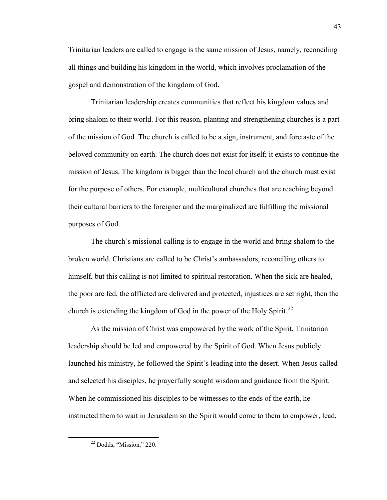Trinitarian leaders are called to engage is the same mission of Jesus, namely, reconciling all things and building his kingdom in the world, which involves proclamation of the gospel and demonstration of the kingdom of God.

Trinitarian leadership creates communities that reflect his kingdom values and bring shalom to their world. For this reason, planting and strengthening churches is a part of the mission of God. The church is called to be a sign, instrument, and foretaste of the beloved community on earth. The church does not exist for itself; it exists to continue the mission of Jesus. The kingdom is bigger than the local church and the church must exist for the purpose of others. For example, multicultural churches that are reaching beyond their cultural barriers to the foreigner and the marginalized are fulfilling the missional purposes of God.

The church's missional calling is to engage in the world and bring shalom to the broken world. Christians are called to be Christ's ambassadors, reconciling others to himself, but this calling is not limited to spiritual restoration. When the sick are healed, the poor are fed, the afflicted are delivered and protected, injustices are set right, then the church is extending the kingdom of God in the power of the Holy Spirit.<sup>22</sup>

As the mission of Christ was empowered by the work of the Spirit, Trinitarian leadership should be led and empowered by the Spirit of God. When Jesus publicly launched his ministry, he followed the Spirit's leading into the desert. When Jesus called and selected his disciples, he prayerfully sought wisdom and guidance from the Spirit. When he commissioned his disciples to be witnesses to the ends of the earth, he instructed them to wait in Jerusalem so the Spirit would come to them to empower, lead,

<span id="page-44-0"></span> <sup>22</sup> Dodds, "Mission," 220.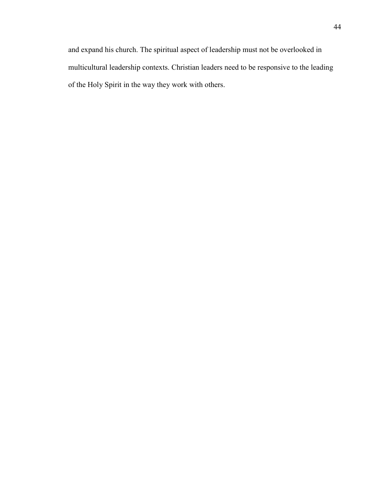and expand his church. The spiritual aspect of leadership must not be overlooked in multicultural leadership contexts. Christian leaders need to be responsive to the leading of the Holy Spirit in the way they work with others.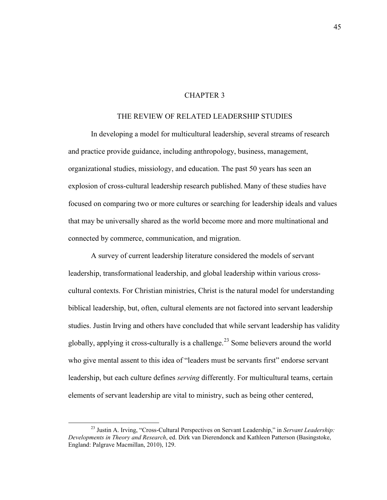### CHAPTER 3

# THE REVIEW OF RELATED LEADERSHIP STUDIES

In developing a model for multicultural leadership, several streams of research and practice provide guidance, including anthropology, business, management, organizational studies, missiology, and education. The past 50 years has seen an explosion of cross-cultural leadership research published. Many of these studies have focused on comparing two or more cultures or searching for leadership ideals and values that may be universally shared as the world become more and more multinational and connected by commerce, communication, and migration.

A survey of current leadership literature considered the models of servant leadership, transformational leadership, and global leadership within various crosscultural contexts. For Christian ministries, Christ is the natural model for understanding biblical leadership, but, often, cultural elements are not factored into servant leadership studies. Justin Irving and others have concluded that while servant leadership has validity globally, applying it cross-culturally is a challenge.<sup>23</sup> Some believers around the world who give mental assent to this idea of "leaders must be servants first" endorse servant leadership, but each culture defines *serving* differently. For multicultural teams, certain elements of servant leadership are vital to ministry, such as being other centered,

<span id="page-46-0"></span> <sup>23</sup> Justin A. Irving, "Cross-Cultural Perspectives on Servant Leadership," in *Servant Leadership: Developments in Theory and Research*, ed. Dirk van Dierendonck and Kathleen Patterson (Basingstoke, England: Palgrave Macmillan, 2010), 129.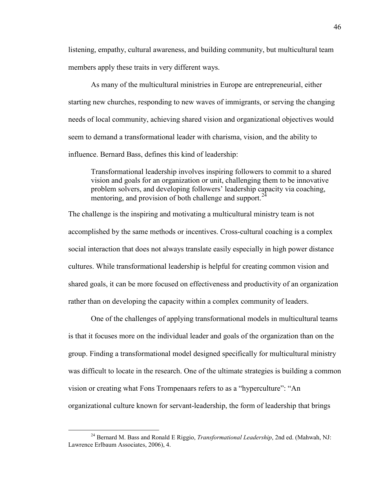listening, empathy, cultural awareness, and building community, but multicultural team members apply these traits in very different ways.

As many of the multicultural ministries in Europe are entrepreneurial, either starting new churches, responding to new waves of immigrants, or serving the changing needs of local community, achieving shared vision and organizational objectives would seem to demand a transformational leader with charisma, vision, and the ability to influence. Bernard Bass, defines this kind of leadership:

Transformational leadership involves inspiring followers to commit to a shared vision and goals for an organization or unit, challenging them to be innovative problem solvers, and developing followers' leadership capacity via coaching, mentoring, and provision of both challenge and support.<sup>[24](#page-47-0)</sup>

The challenge is the inspiring and motivating a multicultural ministry team is not accomplished by the same methods or incentives. Cross-cultural coaching is a complex social interaction that does not always translate easily especially in high power distance cultures. While transformational leadership is helpful for creating common vision and shared goals, it can be more focused on effectiveness and productivity of an organization rather than on developing the capacity within a complex community of leaders.

One of the challenges of applying transformational models in multicultural teams is that it focuses more on the individual leader and goals of the organization than on the group. Finding a transformational model designed specifically for multicultural ministry was difficult to locate in the research. One of the ultimate strategies is building a common vision or creating what Fons Trompenaars refers to as a "hyperculture": "An organizational culture known for servant-leadership, the form of leadership that brings

<span id="page-47-0"></span> <sup>24</sup> Bernard M. Bass and Ronald E Riggio, *Transformational Leadership*, 2nd ed. (Mahwah, NJ: Lawrence Erlbaum Associates, 2006), 4.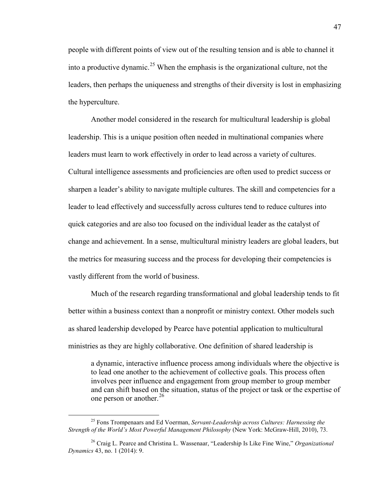people with different points of view out of the resulting tension and is able to channel it into a productive dynamic.<sup>[25](#page-48-0)</sup> When the emphasis is the organizational culture, not the leaders, then perhaps the uniqueness and strengths of their diversity is lost in emphasizing the hyperculture.

Another model considered in the research for multicultural leadership is global leadership. This is a unique position often needed in multinational companies where leaders must learn to work effectively in order to lead across a variety of cultures. Cultural intelligence assessments and proficiencies are often used to predict success or sharpen a leader's ability to navigate multiple cultures. The skill and competencies for a leader to lead effectively and successfully across cultures tend to reduce cultures into quick categories and are also too focused on the individual leader as the catalyst of change and achievement. In a sense, multicultural ministry leaders are global leaders, but the metrics for measuring success and the process for developing their competencies is vastly different from the world of business.

Much of the research regarding transformational and global leadership tends to fit better within a business context than a nonprofit or ministry context. Other models such as shared leadership developed by Pearce have potential application to multicultural ministries as they are highly collaborative. One definition of shared leadership is

a dynamic, interactive influence process among individuals where the objective is to lead one another to the achievement of collective goals. This process often involves peer influence and engagement from group member to group member and can shift based on the situation, status of the project or task or the expertise of one person or another.<sup>[26](#page-48-1)</sup>

<span id="page-48-0"></span> <sup>25</sup> Fons Trompenaars and Ed Voerman, *Servant-Leadership across Cultures: Harnessing the Strength of the World's Most Powerful Management Philosophy* (New York: McGraw-Hill, 2010), 73.

<span id="page-48-1"></span><sup>26</sup> Craig L. Pearce and Christina L. Wassenaar, "Leadership Is Like Fine Wine," *Organizational Dynamics* 43, no. 1 (2014): 9.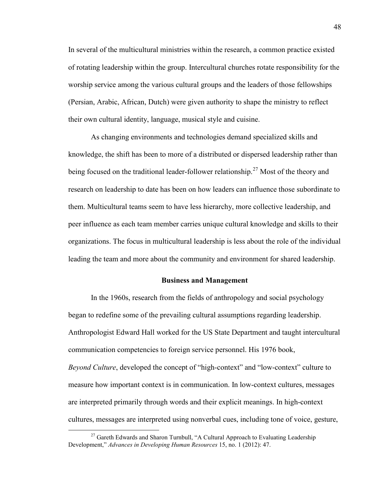In several of the multicultural ministries within the research, a common practice existed of rotating leadership within the group. Intercultural churches rotate responsibility for the worship service among the various cultural groups and the leaders of those fellowships (Persian, Arabic, African, Dutch) were given authority to shape the ministry to reflect their own cultural identity, language, musical style and cuisine.

As changing environments and technologies demand specialized skills and knowledge, the shift has been to more of a distributed or dispersed leadership rather than being focused on the traditional leader-follower relationship.<sup>[27](#page-49-0)</sup> Most of the theory and research on leadership to date has been on how leaders can influence those subordinate to them. Multicultural teams seem to have less hierarchy, more collective leadership, and peer influence as each team member carries unique cultural knowledge and skills to their organizations. The focus in multicultural leadership is less about the role of the individual leading the team and more about the community and environment for shared leadership.

### **Business and Management**

In the 1960s, research from the fields of anthropology and social psychology began to redefine some of the prevailing cultural assumptions regarding leadership. Anthropologist Edward Hall worked for the US State Department and taught intercultural communication competencies to foreign service personnel. His 1976 book, *Beyond Culture*, developed the concept of "high-context" and "low-context" culture to measure how important context is in communication. In low-context cultures, messages are interpreted primarily through words and their explicit meanings. In high-context cultures, messages are interpreted using nonverbal cues, including tone of voice, gesture,

<span id="page-49-0"></span><sup>&</sup>lt;sup>27</sup> Gareth Edwards and Sharon Turnbull, "A Cultural Approach to Evaluating Leadership Development," *Advances in Developing Human Resources* 15, no. 1 (2012): 47.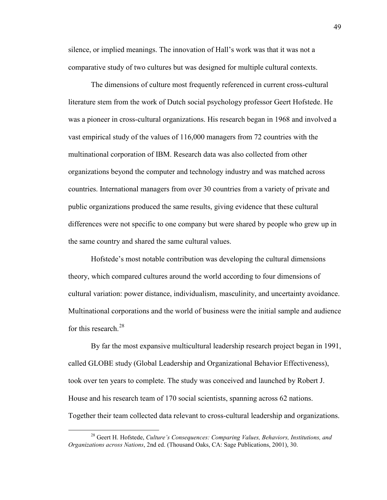silence, or implied meanings. The innovation of Hall's work was that it was not a comparative study of two cultures but was designed for multiple cultural contexts.

The dimensions of culture most frequently referenced in current cross-cultural literature stem from the work of Dutch social psychology professor Geert Hofstede. He was a pioneer in cross-cultural organizations. His research began in 1968 and involved a vast empirical study of the values of 116,000 managers from 72 countries with the multinational corporation of IBM. Research data was also collected from other organizations beyond the computer and technology industry and was matched across countries. International managers from over 30 countries from a variety of private and public organizations produced the same results, giving evidence that these cultural differences were not specific to one company but were shared by people who grew up in the same country and shared the same cultural values.

Hofstede's most notable contribution was developing the cultural dimensions theory, which compared cultures around the world according to four dimensions of cultural variation: power distance, individualism, masculinity, and uncertainty avoidance. Multinational corporations and the world of business were the initial sample and audience for this research.<sup>[28](#page-50-0)</sup>

By far the most expansive multicultural leadership research project began in 1991, called GLOBE study (Global Leadership and Organizational Behavior Effectiveness), took over ten years to complete. The study was conceived and launched by Robert J. House and his research team of 170 social scientists, spanning across 62 nations. Together their team collected data relevant to cross-cultural leadership and organizations.

<span id="page-50-0"></span> <sup>28</sup> Geert H. Hofstede, *Culture's Consequences: Comparing Values, Behaviors, Institutions, and Organizations across Nations*, 2nd ed. (Thousand Oaks, CA: Sage Publications, 2001), 30.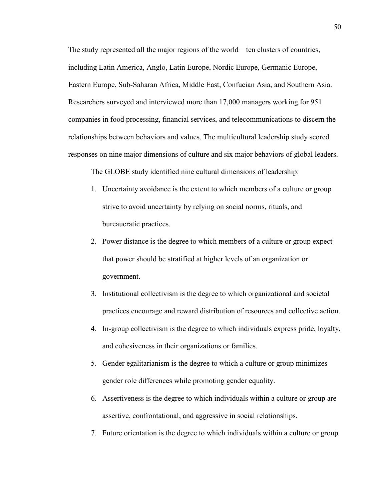The study represented all the major regions of the world—ten clusters of countries, including Latin America, Anglo, Latin Europe, Nordic Europe, Germanic Europe, Eastern Europe, Sub-Saharan Africa, Middle East, Confucian Asia, and Southern Asia. Researchers surveyed and interviewed more than 17,000 managers working for 951 companies in food processing, financial services, and telecommunications to discern the relationships between behaviors and values. The multicultural leadership study scored responses on nine major dimensions of culture and six major behaviors of global leaders.

The GLOBE study identified nine cultural dimensions of leadership:

- 1. Uncertainty avoidance is the extent to which members of a culture or group strive to avoid uncertainty by relying on social norms, rituals, and bureaucratic practices.
- 2. Power distance is the degree to which members of a culture or group expect that power should be stratified at higher levels of an organization or government.
- 3. Institutional collectivism is the degree to which organizational and societal practices encourage and reward distribution of resources and collective action.
- 4. In-group collectivism is the degree to which individuals express pride, loyalty, and cohesiveness in their organizations or families.
- 5. Gender egalitarianism is the degree to which a culture or group minimizes gender role differences while promoting gender equality.
- 6. Assertiveness is the degree to which individuals within a culture or group are assertive, confrontational, and aggressive in social relationships.
- 7. Future orientation is the degree to which individuals within a culture or group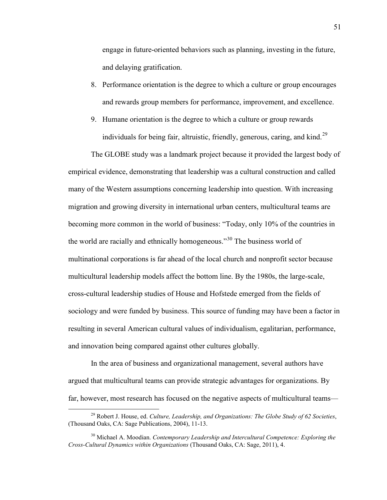engage in future-oriented behaviors such as planning, investing in the future, and delaying gratification.

- 8. Performance orientation is the degree to which a culture or group encourages and rewards group members for performance, improvement, and excellence.
- 9. Humane orientation is the degree to which a culture or group rewards individuals for being fair, altruistic, friendly, generous, caring, and kind.<sup>[29](#page-52-0)</sup>

The GLOBE study was a landmark project because it provided the largest body of empirical evidence, demonstrating that leadership was a cultural construction and called many of the Western assumptions concerning leadership into question. With increasing migration and growing diversity in international urban centers, multicultural teams are becoming more common in the world of business: "Today, only 10% of the countries in the world are racially and ethnically homogeneous."<sup>30</sup> The business world of multinational corporations is far ahead of the local church and nonprofit sector because multicultural leadership models affect the bottom line. By the 1980s, the large-scale, cross-cultural leadership studies of House and Hofstede emerged from the fields of sociology and were funded by business. This source of funding may have been a factor in resulting in several American cultural values of individualism, egalitarian, performance, and innovation being compared against other cultures globally.

In the area of business and organizational management, several authors have argued that multicultural teams can provide strategic advantages for organizations. By far, however, most research has focused on the negative aspects of multicultural teams—

<span id="page-52-0"></span> <sup>29</sup> Robert J. House, ed. *Culture, Leadership, and Organizations: The Globe Study of 62 Societies*, (Thousand Oaks, CA: Sage Publications, 2004), 11-13.

<span id="page-52-1"></span><sup>30</sup> Michael A. Moodian. *Contemporary Leadership and Intercultural Competence: Exploring the Cross-Cultural Dynamics within Organizations* (Thousand Oaks, CA: Sage, 2011), 4.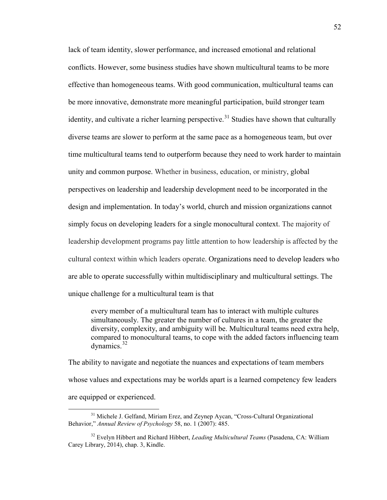lack of team identity, slower performance, and increased emotional and relational conflicts. However, some business studies have shown multicultural teams to be more effective than homogeneous teams. With good communication, multicultural teams can be more innovative, demonstrate more meaningful participation, build stronger team identity, and cultivate a richer learning perspective.<sup>[31](#page-53-0)</sup> Studies have shown that culturally diverse teams are slower to perform at the same pace as a homogeneous team, but over time multicultural teams tend to outperform because they need to work harder to maintain unity and common purpose. Whether in business, education, or ministry, global perspectives on leadership and leadership development need to be incorporated in the design and implementation. In today's world, church and mission organizations cannot simply focus on developing leaders for a single monocultural context. The majority of leadership development programs pay little attention to how leadership is affected by the cultural context within which leaders operate. Organizations need to develop leaders who are able to operate successfully within multidisciplinary and multicultural settings. The unique challenge for a multicultural team is that

every member of a multicultural team has to interact with multiple cultures simultaneously. The greater the number of cultures in a team, the greater the diversity, complexity, and ambiguity will be. Multicultural teams need extra help, compared to monocultural teams, to cope with the added factors influencing team dynamics. $32$ 

The ability to navigate and negotiate the nuances and expectations of team members whose values and expectations may be worlds apart is a learned competency few leaders are equipped or experienced.

<span id="page-53-0"></span><sup>&</sup>lt;sup>31</sup> Michele J. Gelfand, Miriam Erez, and Zeynep Aycan, "Cross-Cultural Organizational Behavior," *Annual Review of Psychology* 58, no. 1 (2007): 485.

<span id="page-53-1"></span><sup>32</sup> Evelyn Hibbert and Richard Hibbert, *Leading Multicultural Teams* (Pasadena, CA: William Carey Library, 2014), chap. 3, Kindle.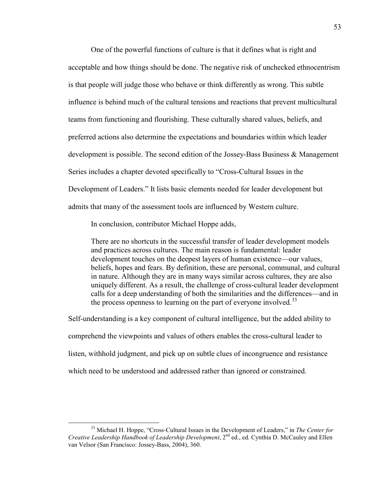One of the powerful functions of culture is that it defines what is right and acceptable and how things should be done. The negative risk of unchecked ethnocentrism is that people will judge those who behave or think differently as wrong. This subtle influence is behind much of the cultural tensions and reactions that prevent multicultural teams from functioning and flourishing. These culturally shared values, beliefs, and preferred actions also determine the expectations and boundaries within which leader development is possible. The second edition of the Jossey-Bass Business & Management Series includes a chapter devoted specifically to "Cross-Cultural Issues in the Development of Leaders." It lists basic elements needed for leader development but admits that many of the assessment tools are influenced by Western culture.

In conclusion, contributor Michael Hoppe adds,

There are no shortcuts in the successful transfer of leader development models and practices across cultures. The main reason is fundamental: leader development touches on the deepest layers of human existence—our values, beliefs, hopes and fears. By definition, these are personal, communal, and cultural in nature. Although they are in many ways similar across cultures, they are also uniquely different. As a result, the challenge of cross-cultural leader development calls for a deep understanding of both the similarities and the differences—and in the process openness to learning on the part of everyone involved.<sup>[33](#page-54-0)</sup>

Self-understanding is a key component of cultural intelligence, but the added ability to comprehend the viewpoints and values of others enables the cross-cultural leader to listen, withhold judgment, and pick up on subtle clues of incongruence and resistance which need to be understood and addressed rather than ignored or constrained.

<span id="page-54-0"></span> <sup>33</sup> Michael H. Hoppe, "Cross-Cultural Issues in the Development of Leaders," in *The Center for Creative Leadership Handbook of Leadership Development*, 2nd ed., ed. Cynthia D. McCauley and Ellen van Velsor (San Francisco: Jossey-Bass, 2004), 360.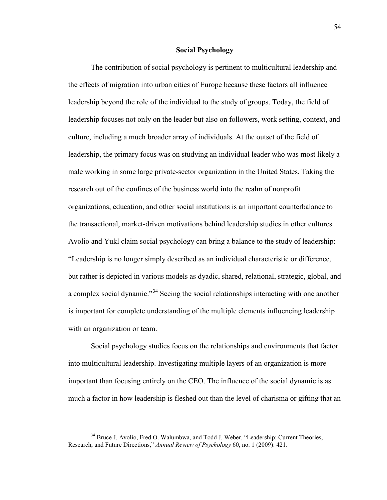#### **Social Psychology**

The contribution of social psychology is pertinent to multicultural leadership and the effects of migration into urban cities of Europe because these factors all influence leadership beyond the role of the individual to the study of groups. Today, the field of leadership focuses not only on the leader but also on followers, work setting, context, and culture, including a much broader array of individuals. At the outset of the field of leadership, the primary focus was on studying an individual leader who was most likely a male working in some large private-sector organization in the United States. Taking the research out of the confines of the business world into the realm of nonprofit organizations, education, and other social institutions is an important counterbalance to the transactional, market-driven motivations behind leadership studies in other cultures. Avolio and Yukl claim social psychology can bring a balance to the study of leadership: "Leadership is no longer simply described as an individual characteristic or difference, but rather is depicted in various models as dyadic, shared, relational, strategic, global, and a complex social dynamic."[34](#page-55-0) Seeing the social relationships interacting with one another is important for complete understanding of the multiple elements influencing leadership with an organization or team.

Social psychology studies focus on the relationships and environments that factor into multicultural leadership. Investigating multiple layers of an organization is more important than focusing entirely on the CEO. The influence of the social dynamic is as much a factor in how leadership is fleshed out than the level of charisma or gifting that an

<span id="page-55-0"></span><sup>&</sup>lt;sup>34</sup> Bruce J. Avolio, Fred O. Walumbwa, and Todd J. Weber, "Leadership: Current Theories, Research, and Future Directions," *Annual Review of Psychology* 60, no. 1 (2009): 421.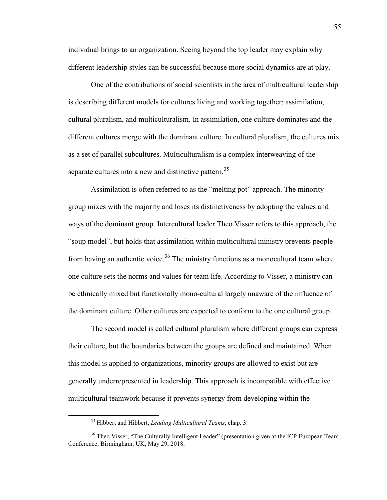individual brings to an organization. Seeing beyond the top leader may explain why different leadership styles can be successful because more social dynamics are at play.

One of the contributions of social scientists in the area of multicultural leadership is describing different models for cultures living and working together: assimilation, cultural pluralism, and multiculturalism. In assimilation, one culture dominates and the different cultures merge with the dominant culture. In cultural pluralism, the cultures mix as a set of parallel subcultures. Multiculturalism is a complex interweaving of the separate cultures into a new and distinctive pattern.<sup>[35](#page-56-0)</sup>

Assimilation is often referred to as the "melting pot" approach. The minority group mixes with the majority and loses its distinctiveness by adopting the values and ways of the dominant group. Intercultural leader Theo Visser refers to this approach, the "soup model", but holds that assimilation within multicultural ministry prevents people from having an authentic voice.<sup>[36](#page-56-1)</sup> The ministry functions as a monocultural team where one culture sets the norms and values for team life. According to Visser, a ministry can be ethnically mixed but functionally mono-cultural largely unaware of the influence of the dominant culture. Other cultures are expected to conform to the one cultural group.

The second model is called cultural pluralism where different groups can express their culture, but the boundaries between the groups are defined and maintained. When this model is applied to organizations, minority groups are allowed to exist but are generally underrepresented in leadership. This approach is incompatible with effective multicultural teamwork because it prevents synergy from developing within the

 <sup>35</sup> Hibbert and Hibbert, *Leading Multicultural Teams*, chap. 3.

<span id="page-56-1"></span><span id="page-56-0"></span><sup>&</sup>lt;sup>36</sup> Theo Visser, "The Culturally Intelligent Leader" (presentation given at the ICP European Team Conference, Birmingham, UK, May 29, 2018.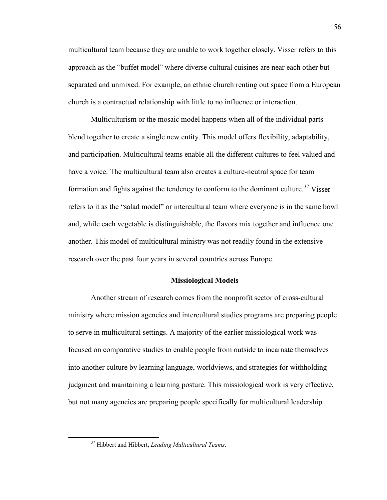multicultural team because they are unable to work together closely. Visser refers to this approach as the "buffet model" where diverse cultural cuisines are near each other but separated and unmixed. For example, an ethnic church renting out space from a European church is a contractual relationship with little to no influence or interaction.

Multiculturism or the mosaic model happens when all of the individual parts blend together to create a single new entity. This model offers flexibility, adaptability, and participation. Multicultural teams enable all the different cultures to feel valued and have a voice. The multicultural team also creates a culture-neutral space for team formation and fights against the tendency to conform to the dominant culture.<sup>[37](#page-57-0)</sup> Visser refers to it as the "salad model" or intercultural team where everyone is in the same bowl and, while each vegetable is distinguishable, the flavors mix together and influence one another. This model of multicultural ministry was not readily found in the extensive research over the past four years in several countries across Europe.

### **Missiological Models**

Another stream of research comes from the nonprofit sector of cross-cultural ministry where mission agencies and intercultural studies programs are preparing people to serve in multicultural settings. A majority of the earlier missiological work was focused on comparative studies to enable people from outside to incarnate themselves into another culture by learning language, worldviews, and strategies for withholding judgment and maintaining a learning posture. This missiological work is very effective, but not many agencies are preparing people specifically for multicultural leadership.

<span id="page-57-0"></span> <sup>37</sup> Hibbert and Hibbert, *Leading Multicultural Teams*.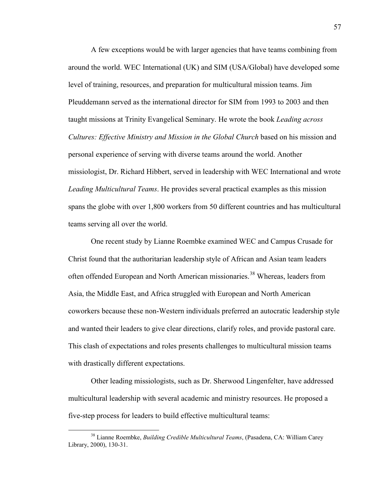A few exceptions would be with larger agencies that have teams combining from around the world. WEC International (UK) and SIM (USA/Global) have developed some level of training, resources, and preparation for multicultural mission teams. Jim Pleuddemann served as the international director for SIM from 1993 to 2003 and then taught missions at Trinity Evangelical Seminary. He wrote the book *Leading across Cultures: Effective Ministry and Mission in the Global Church* based on his mission and personal experience of serving with diverse teams around the world. Another missiologist, Dr. Richard Hibbert, served in leadership with WEC International and wrote *Leading Multicultural Teams*. He provides several practical examples as this mission spans the globe with over 1,800 workers from 50 different countries and has multicultural teams serving all over the world.

One recent study by Lianne Roembke examined WEC and Campus Crusade for Christ found that the authoritarian leadership style of African and Asian team leaders often offended European and North American missionaries.<sup>[38](#page-58-0)</sup> Whereas, leaders from Asia, the Middle East, and Africa struggled with European and North American coworkers because these non-Western individuals preferred an autocratic leadership style and wanted their leaders to give clear directions, clarify roles, and provide pastoral care. This clash of expectations and roles presents challenges to multicultural mission teams with drastically different expectations.

Other leading missiologists, such as Dr. Sherwood Lingenfelter, have addressed multicultural leadership with several academic and ministry resources. He proposed a five-step process for leaders to build effective multicultural teams:

<span id="page-58-0"></span> <sup>38</sup> Lianne Roembke, *Building Credible Multicultural Teams*, (Pasadena, CA: William Carey Library, 2000), 130-31.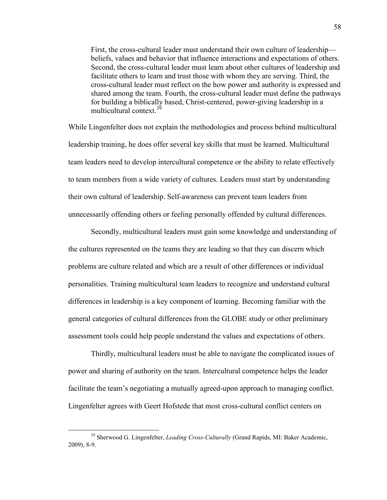First, the cross-cultural leader must understand their own culture of leadership beliefs, values and behavior that influence interactions and expectations of others. Second, the cross-cultural leader must learn about other cultures of leadership and facilitate others to learn and trust those with whom they are serving. Third, the cross-cultural leader must reflect on the how power and authority is expressed and shared among the team. Fourth, the cross-cultural leader must define the pathways for building a biblically based, Christ-centered, power-giving leadership in a multicultural context.<sup>[39](#page-59-0)</sup>

While Lingenfelter does not explain the methodologies and process behind multicultural leadership training, he does offer several key skills that must be learned. Multicultural team leaders need to develop intercultural competence or the ability to relate effectively to team members from a wide variety of cultures. Leaders must start by understanding their own cultural of leadership. Self-awareness can prevent team leaders from unnecessarily offending others or feeling personally offended by cultural differences.

Secondly, multicultural leaders must gain some knowledge and understanding of the cultures represented on the teams they are leading so that they can discern which problems are culture related and which are a result of other differences or individual personalities. Training multicultural team leaders to recognize and understand cultural differences in leadership is a key component of learning. Becoming familiar with the general categories of cultural differences from the GLOBE study or other preliminary assessment tools could help people understand the values and expectations of others.

Thirdly, multicultural leaders must be able to navigate the complicated issues of power and sharing of authority on the team. Intercultural competence helps the leader facilitate the team's negotiating a mutually agreed-upon approach to managing conflict. Lingenfelter agrees with Geert Hofstede that most cross-cultural conflict centers on

<span id="page-59-0"></span> <sup>39</sup> Sherwood G. Lingenfelter, *Leading Cross-Culturally* (Grand Rapids, MI: Baker Academic, 2009), 8-9.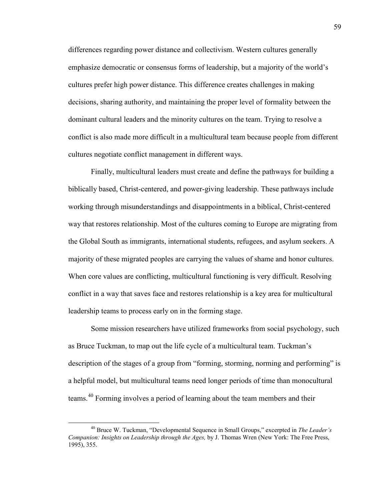differences regarding power distance and collectivism. Western cultures generally emphasize democratic or consensus forms of leadership, but a majority of the world's cultures prefer high power distance. This difference creates challenges in making decisions, sharing authority, and maintaining the proper level of formality between the dominant cultural leaders and the minority cultures on the team. Trying to resolve a conflict is also made more difficult in a multicultural team because people from different cultures negotiate conflict management in different ways.

Finally, multicultural leaders must create and define the pathways for building a biblically based, Christ-centered, and power-giving leadership. These pathways include working through misunderstandings and disappointments in a biblical, Christ-centered way that restores relationship. Most of the cultures coming to Europe are migrating from the Global South as immigrants, international students, refugees, and asylum seekers. A majority of these migrated peoples are carrying the values of shame and honor cultures. When core values are conflicting, multicultural functioning is very difficult. Resolving conflict in a way that saves face and restores relationship is a key area for multicultural leadership teams to process early on in the forming stage.

Some mission researchers have utilized frameworks from social psychology, such as Bruce Tuckman, to map out the life cycle of a multicultural team. Tuckman's description of the stages of a group from "forming, storming, norming and performing" is a helpful model, but multicultural teams need longer periods of time than monocultural teams.<sup>40</sup> Forming involves a period of learning about the team members and their

<span id="page-60-0"></span> <sup>40</sup> Bruce W. Tuckman, "Developmental Sequence in Small Groups," excerpted in *The Leader's Companion: Insights on Leadership through the Ages,* by J. Thomas Wren (New York: The Free Press, 1995), 355.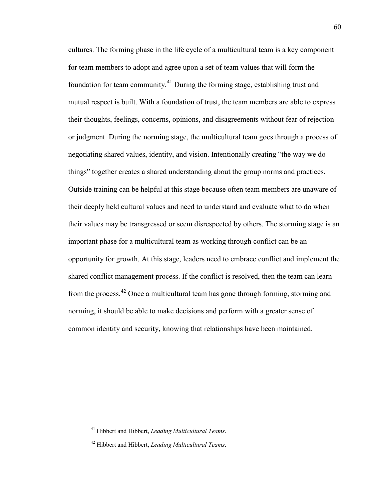cultures. The forming phase in the life cycle of a multicultural team is a key component for team members to adopt and agree upon a set of team values that will form the foundation for team community.[41](#page-61-0) During the forming stage, establishing trust and mutual respect is built. With a foundation of trust, the team members are able to express their thoughts, feelings, concerns, opinions, and disagreements without fear of rejection or judgment. During the norming stage, the multicultural team goes through a process of negotiating shared values, identity, and vision. Intentionally creating "the way we do things" together creates a shared understanding about the group norms and practices. Outside training can be helpful at this stage because often team members are unaware of their deeply held cultural values and need to understand and evaluate what to do when their values may be transgressed or seem disrespected by others. The storming stage is an important phase for a multicultural team as working through conflict can be an opportunity for growth. At this stage, leaders need to embrace conflict and implement the shared conflict management process. If the conflict is resolved, then the team can learn from the process.[42](#page-61-1) Once a multicultural team has gone through forming, storming and norming, it should be able to make decisions and perform with a greater sense of common identity and security, knowing that relationships have been maintained.

<span id="page-61-0"></span> <sup>41</sup> Hibbert and Hibbert, *Leading Multicultural Teams*.

<span id="page-61-1"></span><sup>42</sup> Hibbert and Hibbert, *Leading Multicultural Teams*.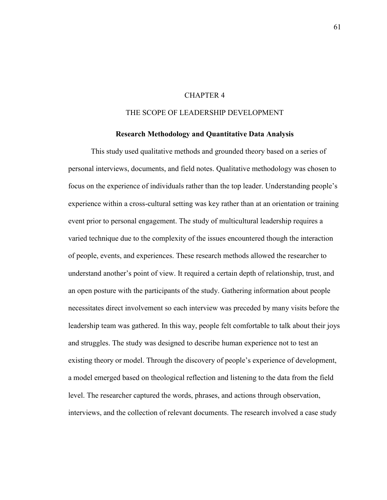## CHAPTER 4

## THE SCOPE OF LEADERSHIP DEVELOPMENT

#### **Research Methodology and Quantitative Data Analysis**

This study used qualitative methods and grounded theory based on a series of personal interviews, documents, and field notes. Qualitative methodology was chosen to focus on the experience of individuals rather than the top leader. Understanding people's experience within a cross-cultural setting was key rather than at an orientation or training event prior to personal engagement. The study of multicultural leadership requires a varied technique due to the complexity of the issues encountered though the interaction of people, events, and experiences. These research methods allowed the researcher to understand another's point of view. It required a certain depth of relationship, trust, and an open posture with the participants of the study. Gathering information about people necessitates direct involvement so each interview was preceded by many visits before the leadership team was gathered. In this way, people felt comfortable to talk about their joys and struggles. The study was designed to describe human experience not to test an existing theory or model. Through the discovery of people's experience of development, a model emerged based on theological reflection and listening to the data from the field level. The researcher captured the words, phrases, and actions through observation, interviews, and the collection of relevant documents. The research involved a case study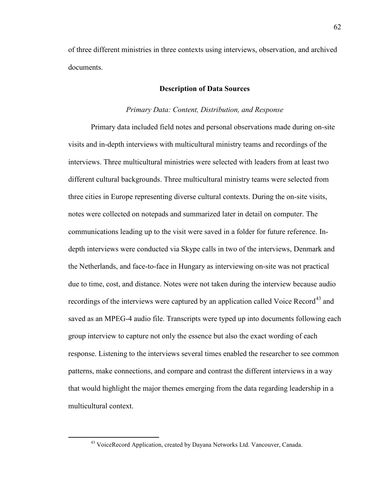of three different ministries in three contexts using interviews, observation, and archived documents.

### **Description of Data Sources**

### *Primary Data: Content, Distribution, and Response*

Primary data included field notes and personal observations made during on-site visits and in-depth interviews with multicultural ministry teams and recordings of the interviews. Three multicultural ministries were selected with leaders from at least two different cultural backgrounds. Three multicultural ministry teams were selected from three cities in Europe representing diverse cultural contexts. During the on-site visits, notes were collected on notepads and summarized later in detail on computer. The communications leading up to the visit were saved in a folder for future reference. Indepth interviews were conducted via Skype calls in two of the interviews, Denmark and the Netherlands, and face-to-face in Hungary as interviewing on-site was not practical due to time, cost, and distance. Notes were not taken during the interview because audio recordings of the interviews were captured by an application called Voice Record<sup>[43](#page-63-0)</sup> and saved as an MPEG-4 audio file. Transcripts were typed up into documents following each group interview to capture not only the essence but also the exact wording of each response. Listening to the interviews several times enabled the researcher to see common patterns, make connections, and compare and contrast the different interviews in a way that would highlight the major themes emerging from the data regarding leadership in a multicultural context.

<span id="page-63-0"></span><sup>&</sup>lt;sup>43</sup> VoiceRecord Application, created by Dayana Networks Ltd. Vancouver, Canada.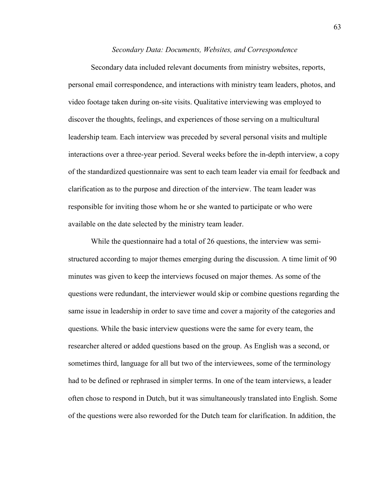#### *Secondary Data: Documents, Websites, and Correspondence*

Secondary data included relevant documents from ministry websites, reports, personal email correspondence, and interactions with ministry team leaders, photos, and video footage taken during on-site visits. Qualitative interviewing was employed to discover the thoughts, feelings, and experiences of those serving on a multicultural leadership team. Each interview was preceded by several personal visits and multiple interactions over a three-year period. Several weeks before the in-depth interview, a copy of the standardized questionnaire was sent to each team leader via email for feedback and clarification as to the purpose and direction of the interview. The team leader was responsible for inviting those whom he or she wanted to participate or who were available on the date selected by the ministry team leader.

While the questionnaire had a total of 26 questions, the interview was semistructured according to major themes emerging during the discussion. A time limit of 90 minutes was given to keep the interviews focused on major themes. As some of the questions were redundant, the interviewer would skip or combine questions regarding the same issue in leadership in order to save time and cover a majority of the categories and questions. While the basic interview questions were the same for every team, the researcher altered or added questions based on the group. As English was a second, or sometimes third, language for all but two of the interviewees, some of the terminology had to be defined or rephrased in simpler terms. In one of the team interviews, a leader often chose to respond in Dutch, but it was simultaneously translated into English. Some of the questions were also reworded for the Dutch team for clarification. In addition, the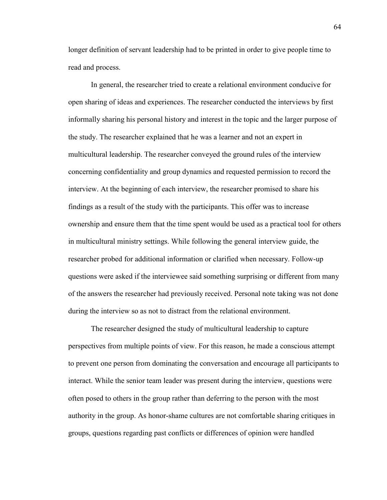longer definition of servant leadership had to be printed in order to give people time to read and process.

In general, the researcher tried to create a relational environment conducive for open sharing of ideas and experiences. The researcher conducted the interviews by first informally sharing his personal history and interest in the topic and the larger purpose of the study. The researcher explained that he was a learner and not an expert in multicultural leadership. The researcher conveyed the ground rules of the interview concerning confidentiality and group dynamics and requested permission to record the interview. At the beginning of each interview, the researcher promised to share his findings as a result of the study with the participants. This offer was to increase ownership and ensure them that the time spent would be used as a practical tool for others in multicultural ministry settings. While following the general interview guide, the researcher probed for additional information or clarified when necessary. Follow-up questions were asked if the interviewee said something surprising or different from many of the answers the researcher had previously received. Personal note taking was not done during the interview so as not to distract from the relational environment.

The researcher designed the study of multicultural leadership to capture perspectives from multiple points of view. For this reason, he made a conscious attempt to prevent one person from dominating the conversation and encourage all participants to interact. While the senior team leader was present during the interview, questions were often posed to others in the group rather than deferring to the person with the most authority in the group. As honor-shame cultures are not comfortable sharing critiques in groups, questions regarding past conflicts or differences of opinion were handled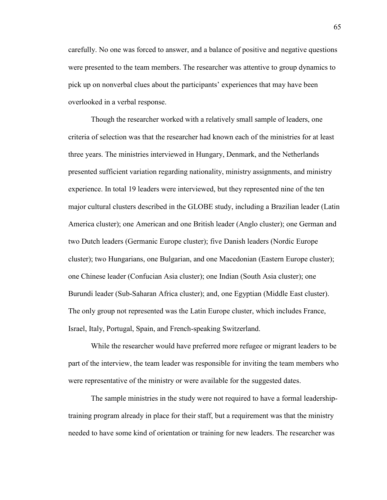carefully. No one was forced to answer, and a balance of positive and negative questions were presented to the team members. The researcher was attentive to group dynamics to pick up on nonverbal clues about the participants' experiences that may have been overlooked in a verbal response.

Though the researcher worked with a relatively small sample of leaders, one criteria of selection was that the researcher had known each of the ministries for at least three years. The ministries interviewed in Hungary, Denmark, and the Netherlands presented sufficient variation regarding nationality, ministry assignments, and ministry experience. In total 19 leaders were interviewed, but they represented nine of the ten major cultural clusters described in the GLOBE study, including a Brazilian leader (Latin America cluster); one American and one British leader (Anglo cluster); one German and two Dutch leaders (Germanic Europe cluster); five Danish leaders (Nordic Europe cluster); two Hungarians, one Bulgarian, and one Macedonian (Eastern Europe cluster); one Chinese leader (Confucian Asia cluster); one Indian (South Asia cluster); one Burundi leader (Sub-Saharan Africa cluster); and, one Egyptian (Middle East cluster). The only group not represented was the Latin Europe cluster, which includes France, Israel, Italy, Portugal, Spain, and French-speaking Switzerland.

While the researcher would have preferred more refugee or migrant leaders to be part of the interview, the team leader was responsible for inviting the team members who were representative of the ministry or were available for the suggested dates.

The sample ministries in the study were not required to have a formal leadershiptraining program already in place for their staff, but a requirement was that the ministry needed to have some kind of orientation or training for new leaders. The researcher was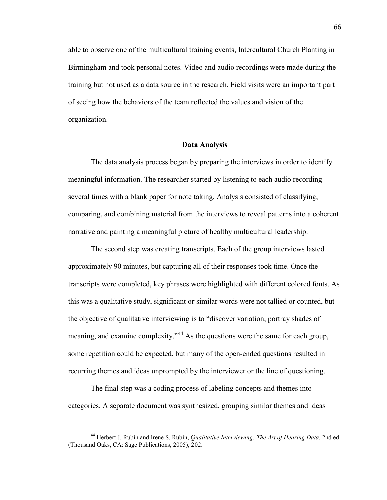able to observe one of the multicultural training events, Intercultural Church Planting in Birmingham and took personal notes. Video and audio recordings were made during the training but not used as a data source in the research. Field visits were an important part of seeing how the behaviors of the team reflected the values and vision of the organization.

#### **Data Analysis**

The data analysis process began by preparing the interviews in order to identify meaningful information. The researcher started by listening to each audio recording several times with a blank paper for note taking. Analysis consisted of classifying, comparing, and combining material from the interviews to reveal patterns into a coherent narrative and painting a meaningful picture of healthy multicultural leadership.

The second step was creating transcripts. Each of the group interviews lasted approximately 90 minutes, but capturing all of their responses took time. Once the transcripts were completed, key phrases were highlighted with different colored fonts. As this was a qualitative study, significant or similar words were not tallied or counted, but the objective of qualitative interviewing is to "discover variation, portray shades of meaning, and examine complexity."<sup>[44](#page-67-0)</sup> As the questions were the same for each group, some repetition could be expected, but many of the open-ended questions resulted in recurring themes and ideas unprompted by the interviewer or the line of questioning.

The final step was a coding process of labeling concepts and themes into categories. A separate document was synthesized, grouping similar themes and ideas

<span id="page-67-0"></span> <sup>44</sup> Herbert J. Rubin and Irene S. Rubin, *Qualitative Interviewing: The Art of Hearing Data*, 2nd ed. (Thousand Oaks, CA: Sage Publications, 2005), 202.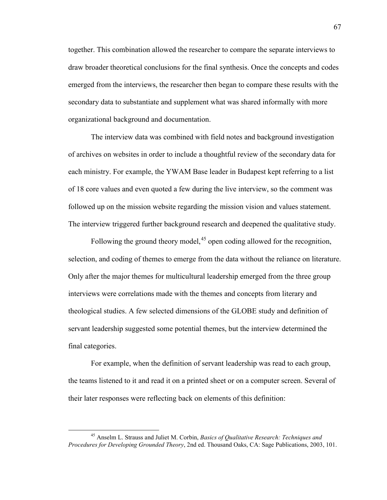together. This combination allowed the researcher to compare the separate interviews to draw broader theoretical conclusions for the final synthesis. Once the concepts and codes emerged from the interviews, the researcher then began to compare these results with the secondary data to substantiate and supplement what was shared informally with more organizational background and documentation.

The interview data was combined with field notes and background investigation of archives on websites in order to include a thoughtful review of the secondary data for each ministry. For example, the YWAM Base leader in Budapest kept referring to a list of 18 core values and even quoted a few during the live interview, so the comment was followed up on the mission website regarding the mission vision and values statement. The interview triggered further background research and deepened the qualitative study.

Following the ground theory model,  $45$  open coding allowed for the recognition, selection, and coding of themes to emerge from the data without the reliance on literature. Only after the major themes for multicultural leadership emerged from the three group interviews were correlations made with the themes and concepts from literary and theological studies. A few selected dimensions of the GLOBE study and definition of servant leadership suggested some potential themes, but the interview determined the final categories.

For example, when the definition of servant leadership was read to each group, the teams listened to it and read it on a printed sheet or on a computer screen. Several of their later responses were reflecting back on elements of this definition:

<span id="page-68-0"></span> <sup>45</sup> Anselm L. Strauss and Juliet M. Corbin, *Basics of Qualitative Research: Techniques and Procedures for Developing Grounded Theory*, 2nd ed. Thousand Oaks, CA: Sage Publications, 2003, 101.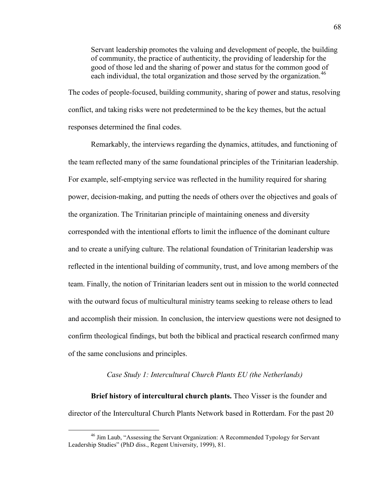Servant leadership promotes the valuing and development of people, the building of community, the practice of authenticity, the providing of leadership for the good of those led and the sharing of power and status for the common good of each individual, the total organization and those served by the organization.<sup>[46](#page-69-0)</sup>

The codes of people-focused, building community, sharing of power and status, resolving conflict, and taking risks were not predetermined to be the key themes, but the actual responses determined the final codes.

Remarkably, the interviews regarding the dynamics, attitudes, and functioning of the team reflected many of the same foundational principles of the Trinitarian leadership. For example, self-emptying service was reflected in the humility required for sharing power, decision-making, and putting the needs of others over the objectives and goals of the organization. The Trinitarian principle of maintaining oneness and diversity corresponded with the intentional efforts to limit the influence of the dominant culture and to create a unifying culture. The relational foundation of Trinitarian leadership was reflected in the intentional building of community, trust, and love among members of the team. Finally, the notion of Trinitarian leaders sent out in mission to the world connected with the outward focus of multicultural ministry teams seeking to release others to lead and accomplish their mission. In conclusion, the interview questions were not designed to confirm theological findings, but both the biblical and practical research confirmed many of the same conclusions and principles.

## *Case Study 1: Intercultural Church Plants EU (the Netherlands)*

**Brief history of intercultural church plants.** Theo Visser is the founder and director of the Intercultural Church Plants Network based in Rotterdam. For the past 20

<span id="page-69-0"></span><sup>&</sup>lt;sup>46</sup> Jim Laub, "Assessing the Servant Organization: A Recommended Typology for Servant Leadership Studies" (PhD diss., Regent University, 1999), 81.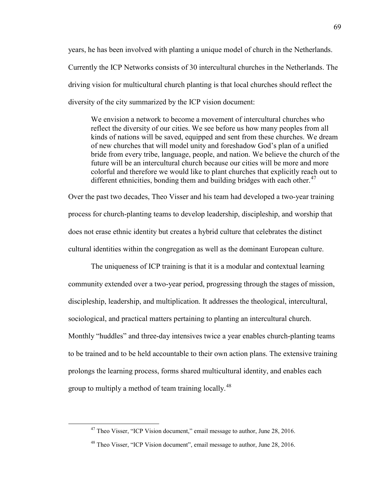years, he has been involved with planting a unique model of church in the Netherlands. Currently the ICP Networks consists of 30 intercultural churches in the Netherlands. The driving vision for multicultural church planting is that local churches should reflect the diversity of the city summarized by the ICP vision document:

We envision a network to become a movement of intercultural churches who reflect the diversity of our cities. We see before us how many peoples from all kinds of nations will be saved, equipped and sent from these churches. We dream of new churches that will model unity and foreshadow God's plan of a unified bride from every tribe, language, people, and nation. We believe the church of the future will be an intercultural church because our cities will be more and more colorful and therefore we would like to plant churches that explicitly reach out to different ethnicities, bonding them and building bridges with each other.<sup>[47](#page-70-0)</sup>

Over the past two decades, Theo Visser and his team had developed a two-year training process for church-planting teams to develop leadership, discipleship, and worship that does not erase ethnic identity but creates a hybrid culture that celebrates the distinct cultural identities within the congregation as well as the dominant European culture.

The uniqueness of ICP training is that it is a modular and contextual learning community extended over a two-year period, progressing through the stages of mission, discipleship, leadership, and multiplication. It addresses the theological, intercultural, sociological, and practical matters pertaining to planting an intercultural church. Monthly "huddles" and three-day intensives twice a year enables church-planting teams to be trained and to be held accountable to their own action plans. The extensive training prolongs the learning process, forms shared multicultural identity, and enables each group to multiply a method of team training locally.<sup>[48](#page-70-1)</sup>

<span id="page-70-0"></span><sup>&</sup>lt;sup>47</sup> Theo Visser, "ICP Vision document," email message to author, June 28, 2016.

<span id="page-70-1"></span><sup>&</sup>lt;sup>48</sup> Theo Visser, "ICP Vision document", email message to author, June 28, 2016.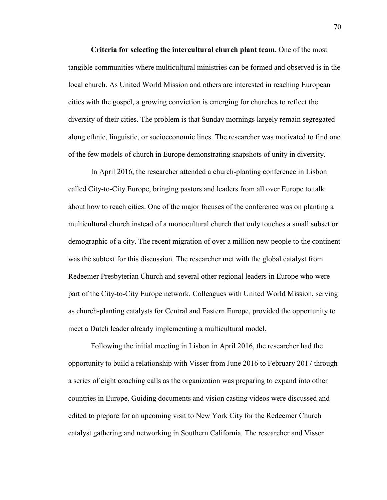**Criteria for selecting the intercultural church plant team***.* One of the most tangible communities where multicultural ministries can be formed and observed is in the local church. As United World Mission and others are interested in reaching European cities with the gospel, a growing conviction is emerging for churches to reflect the diversity of their cities. The problem is that Sunday mornings largely remain segregated along ethnic, linguistic, or socioeconomic lines. The researcher was motivated to find one of the few models of church in Europe demonstrating snapshots of unity in diversity.

In April 2016, the researcher attended a church-planting conference in Lisbon called City-to-City Europe, bringing pastors and leaders from all over Europe to talk about how to reach cities. One of the major focuses of the conference was on planting a multicultural church instead of a monocultural church that only touches a small subset or demographic of a city. The recent migration of over a million new people to the continent was the subtext for this discussion. The researcher met with the global catalyst from Redeemer Presbyterian Church and several other regional leaders in Europe who were part of the City-to-City Europe network. Colleagues with United World Mission, serving as church-planting catalysts for Central and Eastern Europe, provided the opportunity to meet a Dutch leader already implementing a multicultural model.

Following the initial meeting in Lisbon in April 2016, the researcher had the opportunity to build a relationship with Visser from June 2016 to February 2017 through a series of eight coaching calls as the organization was preparing to expand into other countries in Europe. Guiding documents and vision casting videos were discussed and edited to prepare for an upcoming visit to New York City for the Redeemer Church catalyst gathering and networking in Southern California. The researcher and Visser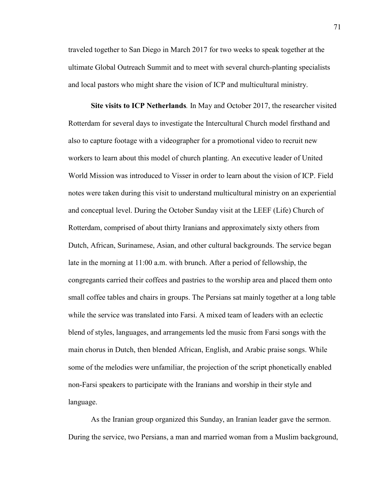traveled together to San Diego in March 2017 for two weeks to speak together at the ultimate Global Outreach Summit and to meet with several church-planting specialists and local pastors who might share the vision of ICP and multicultural ministry.

**Site visits to ICP Netherlands***.* In May and October 2017, the researcher visited Rotterdam for several days to investigate the Intercultural Church model firsthand and also to capture footage with a videographer for a promotional video to recruit new workers to learn about this model of church planting. An executive leader of United World Mission was introduced to Visser in order to learn about the vision of ICP. Field notes were taken during this visit to understand multicultural ministry on an experiential and conceptual level. During the October Sunday visit at the LEEF (Life) Church of Rotterdam, comprised of about thirty Iranians and approximately sixty others from Dutch, African, Surinamese, Asian, and other cultural backgrounds. The service began late in the morning at 11:00 a.m. with brunch. After a period of fellowship, the congregants carried their coffees and pastries to the worship area and placed them onto small coffee tables and chairs in groups. The Persians sat mainly together at a long table while the service was translated into Farsi. A mixed team of leaders with an eclectic blend of styles, languages, and arrangements led the music from Farsi songs with the main chorus in Dutch, then blended African, English, and Arabic praise songs. While some of the melodies were unfamiliar, the projection of the script phonetically enabled non-Farsi speakers to participate with the Iranians and worship in their style and language.

As the Iranian group organized this Sunday, an Iranian leader gave the sermon. During the service, two Persians, a man and married woman from a Muslim background,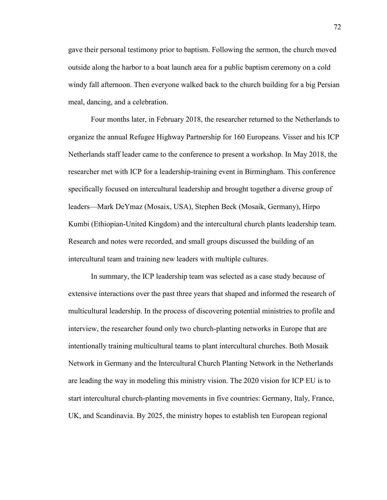gave their personal testimony prior to baptism. Following the sermon, the church moved outside along the harbor to a boat launch area for a public baptism ceremony on a cold windy fall afternoon. Then everyone walked back to the church building for a big Persian meal, dancing, and a celebration.

Four months later, in February 2018, the researcher returned to the Netherlands to organize the annual Refugee Highway Partnership for 160 Europeans. Visser and his ICP Netherlands staff leader came to the conference to present a workshop. In May 2018, the researcher met with ICP for a leadership-training event in Birmingham. This conference specifically focused on intercultural leadership and brought together a diverse group of leaders—Mark DeYmaz (Mosaix, USA), Stephen Beck (Mosaik, Germany), Hirpo Kumbi (Ethiopian-United Kingdom) and the intercultural church plants leadership team. Research and notes were recorded, and small groups discussed the building of an intercultural team and training new leaders with multiple cultures.

In summary, the ICP leadership team was selected as a case study because of extensive interactions over the past three years that shaped and informed the research of multicultural leadership. In the process of discovering potential ministries to profile and interview, the researcher found only two church-planting networks in Europe that are intentionally training multicultural teams to plant intercultural churches. Both Mosaik Network in Germany and the Intercultural Church Planting Network in the Netherlands are leading the way in modeling this ministry vision. The 2020 vision for ICP EU is to start intercultural church-planting movements in five countries: Germany, Italy, France, UK, and Scandinavia. By 2025, the ministry hopes to establish ten European regional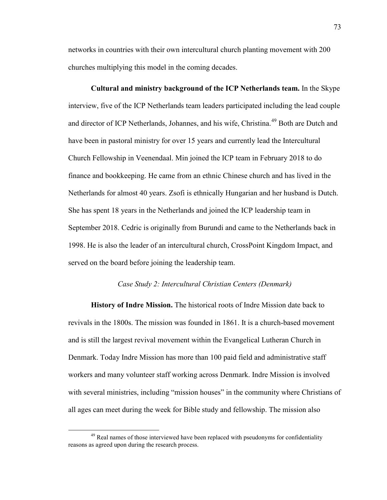networks in countries with their own intercultural church planting movement with 200 churches multiplying this model in the coming decades.

**Cultural and ministry background of the ICP Netherlands team.** In the Skype interview, five of the ICP Netherlands team leaders participated including the lead couple and director of ICP Netherlands, Johannes, and his wife, Christina.<sup>49</sup> Both are Dutch and have been in pastoral ministry for over 15 years and currently lead the Intercultural Church Fellowship in Veenendaal. Min joined the ICP team in February 2018 to do finance and bookkeeping. He came from an ethnic Chinese church and has lived in the Netherlands for almost 40 years. Zsofi is ethnically Hungarian and her husband is Dutch. She has spent 18 years in the Netherlands and joined the ICP leadership team in September 2018. Cedric is originally from Burundi and came to the Netherlands back in 1998. He is also the leader of an intercultural church, CrossPoint Kingdom Impact, and served on the board before joining the leadership team.

### *Case Study 2: Intercultural Christian Centers (Denmark)*

**History of Indre Mission.** The historical roots of Indre Mission date back to revivals in the 1800s. The mission was founded in 1861. It is a church-based movement and is still the largest revival movement within the Evangelical Lutheran Church in Denmark. Today Indre Mission has more than 100 paid field and administrative staff workers and many volunteer staff working across Denmark. Indre Mission is involved with several ministries, including "mission houses" in the community where Christians of all ages can meet during the week for Bible study and fellowship. The mission also

<span id="page-74-0"></span><sup>&</sup>lt;sup>49</sup> Real names of those interviewed have been replaced with pseudonyms for confidentiality reasons as agreed upon during the research process.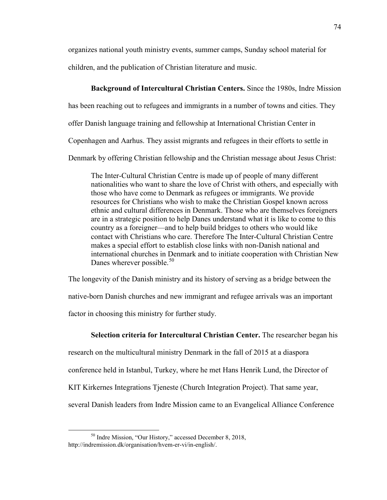organizes national youth ministry events, summer camps, Sunday school material for children, and the publication of Christian literature and music.

# **Background of Intercultural Christian Centers.** Since the 1980s, Indre Mission

has been reaching out to refugees and immigrants in a number of towns and cities. They

offer Danish language training and fellowship at International Christian Center in

Copenhagen and Aarhus. They assist migrants and refugees in their efforts to settle in

Denmark by offering Christian fellowship and the Christian message about Jesus Christ:

The Inter-Cultural Christian Centre is made up of people of many different nationalities who want to share the love of Christ with others, and especially with those who have come to Denmark as refugees or immigrants. We provide resources for Christians who wish to make the Christian Gospel known across ethnic and cultural differences in Denmark. Those who are themselves foreigners are in a strategic position to help Danes understand what it is like to come to this country as a foreigner—and to help build bridges to others who would like contact with Christians who care. Therefore The Inter-Cultural Christian Centre makes a special effort to establish close links with non-Danish national and international churches in Denmark and to initiate cooperation with Christian New Danes wherever possible. $50$ 

The longevity of the Danish ministry and its history of serving as a bridge between the native-born Danish churches and new immigrant and refugee arrivals was an important

factor in choosing this ministry for further study.

## **Selection criteria for Intercultural Christian Center.** The researcher began his

research on the multicultural ministry Denmark in the fall of 2015 at a diaspora

conference held in Istanbul, Turkey, where he met Hans Henrik Lund, the Director of

KIT Kirkernes Integrations Tjeneste (Church Integration Project). That same year,

several Danish leaders from Indre Mission came to an Evangelical Alliance Conference

<span id="page-75-0"></span> <sup>50</sup> Indre Mission, "Our History," accessed December 8, 2018, http://indremission.dk/organisation/hvem-er-vi/in-english/.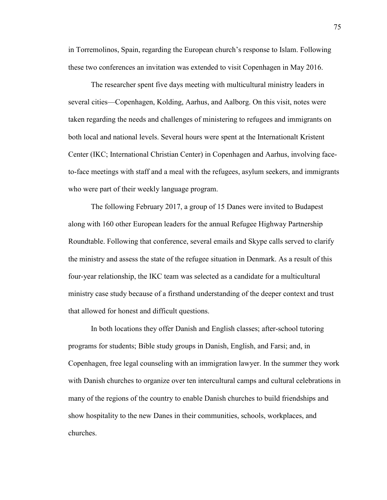in Torremolinos, Spain, regarding the European church's response to Islam. Following these two conferences an invitation was extended to visit Copenhagen in May 2016.

The researcher spent five days meeting with multicultural ministry leaders in several cities—Copenhagen, Kolding, Aarhus, and Aalborg. On this visit, notes were taken regarding the needs and challenges of ministering to refugees and immigrants on both local and national levels. Several hours were spent at the Internationalt Kristent Center (IKC; International Christian Center) in Copenhagen and Aarhus, involving faceto-face meetings with staff and a meal with the refugees, asylum seekers, and immigrants who were part of their weekly language program.

The following February 2017, a group of 15 Danes were invited to Budapest along with 160 other European leaders for the annual Refugee Highway Partnership Roundtable. Following that conference, several emails and Skype calls served to clarify the ministry and assess the state of the refugee situation in Denmark. As a result of this four-year relationship, the IKC team was selected as a candidate for a multicultural ministry case study because of a firsthand understanding of the deeper context and trust that allowed for honest and difficult questions.

In both locations they offer Danish and English classes; after-school tutoring programs for students; Bible study groups in Danish, English, and Farsi; and, in Copenhagen, free legal counseling with an immigration lawyer. In the summer they work with Danish churches to organize over ten intercultural camps and cultural celebrations in many of the regions of the country to enable Danish churches to build friendships and show hospitality to the new Danes in their communities, schools, workplaces, and churches.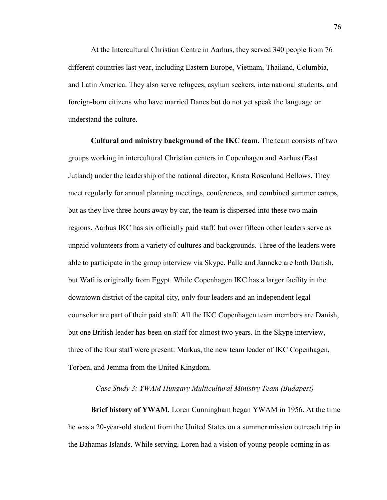At the Intercultural Christian Centre in Aarhus, they served 340 people from 76 different countries last year, including Eastern Europe, Vietnam, Thailand, Columbia, and Latin America. They also serve refugees, asylum seekers, international students, and foreign-born citizens who have married Danes but do not yet speak the language or understand the culture.

**Cultural and ministry background of the IKC team.** The team consists of two groups working in intercultural Christian centers in Copenhagen and Aarhus (East Jutland) under the leadership of the national director, Krista Rosenlund Bellows. They meet regularly for annual planning meetings, conferences, and combined summer camps, but as they live three hours away by car, the team is dispersed into these two main regions. Aarhus IKC has six officially paid staff, but over fifteen other leaders serve as unpaid volunteers from a variety of cultures and backgrounds. Three of the leaders were able to participate in the group interview via Skype. Palle and Janneke are both Danish, but Wafi is originally from Egypt. While Copenhagen IKC has a larger facility in the downtown district of the capital city, only four leaders and an independent legal counselor are part of their paid staff. All the IKC Copenhagen team members are Danish, but one British leader has been on staff for almost two years. In the Skype interview, three of the four staff were present: Markus, the new team leader of IKC Copenhagen, Torben, and Jemma from the United Kingdom.

### *Case Study 3: YWAM Hungary Multicultural Ministry Team (Budapest)*

**Brief history of YWAM***.* Loren Cunningham began YWAM in 1956. At the time he was a 20-year-old student from the United States on a summer mission outreach trip in the Bahamas Islands. While serving, Loren had a vision of young people coming in as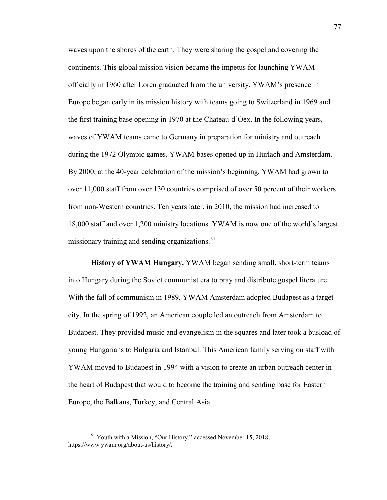waves upon the shores of the earth. They were sharing the gospel and covering the continents. This global mission vision became the impetus for launching YWAM officially in 1960 after Loren graduated from the university. YWAM's presence in Europe began early in its mission history with teams going to Switzerland in 1969 and the first training base opening in 1970 at the Chateau-d'Oex. In the following years, waves of YWAM teams came to Germany in preparation for ministry and outreach during the 1972 Olympic games. YWAM bases opened up in Hurlach and Amsterdam. By 2000, at the 40-year celebration of the mission's beginning, YWAM had grown to over 11,000 staff from over 130 countries comprised of over 50 percent of their workers from non-Western countries. Ten years later, in 2010, the mission had increased to 18,000 staff and over 1,200 ministry locations. YWAM is now one of the world's largest missionary training and sending organizations. $51$ 

**History of YWAM Hungary.** YWAM began sending small, short-term teams into Hungary during the Soviet communist era to pray and distribute gospel literature. With the fall of communism in 1989, YWAM Amsterdam adopted Budapest as a target city. In the spring of 1992, an American couple led an outreach from Amsterdam to Budapest. They provided music and evangelism in the squares and later took a busload of young Hungarians to Bulgaria and Istanbul. This American family serving on staff with YWAM moved to Budapest in 1994 with a vision to create an urban outreach center in the heart of Budapest that would to become the training and sending base for Eastern Europe, the Balkans, Turkey, and Central Asia.

<span id="page-78-0"></span><sup>&</sup>lt;sup>51</sup> Youth with a Mission, "Our History," accessed November 15, 2018, https://www.ywam.org/about-us/history/.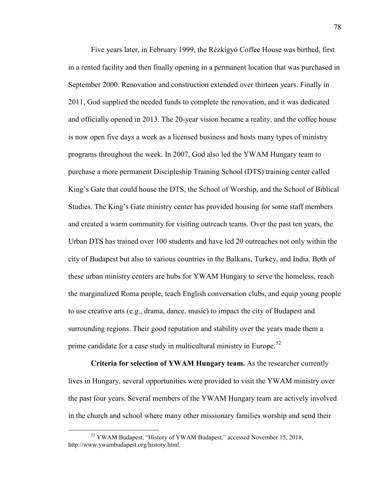Five years later, in February 1999, the Rézkígyó Coffee House was birthed, first in a rented facility and then finally opening in a permanent location that was purchased in September 2000. Renovation and construction extended over thirteen years. Finally in 2011, God supplied the needed funds to complete the renovation, and it was dedicated and officially opened in 2013. The 20-year vision became a reality, and the coffee house is now open five days a week as a licensed business and hosts many types of ministry programs throughout the week. In 2007, God also led the YWAM Hungary team to purchase a more permanent Discipleship Training School (DTS) training center called King's Gate that could house the DTS, the School of Worship, and the School of Biblical Studies. The King's Gate ministry center has provided housing for some staff members and created a warm community for visiting outreach teams. Over the past ten years, the Urban DTS has trained over 100 students and have led 20 outreaches not only within the city of Budapest but also to various countries in the Balkans, Turkey, and India. Both of these urban ministry centers are hubs for YWAM Hungary to serve the homeless, reach the marginalized Roma people, teach English conversation clubs, and equip young people to use creative arts (e.g., drama, dance, music) to impact the city of Budapest and surrounding regions. Their good reputation and stability over the years made them a prime candidate for a case study in multicultural ministry in Europe.<sup>[52](#page-79-0)</sup>

**Criteria for selection of YWAM Hungary team.** As the researcher currently lives in Hungary, several opportunities were provided to visit the YWAM ministry over the past four years. Several members of the YWAM Hungary team are actively involved in the church and school where many other missionary families worship and send their

<span id="page-79-0"></span><sup>&</sup>lt;sup>52</sup> YWAM Budapest, "History of YWAM Budapest," accessed November 15, 2018, http://www.ywambudapest.org/history.html.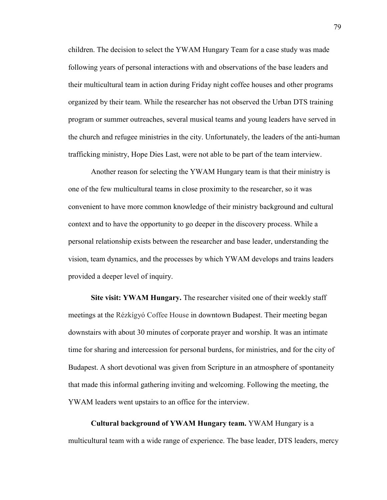children. The decision to select the YWAM Hungary Team for a case study was made following years of personal interactions with and observations of the base leaders and their multicultural team in action during Friday night coffee houses and other programs organized by their team. While the researcher has not observed the Urban DTS training program or summer outreaches, several musical teams and young leaders have served in the church and refugee ministries in the city. Unfortunately, the leaders of the anti-human trafficking ministry, Hope Dies Last, were not able to be part of the team interview.

Another reason for selecting the YWAM Hungary team is that their ministry is one of the few multicultural teams in close proximity to the researcher, so it was convenient to have more common knowledge of their ministry background and cultural context and to have the opportunity to go deeper in the discovery process. While a personal relationship exists between the researcher and base leader, understanding the vision, team dynamics, and the processes by which YWAM develops and trains leaders provided a deeper level of inquiry.

**Site visit: YWAM Hungary.** The researcher visited one of their weekly staff meetings at the Rézkígyó Coffee House in downtown Budapest. Their meeting began downstairs with about 30 minutes of corporate prayer and worship. It was an intimate time for sharing and intercession for personal burdens, for ministries, and for the city of Budapest. A short devotional was given from Scripture in an atmosphere of spontaneity that made this informal gathering inviting and welcoming. Following the meeting, the YWAM leaders went upstairs to an office for the interview.

**Cultural background of YWAM Hungary team.** YWAM Hungary is a multicultural team with a wide range of experience. The base leader, DTS leaders, mercy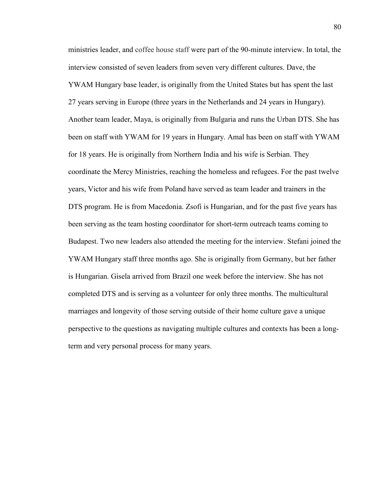ministries leader, and coffee house staff were part of the 90-minute interview. In total, the interview consisted of seven leaders from seven very different cultures. Dave, the YWAM Hungary base leader, is originally from the United States but has spent the last 27 years serving in Europe (three years in the Netherlands and 24 years in Hungary). Another team leader, Maya, is originally from Bulgaria and runs the Urban DTS. She has been on staff with YWAM for 19 years in Hungary. Amal has been on staff with YWAM for 18 years. He is originally from Northern India and his wife is Serbian. They coordinate the Mercy Ministries, reaching the homeless and refugees. For the past twelve years, Victor and his wife from Poland have served as team leader and trainers in the DTS program. He is from Macedonia. Zsofi is Hungarian, and for the past five years has been serving as the team hosting coordinator for short-term outreach teams coming to Budapest. Two new leaders also attended the meeting for the interview. Stefani joined the YWAM Hungary staff three months ago. She is originally from Germany, but her father is Hungarian. Gisela arrived from Brazil one week before the interview. She has not completed DTS and is serving as a volunteer for only three months. The multicultural marriages and longevity of those serving outside of their home culture gave a unique perspective to the questions as navigating multiple cultures and contexts has been a longterm and very personal process for many years.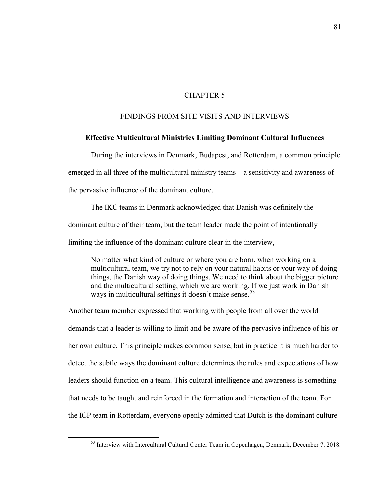## CHAPTER 5

## FINDINGS FROM SITE VISITS AND INTERVIEWS

### **Effective Multicultural Ministries Limiting Dominant Cultural Influences**

During the interviews in Denmark, Budapest, and Rotterdam, a common principle emerged in all three of the multicultural ministry teams—a sensitivity and awareness of the pervasive influence of the dominant culture.

The IKC teams in Denmark acknowledged that Danish was definitely the dominant culture of their team, but the team leader made the point of intentionally limiting the influence of the dominant culture clear in the interview,

No matter what kind of culture or where you are born, when working on a multicultural team, we try not to rely on your natural habits or your way of doing things, the Danish way of doing things. We need to think about the bigger picture and the multicultural setting, which we are working. If we just work in Danish ways in multicultural settings it doesn't make sense.<sup>[53](#page-82-0)</sup>

Another team member expressed that working with people from all over the world demands that a leader is willing to limit and be aware of the pervasive influence of his or her own culture. This principle makes common sense, but in practice it is much harder to detect the subtle ways the dominant culture determines the rules and expectations of how leaders should function on a team. This cultural intelligence and awareness is something that needs to be taught and reinforced in the formation and interaction of the team. For the ICP team in Rotterdam, everyone openly admitted that Dutch is the dominant culture

<span id="page-82-0"></span><sup>&</sup>lt;sup>53</sup> Interview with Intercultural Cultural Center Team in Copenhagen, Denmark, December 7, 2018.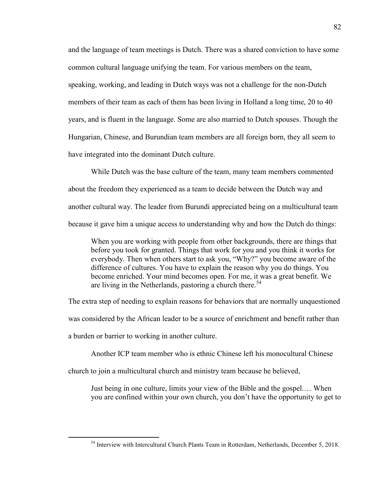and the language of team meetings is Dutch. There was a shared conviction to have some common cultural language unifying the team. For various members on the team, speaking, working, and leading in Dutch ways was not a challenge for the non-Dutch members of their team as each of them has been living in Holland a long time, 20 to 40 years, and is fluent in the language. Some are also married to Dutch spouses. Though the Hungarian, Chinese, and Burundian team members are all foreign born, they all seem to have integrated into the dominant Dutch culture.

While Dutch was the base culture of the team, many team members commented about the freedom they experienced as a team to decide between the Dutch way and another cultural way. The leader from Burundi appreciated being on a multicultural team because it gave him a unique access to understanding why and how the Dutch do things:

When you are working with people from other backgrounds, there are things that before you took for granted. Things that work for you and you think it works for everybody. Then when others start to ask you, "Why?" you become aware of the difference of cultures. You have to explain the reason why you do things. You become enriched. Your mind becomes open. For me, it was a great benefit. We are living in the Netherlands, pastoring a church there.<sup>[54](#page-83-0)</sup>

The extra step of needing to explain reasons for behaviors that are normally unquestioned

was considered by the African leader to be a source of enrichment and benefit rather than

a burden or barrier to working in another culture.

Another ICP team member who is ethnic Chinese left his monocultural Chinese

church to join a multicultural church and ministry team because he believed,

Just being in one culture, limits your view of the Bible and the gospel.… When you are confined within your own church, you don't have the opportunity to get to

<span id="page-83-0"></span><sup>&</sup>lt;sup>54</sup> Interview with Intercultural Church Plants Team in Rotterdam, Netherlands, December 5, 2018.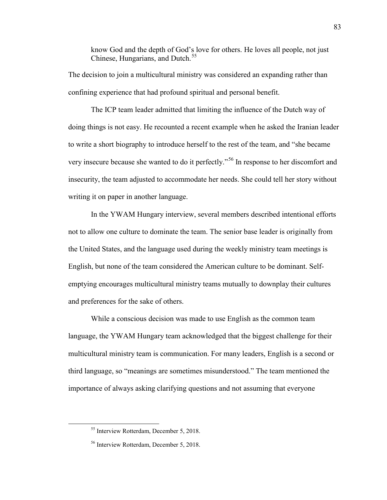know God and the depth of God's love for others. He loves all people, not just Chinese, Hungarians, and Dutch. [55](#page-84-0)

The decision to join a multicultural ministry was considered an expanding rather than confining experience that had profound spiritual and personal benefit.

The ICP team leader admitted that limiting the influence of the Dutch way of doing things is not easy. He recounted a recent example when he asked the Iranian leader to write a short biography to introduce herself to the rest of the team, and "she became very insecure because she wanted to do it perfectly."[56](#page-84-1) In response to her discomfort and insecurity, the team adjusted to accommodate her needs. She could tell her story without writing it on paper in another language.

In the YWAM Hungary interview, several members described intentional efforts not to allow one culture to dominate the team. The senior base leader is originally from the United States, and the language used during the weekly ministry team meetings is English, but none of the team considered the American culture to be dominant. Selfemptying encourages multicultural ministry teams mutually to downplay their cultures and preferences for the sake of others.

While a conscious decision was made to use English as the common team language, the YWAM Hungary team acknowledged that the biggest challenge for their multicultural ministry team is communication. For many leaders, English is a second or third language, so "meanings are sometimes misunderstood." The team mentioned the importance of always asking clarifying questions and not assuming that everyone

<span id="page-84-0"></span> <sup>55</sup> Interview Rotterdam, December 5, 2018.

<span id="page-84-1"></span><sup>56</sup> Interview Rotterdam, December 5, 2018.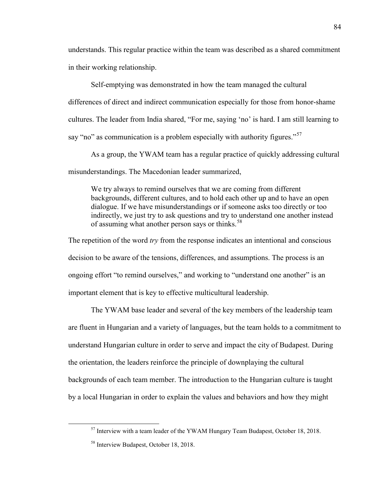understands. This regular practice within the team was described as a shared commitment in their working relationship.

Self-emptying was demonstrated in how the team managed the cultural

differences of direct and indirect communication especially for those from honor-shame cultures. The leader from India shared, "For me, saying 'no' is hard. I am still learning to say "no" as communication is a problem especially with authority figures."<sup>[57](#page-85-0)</sup>

As a group, the YWAM team has a regular practice of quickly addressing cultural misunderstandings. The Macedonian leader summarized,

We try always to remind ourselves that we are coming from different backgrounds, different cultures, and to hold each other up and to have an open dialogue. If we have misunderstandings or if someone asks too directly or too indirectly, we just try to ask questions and try to understand one another instead of assuming what another person says or thinks.<sup>[58](#page-85-1)</sup>

The repetition of the word *try* from the response indicates an intentional and conscious decision to be aware of the tensions, differences, and assumptions. The process is an ongoing effort "to remind ourselves," and working to "understand one another" is an important element that is key to effective multicultural leadership.

The YWAM base leader and several of the key members of the leadership team are fluent in Hungarian and a variety of languages, but the team holds to a commitment to understand Hungarian culture in order to serve and impact the city of Budapest. During the orientation, the leaders reinforce the principle of downplaying the cultural backgrounds of each team member. The introduction to the Hungarian culture is taught by a local Hungarian in order to explain the values and behaviors and how they might

<span id="page-85-0"></span> <sup>57</sup> Interview with a team leader of the YWAM Hungary Team Budapest, October 18, 2018.

<span id="page-85-1"></span><sup>58</sup> Interview Budapest, October 18, 2018.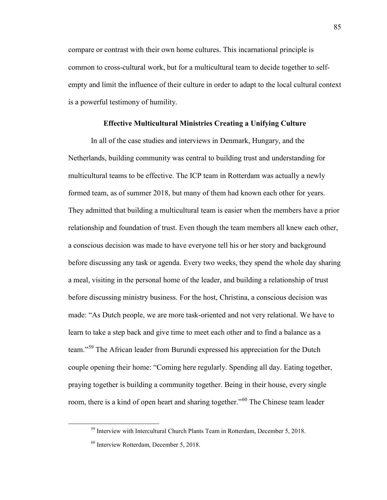compare or contrast with their own home cultures. This incarnational principle is common to cross-cultural work, but for a multicultural team to decide together to selfempty and limit the influence of their culture in order to adapt to the local cultural context is a powerful testimony of humility.

### **Effective Multicultural Ministries Creating a Unifying Culture**

In all of the case studies and interviews in Denmark, Hungary, and the Netherlands, building community was central to building trust and understanding for multicultural teams to be effective. The ICP team in Rotterdam was actually a newly formed team, as of summer 2018, but many of them had known each other for years. They admitted that building a multicultural team is easier when the members have a prior relationship and foundation of trust. Even though the team members all knew each other, a conscious decision was made to have everyone tell his or her story and background before discussing any task or agenda. Every two weeks, they spend the whole day sharing a meal, visiting in the personal home of the leader, and building a relationship of trust before discussing ministry business. For the host, Christina, a conscious decision was made: "As Dutch people, we are more task-oriented and not very relational. We have to learn to take a step back and give time to meet each other and to find a balance as a team."[59](#page-86-0) The African leader from Burundi expressed his appreciation for the Dutch couple opening their home: "Coming here regularly. Spending all day. Eating together, praying together is building a community together. Being in their house, every single room, there is a kind of open heart and sharing together."<sup>[60](#page-86-1)</sup> The Chinese team leader

<span id="page-86-0"></span><sup>&</sup>lt;sup>59</sup> Interview with Intercultural Church Plants Team in Rotterdam, December 5, 2018.

<span id="page-86-1"></span><sup>60</sup> Interview Rotterdam, December 5, 2018.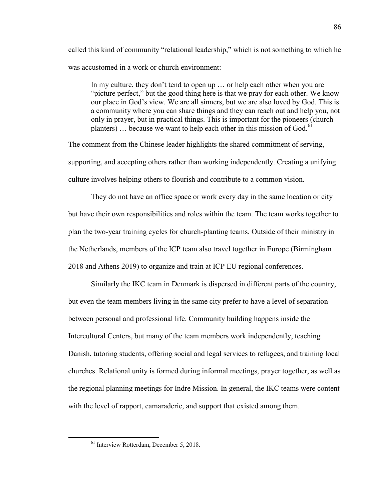called this kind of community "relational leadership," which is not something to which he was accustomed in a work or church environment:

In my culture, they don't tend to open up … or help each other when you are "picture perfect," but the good thing here is that we pray for each other. We know our place in God's view. We are all sinners, but we are also loved by God. This is a community where you can share things and they can reach out and help you, not only in prayer, but in practical things. This is important for the pioneers (church planters)  $\ldots$  because we want to help each other in this mission of God.<sup>[61](#page-87-0)</sup>

The comment from the Chinese leader highlights the shared commitment of serving, supporting, and accepting others rather than working independently. Creating a unifying culture involves helping others to flourish and contribute to a common vision.

They do not have an office space or work every day in the same location or city but have their own responsibilities and roles within the team. The team works together to plan the two-year training cycles for church-planting teams. Outside of their ministry in the Netherlands, members of the ICP team also travel together in Europe (Birmingham 2018 and Athens 2019) to organize and train at ICP EU regional conferences.

Similarly the IKC team in Denmark is dispersed in different parts of the country, but even the team members living in the same city prefer to have a level of separation between personal and professional life. Community building happens inside the Intercultural Centers, but many of the team members work independently, teaching Danish, tutoring students, offering social and legal services to refugees, and training local churches. Relational unity is formed during informal meetings, prayer together, as well as the regional planning meetings for Indre Mission. In general, the IKC teams were content with the level of rapport, camaraderie, and support that existed among them.

<span id="page-87-0"></span><sup>&</sup>lt;sup>61</sup> Interview Rotterdam, December 5, 2018.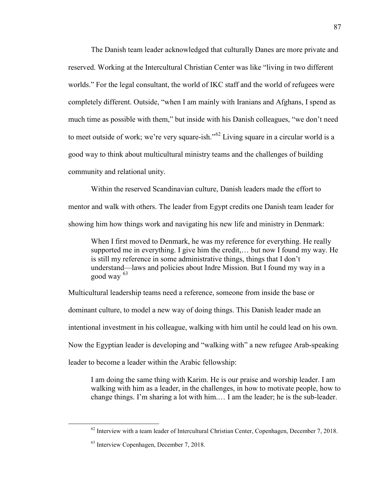The Danish team leader acknowledged that culturally Danes are more private and reserved. Working at the Intercultural Christian Center was like "living in two different worlds." For the legal consultant, the world of IKC staff and the world of refugees were completely different. Outside, "when I am mainly with Iranians and Afghans, I spend as much time as possible with them," but inside with his Danish colleagues, "we don't need to meet outside of work; we're very square-ish."<sup>[62](#page-88-0)</sup> Living square in a circular world is a good way to think about multicultural ministry teams and the challenges of building community and relational unity.

Within the reserved Scandinavian culture, Danish leaders made the effort to mentor and walk with others. The leader from Egypt credits one Danish team leader for showing him how things work and navigating his new life and ministry in Denmark:

When I first moved to Denmark, he was my reference for everything. He really supported me in everything. I give him the credit,… but now I found my way. He is still my reference in some administrative things, things that I don't understand—laws and policies about Indre Mission. But I found my way in a good way  $63$ 

Multicultural leadership teams need a reference, someone from inside the base or dominant culture, to model a new way of doing things. This Danish leader made an intentional investment in his colleague, walking with him until he could lead on his own. Now the Egyptian leader is developing and "walking with" a new refugee Arab-speaking leader to become a leader within the Arabic fellowship:

I am doing the same thing with Karim. He is our praise and worship leader. I am walking with him as a leader, in the challenges, in how to motivate people, how to change things. I'm sharing a lot with him.… I am the leader; he is the sub-leader.

<span id="page-88-0"></span> $62$  Interview with a team leader of Intercultural Christian Center, Copenhagen, December 7, 2018.

<span id="page-88-1"></span><sup>63</sup> Interview Copenhagen, December 7, 2018.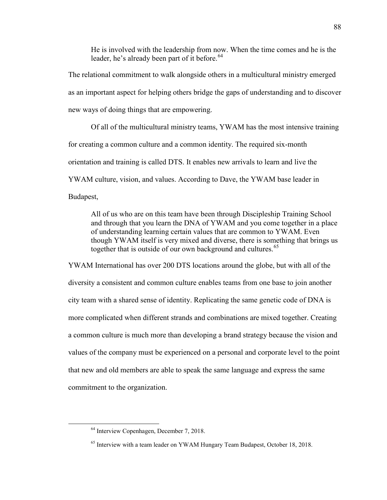He is involved with the leadership from now. When the time comes and he is the leader, he's already been part of it before.<sup>[64](#page-89-0)</sup>

The relational commitment to walk alongside others in a multicultural ministry emerged as an important aspect for helping others bridge the gaps of understanding and to discover new ways of doing things that are empowering.

Of all of the multicultural ministry teams, YWAM has the most intensive training for creating a common culture and a common identity. The required six-month orientation and training is called DTS. It enables new arrivals to learn and live the YWAM culture, vision, and values. According to Dave, the YWAM base leader in Budapest,

All of us who are on this team have been through Discipleship Training School and through that you learn the DNA of YWAM and you come together in a place of understanding learning certain values that are common to YWAM. Even though YWAM itself is very mixed and diverse, there is something that brings us together that is outside of our own background and cultures.<sup>[65](#page-89-1)</sup>

YWAM International has over 200 DTS locations around the globe, but with all of the diversity a consistent and common culture enables teams from one base to join another city team with a shared sense of identity. Replicating the same genetic code of DNA is more complicated when different strands and combinations are mixed together. Creating a common culture is much more than developing a brand strategy because the vision and values of the company must be experienced on a personal and corporate level to the point that new and old members are able to speak the same language and express the same commitment to the organization.

<span id="page-89-0"></span><sup>&</sup>lt;sup>64</sup> Interview Copenhagen, December 7, 2018.

<span id="page-89-1"></span><sup>&</sup>lt;sup>65</sup> Interview with a team leader on YWAM Hungary Team Budapest, October 18, 2018.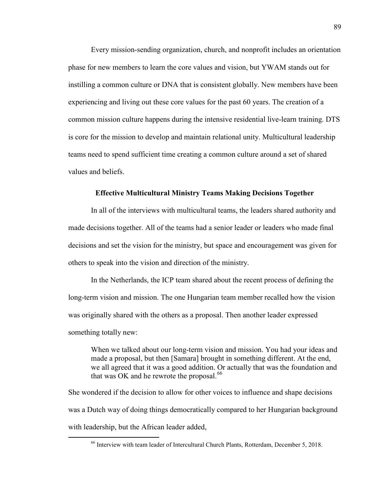Every mission-sending organization, church, and nonprofit includes an orientation phase for new members to learn the core values and vision, but YWAM stands out for instilling a common culture or DNA that is consistent globally. New members have been experiencing and living out these core values for the past 60 years. The creation of a common mission culture happens during the intensive residential live-learn training. DTS is core for the mission to develop and maintain relational unity. Multicultural leadership teams need to spend sufficient time creating a common culture around a set of shared values and beliefs.

#### **Effective Multicultural Ministry Teams Making Decisions Together**

In all of the interviews with multicultural teams, the leaders shared authority and made decisions together. All of the teams had a senior leader or leaders who made final decisions and set the vision for the ministry, but space and encouragement was given for others to speak into the vision and direction of the ministry.

In the Netherlands, the ICP team shared about the recent process of defining the long-term vision and mission. The one Hungarian team member recalled how the vision was originally shared with the others as a proposal. Then another leader expressed something totally new:

When we talked about our long-term vision and mission. You had your ideas and made a proposal, but then [Samara] brought in something different. At the end, we all agreed that it was a good addition. Or actually that was the foundation and that was OK and he rewrote the proposal. $^{66}$  $^{66}$  $^{66}$ 

<span id="page-90-0"></span>She wondered if the decision to allow for other voices to influence and shape decisions was a Dutch way of doing things democratically compared to her Hungarian background with leadership, but the African leader added,

 <sup>66</sup> Interview with team leader of Intercultural Church Plants, Rotterdam, December 5, 2018.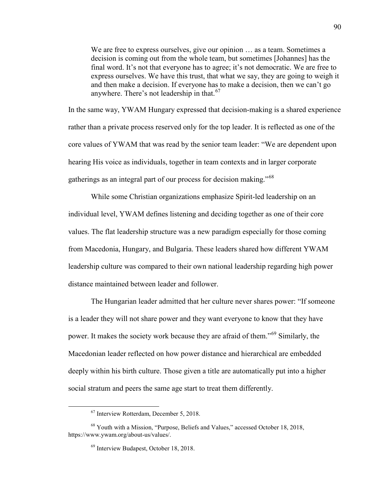We are free to express ourselves, give our opinion ... as a team. Sometimes a decision is coming out from the whole team, but sometimes [Johannes] has the final word. It's not that everyone has to agree; it's not democratic. We are free to express ourselves. We have this trust, that what we say, they are going to weigh it and then make a decision. If everyone has to make a decision, then we can't go anywhere. There's not leadership in that. $67$ 

In the same way, YWAM Hungary expressed that decision-making is a shared experience rather than a private process reserved only for the top leader. It is reflected as one of the core values of YWAM that was read by the senior team leader: "We are dependent upon hearing His voice as individuals, together in team contexts and in larger corporate gatherings as an integral part of our process for decision making."<sup>[68](#page-91-1)</sup>

While some Christian organizations emphasize Spirit-led leadership on an individual level, YWAM defines listening and deciding together as one of their core values. The flat leadership structure was a new paradigm especially for those coming from Macedonia, Hungary, and Bulgaria. These leaders shared how different YWAM leadership culture was compared to their own national leadership regarding high power distance maintained between leader and follower.

The Hungarian leader admitted that her culture never shares power: "If someone is a leader they will not share power and they want everyone to know that they have power. It makes the society work because they are afraid of them."[69](#page-91-2) Similarly, the Macedonian leader reflected on how power distance and hierarchical are embedded deeply within his birth culture. Those given a title are automatically put into a higher social stratum and peers the same age start to treat them differently.

 <sup>67</sup> Interview Rotterdam, December 5, 2018.

<span id="page-91-2"></span><span id="page-91-1"></span><span id="page-91-0"></span><sup>68</sup> Youth with a Mission, "Purpose, Beliefs and Values," accessed October 18, 2018, https://www.ywam.org/about-us/values/.

<sup>69</sup> Interview Budapest, October 18, 2018.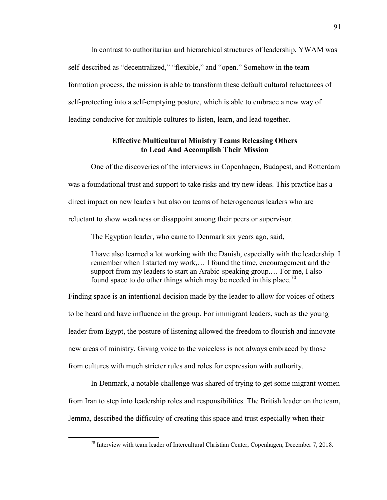In contrast to authoritarian and hierarchical structures of leadership, YWAM was self-described as "decentralized," "flexible," and "open." Somehow in the team formation process, the mission is able to transform these default cultural reluctances of self-protecting into a self-emptying posture, which is able to embrace a new way of leading conducive for multiple cultures to listen, learn, and lead together.

## **Effective Multicultural Ministry Teams Releasing Others to Lead And Accomplish Their Mission**

One of the discoveries of the interviews in Copenhagen, Budapest, and Rotterdam was a foundational trust and support to take risks and try new ideas. This practice has a direct impact on new leaders but also on teams of heterogeneous leaders who are reluctant to show weakness or disappoint among their peers or supervisor.

The Egyptian leader, who came to Denmark six years ago, said,

I have also learned a lot working with the Danish, especially with the leadership. I remember when I started my work,… I found the time, encouragement and the support from my leaders to start an Arabic-speaking group.… For me, I also found space to do other things which may be needed in this place.<sup>[70](#page-92-0)</sup>

Finding space is an intentional decision made by the leader to allow for voices of others to be heard and have influence in the group. For immigrant leaders, such as the young leader from Egypt, the posture of listening allowed the freedom to flourish and innovate new areas of ministry. Giving voice to the voiceless is not always embraced by those from cultures with much stricter rules and roles for expression with authority.

In Denmark, a notable challenge was shared of trying to get some migrant women from Iran to step into leadership roles and responsibilities. The British leader on the team, Jemma, described the difficulty of creating this space and trust especially when their

<span id="page-92-0"></span> $70$  Interview with team leader of Intercultural Christian Center, Copenhagen, December 7, 2018.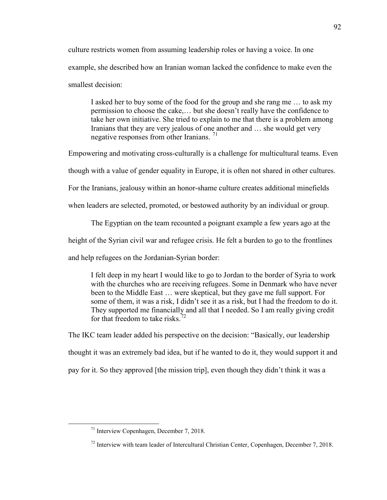culture restricts women from assuming leadership roles or having a voice. In one example, she described how an Iranian woman lacked the confidence to make even the smallest decision:

I asked her to buy some of the food for the group and she rang me … to ask my permission to choose the cake,… but she doesn't really have the confidence to take her own initiative. She tried to explain to me that there is a problem among Iranians that they are very jealous of one another and … she would get very negative responses from other Iranians. [71](#page-93-0)

Empowering and motivating cross-culturally is a challenge for multicultural teams. Even

though with a value of gender equality in Europe, it is often not shared in other cultures.

For the Iranians, jealousy within an honor-shame culture creates additional minefields

when leaders are selected, promoted, or bestowed authority by an individual or group.

The Egyptian on the team recounted a poignant example a few years ago at the

height of the Syrian civil war and refugee crisis. He felt a burden to go to the frontlines

and help refugees on the Jordanian-Syrian border:

I felt deep in my heart I would like to go to Jordan to the border of Syria to work with the churches who are receiving refugees. Some in Denmark who have never been to the Middle East … were skeptical, but they gave me full support. For some of them, it was a risk, I didn't see it as a risk, but I had the freedom to do it. They supported me financially and all that I needed. So I am really giving credit for that freedom to take risks $^{72}$  $^{72}$  $^{72}$ 

The IKC team leader added his perspective on the decision: "Basically, our leadership thought it was an extremely bad idea, but if he wanted to do it, they would support it and pay for it. So they approved [the mission trip], even though they didn't think it was a

<span id="page-93-0"></span> <sup>71</sup> Interview Copenhagen, December 7, 2018.

<span id="page-93-1"></span> $^{72}$  Interview with team leader of Intercultural Christian Center, Copenhagen, December 7, 2018.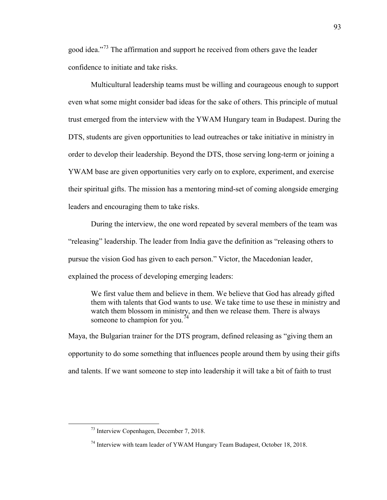good idea."[73](#page-94-0) The affirmation and support he received from others gave the leader confidence to initiate and take risks.

Multicultural leadership teams must be willing and courageous enough to support even what some might consider bad ideas for the sake of others. This principle of mutual trust emerged from the interview with the YWAM Hungary team in Budapest. During the DTS, students are given opportunities to lead outreaches or take initiative in ministry in order to develop their leadership. Beyond the DTS, those serving long-term or joining a YWAM base are given opportunities very early on to explore, experiment, and exercise their spiritual gifts. The mission has a mentoring mind-set of coming alongside emerging leaders and encouraging them to take risks.

During the interview, the one word repeated by several members of the team was "releasing" leadership. The leader from India gave the definition as "releasing others to pursue the vision God has given to each person." Victor, the Macedonian leader, explained the process of developing emerging leaders:

We first value them and believe in them. We believe that God has already gifted them with talents that God wants to use. We take time to use these in ministry and watch them blossom in ministry, and then we release them. There is always someone to champion for you.<sup>7</sup>

Maya, the Bulgarian trainer for the DTS program, defined releasing as "giving them an opportunity to do some something that influences people around them by using their gifts and talents. If we want someone to step into leadership it will take a bit of faith to trust

<span id="page-94-0"></span> <sup>73</sup> Interview Copenhagen, December 7, 2018.

<span id="page-94-1"></span> $74$  Interview with team leader of YWAM Hungary Team Budapest, October 18, 2018.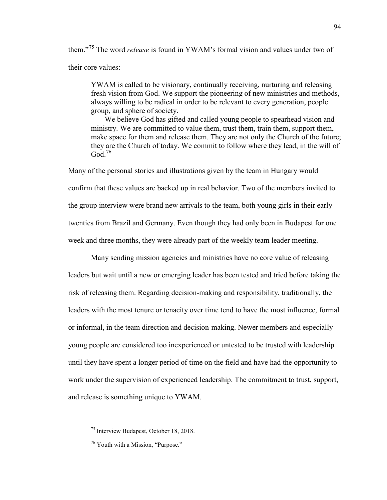them."[75](#page-95-0) The word *release* is found in YWAM's formal vision and values under two of their core values:

YWAM is called to be visionary, continually receiving, nurturing and releasing fresh vision from God. We support the pioneering of new ministries and methods, always willing to be radical in order to be relevant to every generation, people group, and sphere of society.

We believe God has gifted and called young people to spearhead vision and ministry. We are committed to value them, trust them, train them, support them, make space for them and release them. They are not only the Church of the future; they are the Church of today. We commit to follow where they lead, in the will of God<sup> $76$ </sup>

Many of the personal stories and illustrations given by the team in Hungary would confirm that these values are backed up in real behavior. Two of the members invited to the group interview were brand new arrivals to the team, both young girls in their early twenties from Brazil and Germany. Even though they had only been in Budapest for one week and three months, they were already part of the weekly team leader meeting.

Many sending mission agencies and ministries have no core value of releasing leaders but wait until a new or emerging leader has been tested and tried before taking the risk of releasing them. Regarding decision-making and responsibility, traditionally, the leaders with the most tenure or tenacity over time tend to have the most influence, formal or informal, in the team direction and decision-making. Newer members and especially young people are considered too inexperienced or untested to be trusted with leadership until they have spent a longer period of time on the field and have had the opportunity to work under the supervision of experienced leadership. The commitment to trust, support, and release is something unique to YWAM.

<span id="page-95-0"></span> <sup>75</sup> Interview Budapest, October 18, 2018.

<span id="page-95-1"></span><sup>&</sup>lt;sup>76</sup> Youth with a Mission, "Purpose."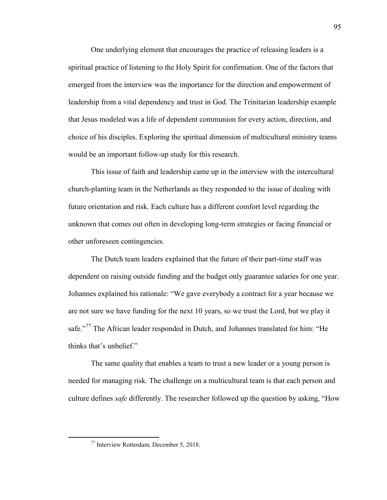One underlying element that encourages the practice of releasing leaders is a spiritual practice of listening to the Holy Spirit for confirmation. One of the factors that emerged from the interview was the importance for the direction and empowerment of leadership from a vital dependency and trust in God. The Trinitarian leadership example that Jesus modeled was a life of dependent communion for every action, direction, and choice of his disciples. Exploring the spiritual dimension of multicultural ministry teams would be an important follow-up study for this research.

This issue of faith and leadership came up in the interview with the intercultural church-planting team in the Netherlands as they responded to the issue of dealing with future orientation and risk. Each culture has a different comfort level regarding the unknown that comes out often in developing long-term strategies or facing financial or other unforeseen contingencies.

The Dutch team leaders explained that the future of their part-time staff was dependent on raising outside funding and the budget only guarantee salaries for one year. Johannes explained his rationale: "We gave everybody a contract for a year because we are not sure we have funding for the next 10 years, so we trust the Lord, but we play it safe."<sup>[77](#page-96-0)</sup> The African leader responded in Dutch, and Johannes translated for him: "He thinks that's unbelief."

The same quality that enables a team to trust a new leader or a young person is needed for managing risk. The challenge on a multicultural team is that each person and culture defines *safe* differently. The researcher followed up the question by asking, "How

<span id="page-96-0"></span> <sup>77</sup> Interview Rotterdam, December 5, 2018.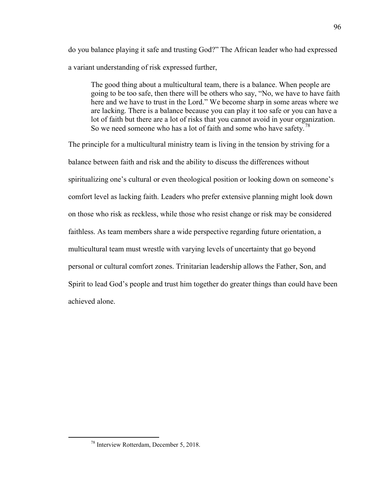do you balance playing it safe and trusting God?" The African leader who had expressed a variant understanding of risk expressed further,

The good thing about a multicultural team, there is a balance. When people are going to be too safe, then there will be others who say, "No, we have to have faith here and we have to trust in the Lord." We become sharp in some areas where we are lacking. There is a balance because you can play it too safe or you can have a lot of faith but there are a lot of risks that you cannot avoid in your organization. So we need someone who has a lot of faith and some who have safety.<sup>[78](#page-97-0)</sup>

The principle for a multicultural ministry team is living in the tension by striving for a balance between faith and risk and the ability to discuss the differences without spiritualizing one's cultural or even theological position or looking down on someone's comfort level as lacking faith. Leaders who prefer extensive planning might look down on those who risk as reckless, while those who resist change or risk may be considered faithless. As team members share a wide perspective regarding future orientation, a multicultural team must wrestle with varying levels of uncertainty that go beyond personal or cultural comfort zones. Trinitarian leadership allows the Father, Son, and Spirit to lead God's people and trust him together do greater things than could have been achieved alone.

<span id="page-97-0"></span> <sup>78</sup> Interview Rotterdam, December 5, 2018.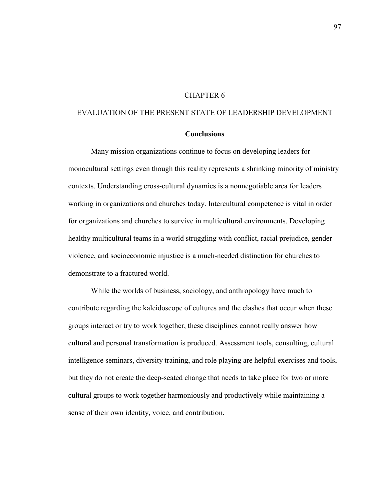## CHAPTER 6

## EVALUATION OF THE PRESENT STATE OF LEADERSHIP DEVELOPMENT

### **Conclusions**

Many mission organizations continue to focus on developing leaders for monocultural settings even though this reality represents a shrinking minority of ministry contexts. Understanding cross-cultural dynamics is a nonnegotiable area for leaders working in organizations and churches today. Intercultural competence is vital in order for organizations and churches to survive in multicultural environments. Developing healthy multicultural teams in a world struggling with conflict, racial prejudice, gender violence, and socioeconomic injustice is a much-needed distinction for churches to demonstrate to a fractured world.

While the worlds of business, sociology, and anthropology have much to contribute regarding the kaleidoscope of cultures and the clashes that occur when these groups interact or try to work together, these disciplines cannot really answer how cultural and personal transformation is produced. Assessment tools, consulting, cultural intelligence seminars, diversity training, and role playing are helpful exercises and tools, but they do not create the deep-seated change that needs to take place for two or more cultural groups to work together harmoniously and productively while maintaining a sense of their own identity, voice, and contribution.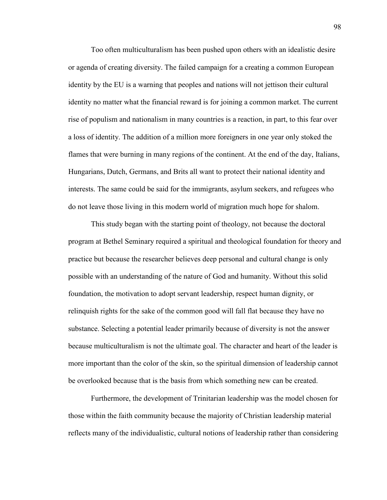Too often multiculturalism has been pushed upon others with an idealistic desire or agenda of creating diversity. The failed campaign for a creating a common European identity by the EU is a warning that peoples and nations will not jettison their cultural identity no matter what the financial reward is for joining a common market. The current rise of populism and nationalism in many countries is a reaction, in part, to this fear over a loss of identity. The addition of a million more foreigners in one year only stoked the flames that were burning in many regions of the continent. At the end of the day, Italians, Hungarians, Dutch, Germans, and Brits all want to protect their national identity and interests. The same could be said for the immigrants, asylum seekers, and refugees who do not leave those living in this modern world of migration much hope for shalom.

This study began with the starting point of theology, not because the doctoral program at Bethel Seminary required a spiritual and theological foundation for theory and practice but because the researcher believes deep personal and cultural change is only possible with an understanding of the nature of God and humanity. Without this solid foundation, the motivation to adopt servant leadership, respect human dignity, or relinquish rights for the sake of the common good will fall flat because they have no substance. Selecting a potential leader primarily because of diversity is not the answer because multiculturalism is not the ultimate goal. The character and heart of the leader is more important than the color of the skin, so the spiritual dimension of leadership cannot be overlooked because that is the basis from which something new can be created.

Furthermore, the development of Trinitarian leadership was the model chosen for those within the faith community because the majority of Christian leadership material reflects many of the individualistic, cultural notions of leadership rather than considering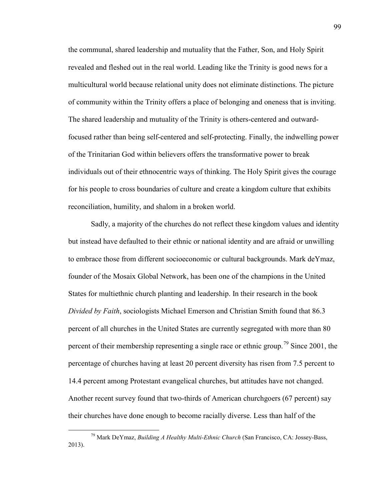the communal, shared leadership and mutuality that the Father, Son, and Holy Spirit revealed and fleshed out in the real world. Leading like the Trinity is good news for a multicultural world because relational unity does not eliminate distinctions. The picture of community within the Trinity offers a place of belonging and oneness that is inviting. The shared leadership and mutuality of the Trinity is others-centered and outwardfocused rather than being self-centered and self-protecting. Finally, the indwelling power of the Trinitarian God within believers offers the transformative power to break individuals out of their ethnocentric ways of thinking. The Holy Spirit gives the courage for his people to cross boundaries of culture and create a kingdom culture that exhibits reconciliation, humility, and shalom in a broken world.

Sadly, a majority of the churches do not reflect these kingdom values and identity but instead have defaulted to their ethnic or national identity and are afraid or unwilling to embrace those from different socioeconomic or cultural backgrounds. Mark deYmaz, founder of the Mosaix Global Network, has been one of the champions in the United States for multiethnic church planting and leadership. In their research in the book *Divided by Faith*, sociologists Michael Emerson and Christian Smith found that 86.3 percent of all churches in the United States are currently segregated with more than 80 percent of their membership representing a single race or ethnic group.<sup>79</sup> Since 2001, the percentage of churches having at least 20 percent diversity has risen from 7.5 percent to 14.4 percent among Protestant evangelical churches, but attitudes have not changed. Another recent survey found that two-thirds of American churchgoers (67 percent) say their churches have done enough to become racially diverse. Less than half of the

<span id="page-100-0"></span> <sup>79</sup> Mark DeYmaz, *Building A Healthy Multi-Ethnic Church* (San Francisco, CA: Jossey-Bass, 2013).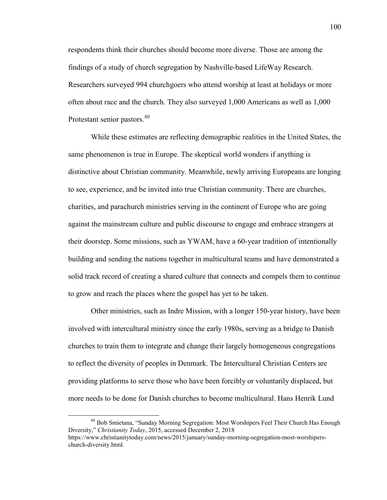respondents think their churches should become more diverse. Those are among the findings of a study of church segregation by Nashville-based LifeWay Research. Researchers surveyed 994 churchgoers who attend worship at least at holidays or more often about race and the church. They also surveyed 1,000 Americans as well as 1,000 Protestant senior pastors.<sup>[80](#page-101-0)</sup>

While these estimates are reflecting demographic realities in the United States, the same phenomenon is true in Europe. The skeptical world wonders if anything is distinctive about Christian community. Meanwhile, newly arriving Europeans are longing to see, experience, and be invited into true Christian community. There are churches, charities, and parachurch ministries serving in the continent of Europe who are going against the mainstream culture and public discourse to engage and embrace strangers at their doorstep. Some missions, such as YWAM, have a 60-year tradition of intentionally building and sending the nations together in multicultural teams and have demonstrated a solid track record of creating a shared culture that connects and compels them to continue to grow and reach the places where the gospel has yet to be taken.

Other ministries, such as Indre Mission, with a longer 150-year history, have been involved with intercultural ministry since the early 1980s, serving as a bridge to Danish churches to train them to integrate and change their largely homogeneous congregations to reflect the diversity of peoples in Denmark. The Intercultural Christian Centers are providing platforms to serve those who have been forcibly or voluntarily displaced, but more needs to be done for Danish churches to become multicultural. Hans Henrik Lund

<span id="page-101-0"></span> <sup>80</sup> Bob Smietana, "Sunday Morning Segregation: Most Worshipers Feel Their Church Has Enough Diversity," *Christianity Today*, 2015, accessed December 2, 2018

https://www.christianitytoday.com/news/2015/january/sunday-morning-segregation-most-worshiperschurch-diversity.html.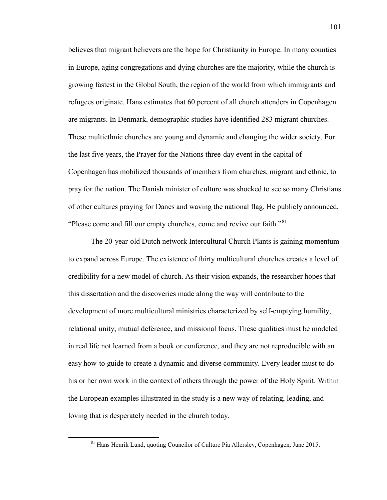believes that migrant believers are the hope for Christianity in Europe. In many counties in Europe, aging congregations and dying churches are the majority, while the church is growing fastest in the Global South, the region of the world from which immigrants and refugees originate. Hans estimates that 60 percent of all church attenders in Copenhagen are migrants. In Denmark, demographic studies have identified 283 migrant churches. These multiethnic churches are young and dynamic and changing the wider society. For the last five years, the Prayer for the Nations three-day event in the capital of Copenhagen has mobilized thousands of members from churches, migrant and ethnic, to pray for the nation. The Danish minister of culture was shocked to see so many Christians of other cultures praying for Danes and waving the national flag. He publicly announced, "Please come and fill our empty churches, come and revive our faith."<sup>[81](#page-102-0)</sup>

The 20-year-old Dutch network Intercultural Church Plants is gaining momentum to expand across Europe. The existence of thirty multicultural churches creates a level of credibility for a new model of church. As their vision expands, the researcher hopes that this dissertation and the discoveries made along the way will contribute to the development of more multicultural ministries characterized by self-emptying humility, relational unity, mutual deference, and missional focus. These qualities must be modeled in real life not learned from a book or conference, and they are not reproducible with an easy how-to guide to create a dynamic and diverse community. Every leader must to do his or her own work in the context of others through the power of the Holy Spirit. Within the European examples illustrated in the study is a new way of relating, leading, and loving that is desperately needed in the church today.

<span id="page-102-0"></span> <sup>81</sup> Hans Henrik Lund, quoting Councilor of Culture Pia Allerslev, Copenhagen, June 2015.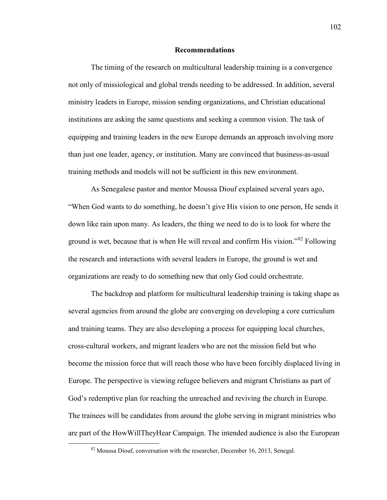### **Recommendations**

The timing of the research on multicultural leadership training is a convergence not only of missiological and global trends needing to be addressed. In addition, several ministry leaders in Europe, mission sending organizations, and Christian educational institutions are asking the same questions and seeking a common vision. The task of equipping and training leaders in the new Europe demands an approach involving more than just one leader, agency, or institution. Many are convinced that business-as-usual training methods and models will not be sufficient in this new environment.

As Senegalese pastor and mentor Moussa Diouf explained several years ago, "When God wants to do something, he doesn't give His vision to one person, He sends it down like rain upon many. As leaders, the thing we need to do is to look for where the ground is wet, because that is when He will reveal and confirm His vision."<sup>82</sup> Following the research and interactions with several leaders in Europe, the ground is wet and organizations are ready to do something new that only God could orchestrate.

The backdrop and platform for multicultural leadership training is taking shape as several agencies from around the globe are converging on developing a core curriculum and training teams. They are also developing a process for equipping local churches, cross-cultural workers, and migrant leaders who are not the mission field but who become the mission force that will reach those who have been forcibly displaced living in Europe. The perspective is viewing refugee believers and migrant Christians as part of God's redemptive plan for reaching the unreached and reviving the church in Europe. The trainees will be candidates from around the globe serving in migrant ministries who are part of the HowWillTheyHear Campaign. The intended audience is also the European

<span id="page-103-0"></span> $82$  Moussa Diouf, conversation with the researcher, December 16, 2013, Senegal.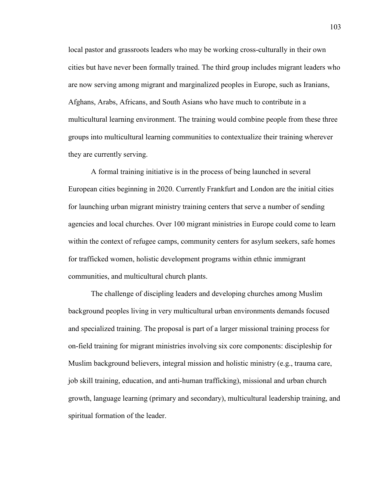local pastor and grassroots leaders who may be working cross-culturally in their own cities but have never been formally trained. The third group includes migrant leaders who are now serving among migrant and marginalized peoples in Europe, such as Iranians, Afghans, Arabs, Africans, and South Asians who have much to contribute in a multicultural learning environment. The training would combine people from these three groups into multicultural learning communities to contextualize their training wherever they are currently serving.

A formal training initiative is in the process of being launched in several European cities beginning in 2020. Currently Frankfurt and London are the initial cities for launching urban migrant ministry training centers that serve a number of sending agencies and local churches. Over 100 migrant ministries in Europe could come to learn within the context of refugee camps, community centers for asylum seekers, safe homes for trafficked women, holistic development programs within ethnic immigrant communities, and multicultural church plants.

The challenge of discipling leaders and developing churches among Muslim background peoples living in very multicultural urban environments demands focused and specialized training. The proposal is part of a larger missional training process for on-field training for migrant ministries involving six core components: discipleship for Muslim background believers, integral mission and holistic ministry (e.g., trauma care, job skill training, education, and anti-human trafficking), missional and urban church growth, language learning (primary and secondary), multicultural leadership training, and spiritual formation of the leader.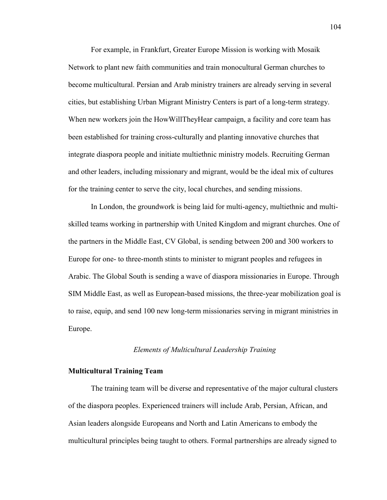For example, in Frankfurt, Greater Europe Mission is working with Mosaik Network to plant new faith communities and train monocultural German churches to become multicultural. Persian and Arab ministry trainers are already serving in several cities, but establishing Urban Migrant Ministry Centers is part of a long-term strategy. When new workers join the HowWillTheyHear campaign, a facility and core team has been established for training cross-culturally and planting innovative churches that integrate diaspora people and initiate multiethnic ministry models. Recruiting German and other leaders, including missionary and migrant, would be the ideal mix of cultures for the training center to serve the city, local churches, and sending missions.

In London, the groundwork is being laid for multi-agency, multiethnic and multiskilled teams working in partnership with United Kingdom and migrant churches. One of the partners in the Middle East, CV Global, is sending between 200 and 300 workers to Europe for one- to three-month stints to minister to migrant peoples and refugees in Arabic. The Global South is sending a wave of diaspora missionaries in Europe. Through SIM Middle East, as well as European-based missions, the three-year mobilization goal is to raise, equip, and send 100 new long-term missionaries serving in migrant ministries in Europe.

#### *Elements of Multicultural Leadership Training*

### **Multicultural Training Team**

The training team will be diverse and representative of the major cultural clusters of the diaspora peoples. Experienced trainers will include Arab, Persian, African, and Asian leaders alongside Europeans and North and Latin Americans to embody the multicultural principles being taught to others. Formal partnerships are already signed to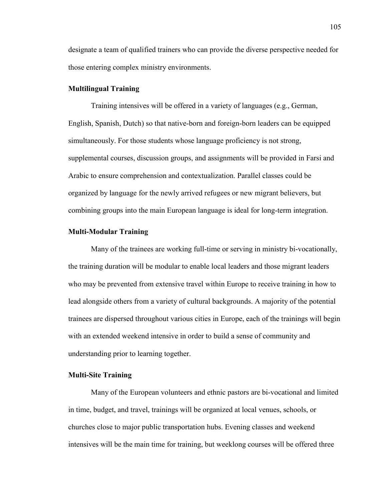designate a team of qualified trainers who can provide the diverse perspective needed for those entering complex ministry environments.

### **Multilingual Training**

Training intensives will be offered in a variety of languages (e.g., German, English, Spanish, Dutch) so that native-born and foreign-born leaders can be equipped simultaneously. For those students whose language proficiency is not strong, supplemental courses, discussion groups, and assignments will be provided in Farsi and Arabic to ensure comprehension and contextualization. Parallel classes could be organized by language for the newly arrived refugees or new migrant believers, but combining groups into the main European language is ideal for long-term integration.

### **Multi-Modular Training**

Many of the trainees are working full-time or serving in ministry bi-vocationally, the training duration will be modular to enable local leaders and those migrant leaders who may be prevented from extensive travel within Europe to receive training in how to lead alongside others from a variety of cultural backgrounds. A majority of the potential trainees are dispersed throughout various cities in Europe, each of the trainings will begin with an extended weekend intensive in order to build a sense of community and understanding prior to learning together.

## **Multi-Site Training**

Many of the European volunteers and ethnic pastors are bi-vocational and limited in time, budget, and travel, trainings will be organized at local venues, schools, or churches close to major public transportation hubs. Evening classes and weekend intensives will be the main time for training, but weeklong courses will be offered three

105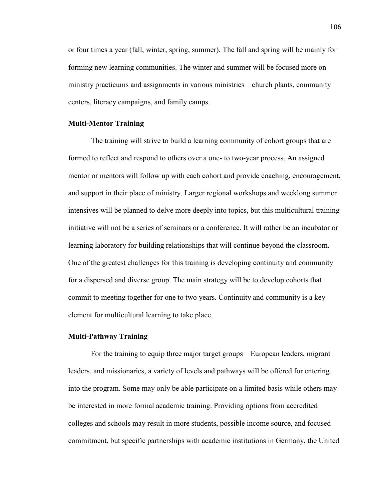or four times a year (fall, winter, spring, summer). The fall and spring will be mainly for forming new learning communities. The winter and summer will be focused more on ministry practicums and assignments in various ministries—church plants, community centers, literacy campaigns, and family camps.

#### **Multi-Mentor Training**

The training will strive to build a learning community of cohort groups that are formed to reflect and respond to others over a one- to two-year process. An assigned mentor or mentors will follow up with each cohort and provide coaching, encouragement, and support in their place of ministry. Larger regional workshops and weeklong summer intensives will be planned to delve more deeply into topics, but this multicultural training initiative will not be a series of seminars or a conference. It will rather be an incubator or learning laboratory for building relationships that will continue beyond the classroom. One of the greatest challenges for this training is developing continuity and community for a dispersed and diverse group. The main strategy will be to develop cohorts that commit to meeting together for one to two years. Continuity and community is a key element for multicultural learning to take place.

### **Multi-Pathway Training**

For the training to equip three major target groups—European leaders, migrant leaders, and missionaries, a variety of levels and pathways will be offered for entering into the program. Some may only be able participate on a limited basis while others may be interested in more formal academic training. Providing options from accredited colleges and schools may result in more students, possible income source, and focused commitment, but specific partnerships with academic institutions in Germany, the United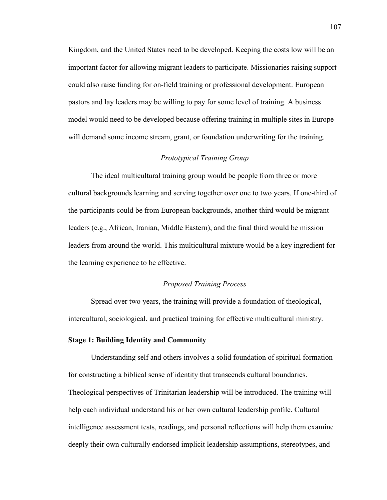Kingdom, and the United States need to be developed. Keeping the costs low will be an important factor for allowing migrant leaders to participate. Missionaries raising support could also raise funding for on-field training or professional development. European pastors and lay leaders may be willing to pay for some level of training. A business model would need to be developed because offering training in multiple sites in Europe will demand some income stream, grant, or foundation underwriting for the training.

## *Prototypical Training Group*

The ideal multicultural training group would be people from three or more cultural backgrounds learning and serving together over one to two years. If one-third of the participants could be from European backgrounds, another third would be migrant leaders (e.g., African, Iranian, Middle Eastern), and the final third would be mission leaders from around the world. This multicultural mixture would be a key ingredient for the learning experience to be effective.

### *Proposed Training Process*

Spread over two years, the training will provide a foundation of theological, intercultural, sociological, and practical training for effective multicultural ministry.

## **Stage 1: Building Identity and Community**

Understanding self and others involves a solid foundation of spiritual formation for constructing a biblical sense of identity that transcends cultural boundaries. Theological perspectives of Trinitarian leadership will be introduced. The training will help each individual understand his or her own cultural leadership profile. Cultural intelligence assessment tests, readings, and personal reflections will help them examine deeply their own culturally endorsed implicit leadership assumptions, stereotypes, and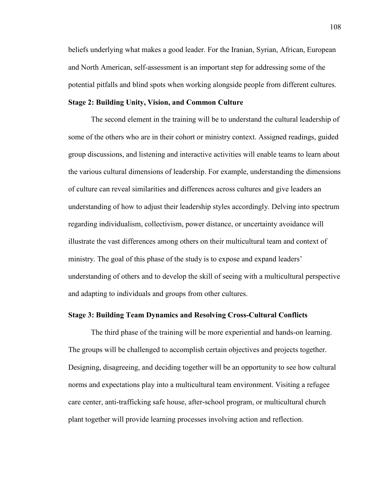beliefs underlying what makes a good leader. For the Iranian, Syrian, African, European and North American, self-assessment is an important step for addressing some of the potential pitfalls and blind spots when working alongside people from different cultures.

#### **Stage 2: Building Unity, Vision, and Common Culture**

The second element in the training will be to understand the cultural leadership of some of the others who are in their cohort or ministry context. Assigned readings, guided group discussions, and listening and interactive activities will enable teams to learn about the various cultural dimensions of leadership. For example, understanding the dimensions of culture can reveal similarities and differences across cultures and give leaders an understanding of how to adjust their leadership styles accordingly. Delving into spectrum regarding individualism, collectivism, power distance, or uncertainty avoidance will illustrate the vast differences among others on their multicultural team and context of ministry. The goal of this phase of the study is to expose and expand leaders' understanding of others and to develop the skill of seeing with a multicultural perspective and adapting to individuals and groups from other cultures.

#### **Stage 3: Building Team Dynamics and Resolving Cross-Cultural Conflicts**

The third phase of the training will be more experiential and hands-on learning. The groups will be challenged to accomplish certain objectives and projects together. Designing, disagreeing, and deciding together will be an opportunity to see how cultural norms and expectations play into a multicultural team environment. Visiting a refugee care center, anti-trafficking safe house, after-school program, or multicultural church plant together will provide learning processes involving action and reflection.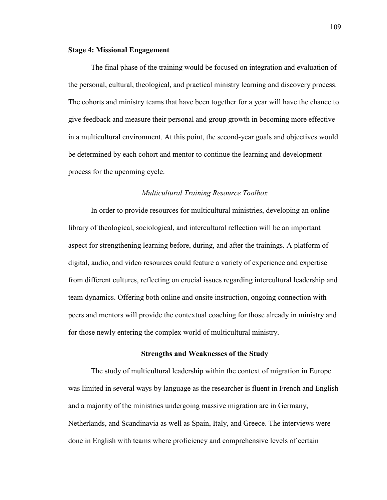### **Stage 4: Missional Engagement**

The final phase of the training would be focused on integration and evaluation of the personal, cultural, theological, and practical ministry learning and discovery process. The cohorts and ministry teams that have been together for a year will have the chance to give feedback and measure their personal and group growth in becoming more effective in a multicultural environment. At this point, the second-year goals and objectives would be determined by each cohort and mentor to continue the learning and development process for the upcoming cycle.

#### *Multicultural Training Resource Toolbox*

In order to provide resources for multicultural ministries, developing an online library of theological, sociological, and intercultural reflection will be an important aspect for strengthening learning before, during, and after the trainings. A platform of digital, audio, and video resources could feature a variety of experience and expertise from different cultures, reflecting on crucial issues regarding intercultural leadership and team dynamics. Offering both online and onsite instruction, ongoing connection with peers and mentors will provide the contextual coaching for those already in ministry and for those newly entering the complex world of multicultural ministry.

### **Strengths and Weaknesses of the Study**

The study of multicultural leadership within the context of migration in Europe was limited in several ways by language as the researcher is fluent in French and English and a majority of the ministries undergoing massive migration are in Germany, Netherlands, and Scandinavia as well as Spain, Italy, and Greece. The interviews were done in English with teams where proficiency and comprehensive levels of certain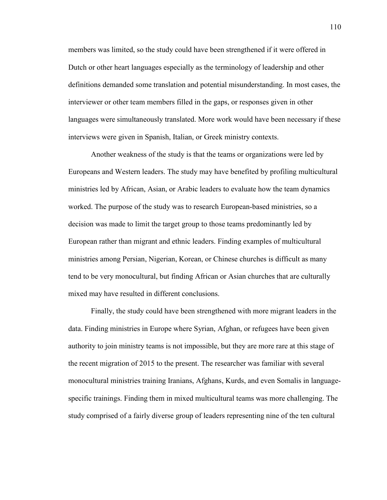members was limited, so the study could have been strengthened if it were offered in Dutch or other heart languages especially as the terminology of leadership and other definitions demanded some translation and potential misunderstanding. In most cases, the interviewer or other team members filled in the gaps, or responses given in other languages were simultaneously translated. More work would have been necessary if these interviews were given in Spanish, Italian, or Greek ministry contexts.

Another weakness of the study is that the teams or organizations were led by Europeans and Western leaders. The study may have benefited by profiling multicultural ministries led by African, Asian, or Arabic leaders to evaluate how the team dynamics worked. The purpose of the study was to research European-based ministries, so a decision was made to limit the target group to those teams predominantly led by European rather than migrant and ethnic leaders. Finding examples of multicultural ministries among Persian, Nigerian, Korean, or Chinese churches is difficult as many tend to be very monocultural, but finding African or Asian churches that are culturally mixed may have resulted in different conclusions.

Finally, the study could have been strengthened with more migrant leaders in the data. Finding ministries in Europe where Syrian, Afghan, or refugees have been given authority to join ministry teams is not impossible, but they are more rare at this stage of the recent migration of 2015 to the present. The researcher was familiar with several monocultural ministries training Iranians, Afghans, Kurds, and even Somalis in languagespecific trainings. Finding them in mixed multicultural teams was more challenging. The study comprised of a fairly diverse group of leaders representing nine of the ten cultural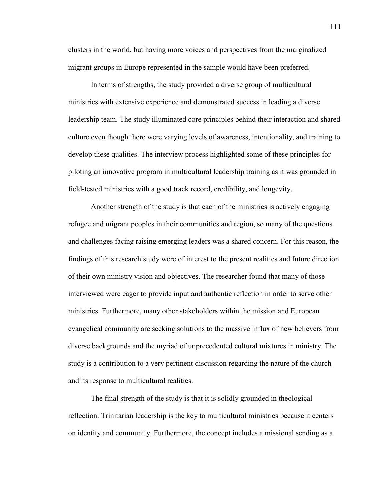clusters in the world, but having more voices and perspectives from the marginalized migrant groups in Europe represented in the sample would have been preferred.

In terms of strengths, the study provided a diverse group of multicultural ministries with extensive experience and demonstrated success in leading a diverse leadership team. The study illuminated core principles behind their interaction and shared culture even though there were varying levels of awareness, intentionality, and training to develop these qualities. The interview process highlighted some of these principles for piloting an innovative program in multicultural leadership training as it was grounded in field-tested ministries with a good track record, credibility, and longevity.

Another strength of the study is that each of the ministries is actively engaging refugee and migrant peoples in their communities and region, so many of the questions and challenges facing raising emerging leaders was a shared concern. For this reason, the findings of this research study were of interest to the present realities and future direction of their own ministry vision and objectives. The researcher found that many of those interviewed were eager to provide input and authentic reflection in order to serve other ministries. Furthermore, many other stakeholders within the mission and European evangelical community are seeking solutions to the massive influx of new believers from diverse backgrounds and the myriad of unprecedented cultural mixtures in ministry. The study is a contribution to a very pertinent discussion regarding the nature of the church and its response to multicultural realities.

The final strength of the study is that it is solidly grounded in theological reflection. Trinitarian leadership is the key to multicultural ministries because it centers on identity and community. Furthermore, the concept includes a missional sending as a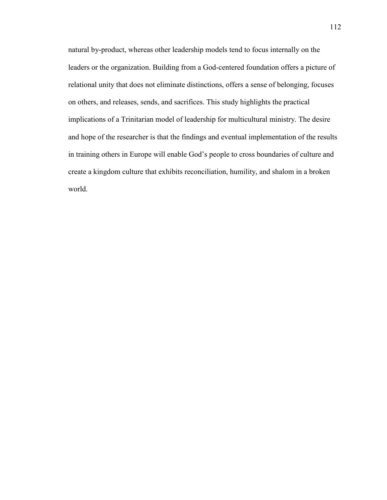natural by-product, whereas other leadership models tend to focus internally on the leaders or the organization. Building from a God-centered foundation offers a picture of relational unity that does not eliminate distinctions, offers a sense of belonging, focuses on others, and releases, sends, and sacrifices. This study highlights the practical implications of a Trinitarian model of leadership for multicultural ministry. The desire and hope of the researcher is that the findings and eventual implementation of the results in training others in Europe will enable God's people to cross boundaries of culture and create a kingdom culture that exhibits reconciliation, humility, and shalom in a broken world.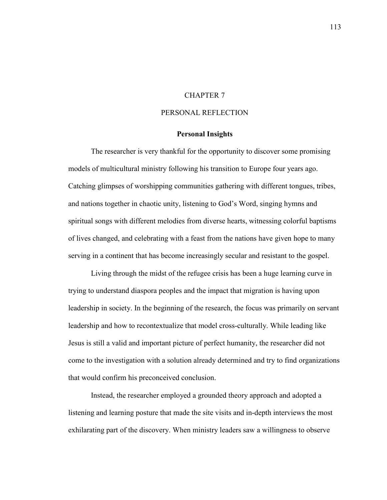### CHAPTER 7

### PERSONAL REFLECTION

#### **Personal Insights**

The researcher is very thankful for the opportunity to discover some promising models of multicultural ministry following his transition to Europe four years ago. Catching glimpses of worshipping communities gathering with different tongues, tribes, and nations together in chaotic unity, listening to God's Word, singing hymns and spiritual songs with different melodies from diverse hearts, witnessing colorful baptisms of lives changed, and celebrating with a feast from the nations have given hope to many serving in a continent that has become increasingly secular and resistant to the gospel.

Living through the midst of the refugee crisis has been a huge learning curve in trying to understand diaspora peoples and the impact that migration is having upon leadership in society. In the beginning of the research, the focus was primarily on servant leadership and how to recontextualize that model cross-culturally. While leading like Jesus is still a valid and important picture of perfect humanity, the researcher did not come to the investigation with a solution already determined and try to find organizations that would confirm his preconceived conclusion.

Instead, the researcher employed a grounded theory approach and adopted a listening and learning posture that made the site visits and in-depth interviews the most exhilarating part of the discovery. When ministry leaders saw a willingness to observe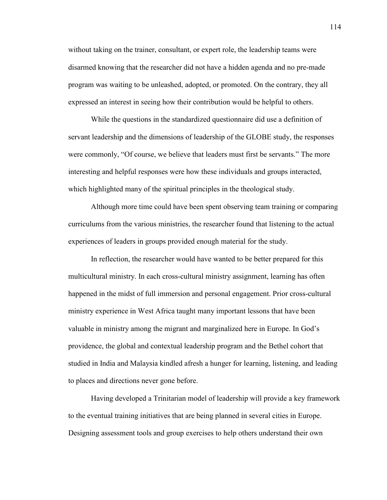without taking on the trainer, consultant, or expert role, the leadership teams were disarmed knowing that the researcher did not have a hidden agenda and no pre-made program was waiting to be unleashed, adopted, or promoted. On the contrary, they all expressed an interest in seeing how their contribution would be helpful to others.

While the questions in the standardized questionnaire did use a definition of servant leadership and the dimensions of leadership of the GLOBE study, the responses were commonly, "Of course, we believe that leaders must first be servants." The more interesting and helpful responses were how these individuals and groups interacted, which highlighted many of the spiritual principles in the theological study.

Although more time could have been spent observing team training or comparing curriculums from the various ministries, the researcher found that listening to the actual experiences of leaders in groups provided enough material for the study.

In reflection, the researcher would have wanted to be better prepared for this multicultural ministry. In each cross-cultural ministry assignment, learning has often happened in the midst of full immersion and personal engagement. Prior cross-cultural ministry experience in West Africa taught many important lessons that have been valuable in ministry among the migrant and marginalized here in Europe. In God's providence, the global and contextual leadership program and the Bethel cohort that studied in India and Malaysia kindled afresh a hunger for learning, listening, and leading to places and directions never gone before.

Having developed a Trinitarian model of leadership will provide a key framework to the eventual training initiatives that are being planned in several cities in Europe. Designing assessment tools and group exercises to help others understand their own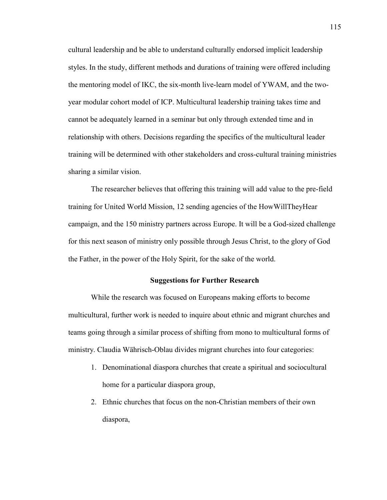cultural leadership and be able to understand culturally endorsed implicit leadership styles. In the study, different methods and durations of training were offered including the mentoring model of IKC, the six-month live-learn model of YWAM, and the twoyear modular cohort model of ICP. Multicultural leadership training takes time and cannot be adequately learned in a seminar but only through extended time and in relationship with others. Decisions regarding the specifics of the multicultural leader training will be determined with other stakeholders and cross-cultural training ministries sharing a similar vision.

The researcher believes that offering this training will add value to the pre-field training for United World Mission, 12 sending agencies of the HowWillTheyHear campaign, and the 150 ministry partners across Europe. It will be a God-sized challenge for this next season of ministry only possible through Jesus Christ, to the glory of God the Father, in the power of the Holy Spirit, for the sake of the world.

#### **Suggestions for Further Research**

While the research was focused on Europeans making efforts to become multicultural, further work is needed to inquire about ethnic and migrant churches and teams going through a similar process of shifting from mono to multicultural forms of ministry. Claudia Währisch-Oblau divides migrant churches into four categories:

- 1. Denominational diaspora churches that create a spiritual and sociocultural home for a particular diaspora group,
- 2. Ethnic churches that focus on the non-Christian members of their own diaspora,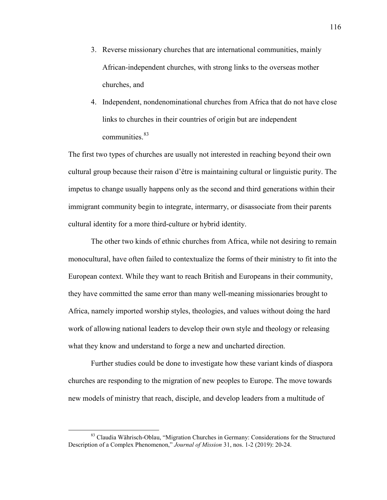- 3. Reverse missionary churches that are international communities, mainly African-independent churches, with strong links to the overseas mother churches, and
- 4. Independent, nondenominational churches from Africa that do not have close links to churches in their countries of origin but are independent communities.<sup>83</sup>

The first two types of churches are usually not interested in reaching beyond their own cultural group because their raison d'être is maintaining cultural or linguistic purity. The impetus to change usually happens only as the second and third generations within their immigrant community begin to integrate, intermarry, or disassociate from their parents cultural identity for a more third-culture or hybrid identity.

The other two kinds of ethnic churches from Africa, while not desiring to remain monocultural, have often failed to contextualize the forms of their ministry to fit into the European context. While they want to reach British and Europeans in their community, they have committed the same error than many well-meaning missionaries brought to Africa, namely imported worship styles, theologies, and values without doing the hard work of allowing national leaders to develop their own style and theology or releasing what they know and understand to forge a new and uncharted direction.

Further studies could be done to investigate how these variant kinds of diaspora churches are responding to the migration of new peoples to Europe. The move towards new models of ministry that reach, disciple, and develop leaders from a multitude of

<span id="page-117-0"></span> <sup>83</sup> Claudia Währisch-Oblau, "Migration Churches in Germany: Considerations for the Structured Description of a Complex Phenomenon," *Journal of Mission* 31, nos. 1-2 (2019): 20-24.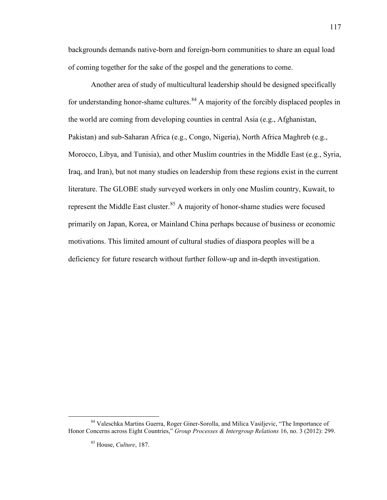backgrounds demands native-born and foreign-born communities to share an equal load of coming together for the sake of the gospel and the generations to come.

Another area of study of multicultural leadership should be designed specifically for understanding honor-shame cultures.  $84$  A majority of the forcibly displaced peoples in the world are coming from developing counties in central Asia (e.g., Afghanistan, Pakistan) and sub-Saharan Africa (e.g., Congo, Nigeria), North Africa Maghreb (e.g., Morocco, Libya, and Tunisia), and other Muslim countries in the Middle East (e.g., Syria, Iraq, and Iran), but not many studies on leadership from these regions exist in the current literature. The GLOBE study surveyed workers in only one Muslim country, Kuwait, to represent the Middle East cluster.<sup>[85](#page-118-1)</sup> A majority of honor-shame studies were focused primarily on Japan, Korea, or Mainland China perhaps because of business or economic motivations. This limited amount of cultural studies of diaspora peoples will be a deficiency for future research without further follow-up and in-depth investigation.

<span id="page-118-1"></span><span id="page-118-0"></span> <sup>84</sup> Valeschka Martins Guerra, Roger Giner-Sorolla, and Milica Vasiljevic, "The Importance of Honor Concerns across Eight Countries," *Group Processes & Intergroup Relations* 16, no. 3 (2012): 299.

<sup>85</sup> House, *Culture*, 187.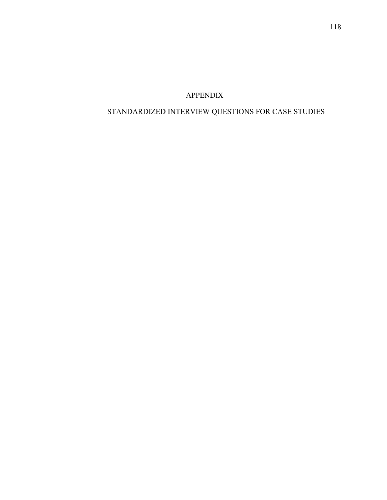# APPENDIX

# STANDARDIZED INTERVIEW QUESTIONS FOR CASE STUDIES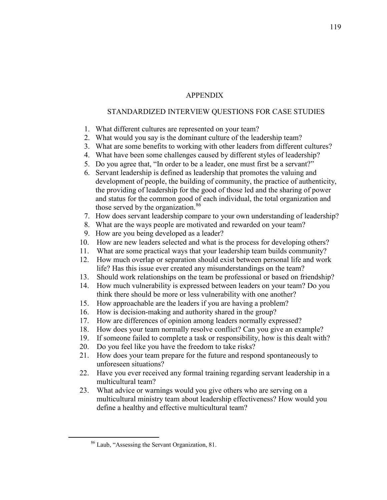# APPENDIX

## STANDARDIZED INTERVIEW QUESTIONS FOR CASE STUDIES

- 1. What different cultures are represented on your team?
- 2. What would you say is the dominant culture of the leadership team?
- 3. What are some benefits to working with other leaders from different cultures?
- 4. What have been some challenges caused by different styles of leadership?
- 5. Do you agree that, "In order to be a leader, one must first be a servant?"
- 6. Servant leadership is defined as leadership that promotes the valuing and development of people, the building of community, the practice of authenticity, the providing of leadership for the good of those led and the sharing of power and status for the common good of each individual, the total organization and those served by the organization.<sup>[86](#page-120-0)</sup>
- 7. How does servant leadership compare to your own understanding of leadership?
- 8. What are the ways people are motivated and rewarded on your team?
- 9. How are you being developed as a leader?
- 10. How are new leaders selected and what is the process for developing others?
- 11. What are some practical ways that your leadership team builds community?
- 12. How much overlap or separation should exist between personal life and work life? Has this issue ever created any misunderstandings on the team?
- 13. Should work relationships on the team be professional or based on friendship?
- 14. How much vulnerability is expressed between leaders on your team? Do you think there should be more or less vulnerability with one another?
- 15. How approachable are the leaders if you are having a problem?
- 16. How is decision-making and authority shared in the group?
- 17. How are differences of opinion among leaders normally expressed?
- 18. How does your team normally resolve conflict? Can you give an example?
- 19. If someone failed to complete a task or responsibility, how is this dealt with?
- 20. Do you feel like you have the freedom to take risks?
- 21. How does your team prepare for the future and respond spontaneously to unforeseen situations?
- 22. Have you ever received any formal training regarding servant leadership in a multicultural team?
- 23. What advice or warnings would you give others who are serving on a multicultural ministry team about leadership effectiveness? How would you define a healthy and effective multicultural team?

<span id="page-120-0"></span> <sup>86</sup> Laub, "Assessing the Servant Organization, 81.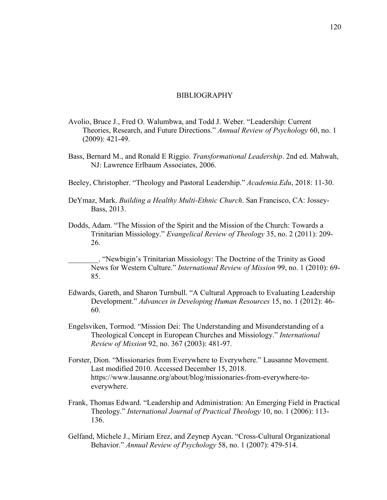#### BIBLIOGRAPHY

- Avolio, Bruce J., Fred O. Walumbwa, and Todd J. Weber. "Leadership: Current Theories, Research, and Future Directions." *Annual Review of Psychology* 60, no. 1 (2009): 421-49.
- Bass, Bernard M., and Ronald E Riggio. *Transformational Leadership*. 2nd ed. Mahwah, NJ: Lawrence Erlbaum Associates, 2006.
- Beeley, Christopher. "Theology and Pastoral Leadership." *Academia.Edu*, 2018: 11-30.
- DeYmaz, Mark. *Building a Healthy Multi-Ethnic Church*. San Francisco, CA: Jossey-Bass, 2013.
- Dodds, Adam. "The Mission of the Spirit and the Mission of the Church: Towards a Trinitarian Missiology." *Evangelical Review of Theology* 35, no. 2 (2011): 209- 26.

\_\_\_\_\_\_\_\_. "Newbigin's Trinitarian Missiology: The Doctrine of the Trinity as Good News for Western Culture." *International Review of Mission* 99, no. 1 (2010): 69- 85.

- Edwards, Gareth, and Sharon Turnbull. "A Cultural Approach to Evaluating Leadership Development." *Advances in Developing Human Resources* 15, no. 1 (2012): 46- 60.
- Engelsviken, Tormod. "Mission Dei: The Understanding and Misunderstanding of a Theological Concept in European Churches and Missiology." *International Review of Mission* 92, no. 367 (2003): 481-97.
- Forster, Dion. "Missionaries from Everywhere to Everywhere." Lausanne Movement. Last modified 2010. Accessed December 15, 2018. https://www.lausanne.org/about/blog/missionaries-from-everywhere-toeverywhere.
- Frank, Thomas Edward. "Leadership and Administration: An Emerging Field in Practical Theology." *International Journal of Practical Theology* 10, no. 1 (2006): 113- 136.
- Gelfand, Michele J., Miriam Erez, and Zeynep Aycan. "Cross-Cultural Organizational Behavior." *Annual Review of Psychology* 58, no. 1 (2007): 479-514.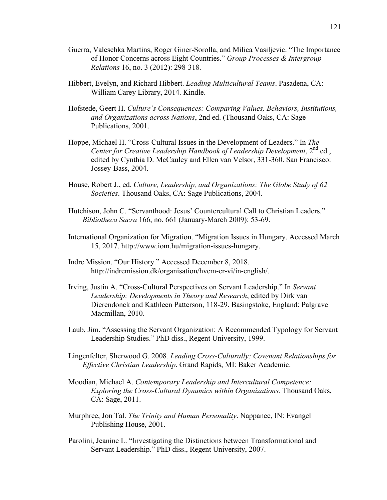- Guerra, Valeschka Martins, Roger Giner-Sorolla, and Milica Vasiljevic. "The Importance of Honor Concerns across Eight Countries." *Group Processes & Intergroup Relations* 16, no. 3 (2012): 298-318.
- Hibbert, Evelyn, and Richard Hibbert. *Leading Multicultural Teams*. Pasadena, CA: William Carey Library, 2014. Kindle.
- Hofstede, Geert H. *Culture's Consequences: Comparing Values, Behaviors, Institutions, and Organizations across Nations*, 2nd ed. (Thousand Oaks, CA: Sage Publications, 2001.
- Hoppe, Michael H. "Cross-Cultural Issues in the Development of Leaders." In *The Center for Creative Leadership Handbook of Leadership Development*, 2<sup>nd</sup> ed., edited by Cynthia D. McCauley and Ellen van Velsor, 331-360. San Francisco: Jossey-Bass, 2004.
- House, Robert J., ed. *Culture, Leadership, and Organizations: The Globe Study of 62 Societies*. Thousand Oaks, CA: Sage Publications, 2004.
- Hutchison, John C. "Servanthood: Jesus' Countercultural Call to Christian Leaders." *Bibliotheca Sacra* 166, no. 661 (January-March 2009): 53-69.
- International Organization for Migration. "Migration Issues in Hungary. Accessed March 15, 2017. http://www.iom.hu/migration-issues-hungary.
- Indre Mission. "Our History." Accessed December 8, 2018. http://indremission.dk/organisation/hvem-er-vi/in-english/.
- Irving, Justin A. "Cross-Cultural Perspectives on Servant Leadership." In *Servant Leadership: Developments in Theory and Research*, edited by Dirk van Dierendonck and Kathleen Patterson, 118-29. Basingstoke, England: Palgrave Macmillan, 2010.
- Laub, Jim. "Assessing the Servant Organization: A Recommended Typology for Servant Leadership Studies." PhD diss., Regent University, 1999.
- Lingenfelter, Sherwood G. 2008*. Leading Cross-Culturally: Covenant Relationships for Effective Christian Leadership*. Grand Rapids, MI: Baker Academic.
- Moodian, Michael A. *Contemporary Leadership and Intercultural Competence: Exploring the Cross-Cultural Dynamics within Organizations.* Thousand Oaks, CA: Sage, 2011.
- Murphree, Jon Tal. *The Trinity and Human Personality*. Nappanee, IN: Evangel Publishing House, 2001.
- Parolini, Jeanine L. "Investigating the Distinctions between Transformational and Servant Leadership." PhD diss., Regent University, 2007.